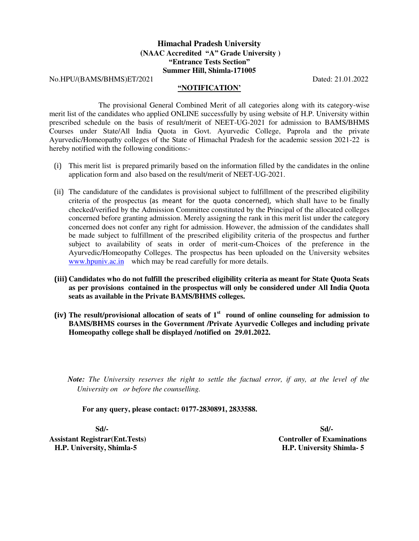## **Himachal Pradesh University (NAAC Accredited "A" Grade University ) "Entrance Tests Section" Summer Hill, Shimla-171005**

No.HPU/(BAMS/BHMS)ET/2021 Dated: 21.01.2022

## **"NOTIFICATION'**

 The provisional General Combined Merit of all categories along with its category-wise merit list of the candidates who applied ONLINE successfully by using website of H.P. University within prescribed schedule on the basis of result/merit of NEET-UG-2021 for admission to BAMS/BHMS Courses under State/All India Quota in Govt. Ayurvedic College, Paprola and the private Ayurvedic/Homeopathy colleges of the State of Himachal Pradesh for the academic session 2021-22 is hereby notified with the following conditions:-

- (i) This merit list is prepared primarily based on the information filled by the candidates in the online application form and also based on the result/merit of NEET-UG-2021.
- (ii) The candidature of the candidates is provisional subject to fulfillment of the prescribed eligibility criteria of the prospectus (as meant for the quota concerned), which shall have to be finally checked/verified by the Admission Committee constituted by the Principal of the allocated colleges concerned before granting admission. Merely assigning the rank in this merit list under the category concerned does not confer any right for admission. However, the admission of the candidates shall be made subject to fulfillment of the prescribed eligibility criteria of the prospectus and further subject to availability of seats in order of merit-cum-Choices of the preference in the Ayurvedic/Homeopathy Colleges. The prospectus has been uploaded on the University websites [www.hpuniv.ac.in](http://www.hpuniv.ac.in/) which may be read carefully for more details.
- **(iii) Candidates who do not fulfill the prescribed eligibility criteria as meant for State Quota Seats as per provisions contained in the prospectus will only be considered under All India Quota seats as available in the Private BAMS/BHMS colleges.**
- **(iv) The result/provisional allocation of seats of 1st round of online counseling for admission to BAMS/BHMS courses in the Government /Private Ayurvedic Colleges and including private Homeopathy college shall be displayed /notified on 29.01.2022.**

*Note: The University reserves the right to settle the factual error, if any, at the level of the University on or before the counselling.* 

**For any query, please contact: 0177-2830891, 2833588.** 

**Assistant Registrar(Ent.Tests) Controller of Examinations H.P. University, Shimla-5 H.P. University Shimla- 5** 

 **Sd/- Sd/-**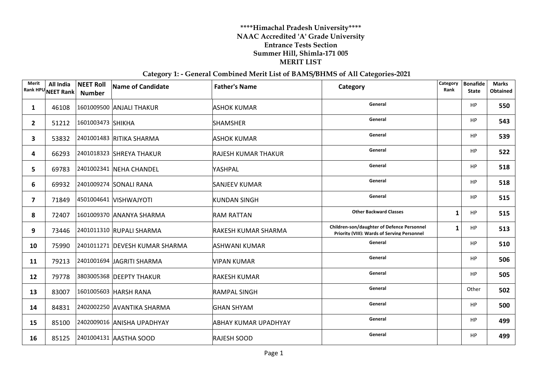## **\*\*\*\*Himachal Pradesh University\*\*\*\* NAAC Accredited 'A' Grade University Entrance Tests Section Summer Hill, Shimla-171 005 MERIT LIST**

## **Category 1: - General Combined Merit List of BAMS/BHMS of All Categories-2021**

| Merit                   | All India<br>Rank HPU NEET Rank | <b>NEET Roll</b><br><b>Number</b> | <b>Name of Candidate</b>       | <b>Father's Name</b> | Category                                                                                  | Category<br>Rank | <b>Bonafide</b><br><b>State</b> | <b>Marks</b><br>Obtained |
|-------------------------|---------------------------------|-----------------------------------|--------------------------------|----------------------|-------------------------------------------------------------------------------------------|------------------|---------------------------------|--------------------------|
| 1                       | 46108                           |                                   | 1601009500 ANJALI THAKUR       | <b>ASHOK KUMAR</b>   | General                                                                                   |                  | HP                              | 550                      |
| $\mathbf{2}$            |                                 | 51212 1601003473 SHIKHA           |                                | <b>SHAMSHER</b>      | General                                                                                   |                  | HP                              | 543                      |
| 3                       | 53832                           |                                   | 2401001483 RITIKA SHARMA       | <b>ASHOK KUMAR</b>   | General                                                                                   |                  | HP                              | 539                      |
| 4                       | 66293                           |                                   | 2401018323 SHREYA THAKUR       | RAJESH KUMAR THAKUR  | General                                                                                   |                  | HP                              | 522                      |
| 5                       | 69783                           |                                   | 2401002341 NEHA CHANDEL        | YASHPAL              | General                                                                                   |                  | HP                              | 518                      |
| 6                       |                                 |                                   | 69932 2401009274 SONALI RANA   | <b>SANJEEV KUMAR</b> | General                                                                                   |                  | HP                              | 518                      |
| $\overline{\mathbf{z}}$ | 71849                           |                                   | 4501004641 VISHWAJYOTI         | KUNDAN SINGH         | General                                                                                   |                  | HP                              | 515                      |
| 8                       | 72407                           |                                   | 1601009370 ANANYA SHARMA       | <b>RAM RATTAN</b>    | <b>Other Backward Classes</b>                                                             | 1                | <b>HP</b>                       | 515                      |
| 9                       | 73446                           |                                   | 2401011310 RUPALI SHARMA       | RAKESH KUMAR SHARMA  | Children-son/daughter of Defence Personnel<br>Priority (VIII): Wards of Serving Personnel | 1                | HP                              | 513                      |
| 10                      | 75990                           |                                   | 2401011271 DEVESH KUMAR SHARMA | ASHWANI KUMAR        | General                                                                                   |                  | HP                              | 510                      |
| 11                      | 79213                           |                                   | 2401001694 JAGRITI SHARMA      | <b>VIPAN KUMAR</b>   | General                                                                                   |                  | HP                              | 506                      |
| 12                      | 79778                           |                                   | 3803005368 DEEPTY THAKUR       | <b>RAKESH KUMAR</b>  | General                                                                                   |                  | HP                              | 505                      |
| 13                      | 83007                           |                                   | 1601005603 HARSH RANA          | <b>RAMPAL SINGH</b>  | General                                                                                   |                  | Other                           | 502                      |
| 14                      | 84831                           |                                   | 2402002250 AVANTIKA SHARMA     | <b>GHAN SHYAM</b>    | General                                                                                   |                  | HP                              | 500                      |
| 15                      | 85100                           |                                   | 2402009016 ANISHA UPADHYAY     | ABHAY KUMAR UPADHYAY | General                                                                                   |                  | HP                              | 499                      |
| 16                      |                                 |                                   | 85125 2401004131 AASTHA SOOD   | <b>RAJESH SOOD</b>   | General                                                                                   |                  | <b>HP</b>                       | 499                      |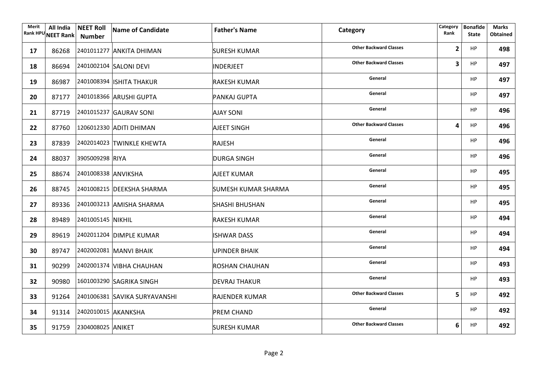| Merit | All India<br>Rank HPU NEET Rank | <b>NEET Roll</b><br><b>Number</b> | Name of Candidate                   | <b>Father's Name</b>  | Category                      | Category<br>Rank | <b>Bonafide</b><br><b>State</b> | <b>Marks</b><br><b>Obtained</b> |
|-------|---------------------------------|-----------------------------------|-------------------------------------|-----------------------|-------------------------------|------------------|---------------------------------|---------------------------------|
| 17    |                                 |                                   | 86268 2401011277 ANKITA DHIMAN      | <b>SURESH KUMAR</b>   | <b>Other Backward Classes</b> | $\overline{2}$   | <b>HP</b>                       | 498                             |
| 18    |                                 |                                   | 86694 2401002104 SALONI DEVI        | <b>INDERJEET</b>      | <b>Other Backward Classes</b> | 3                | <b>HP</b>                       | 497                             |
| 19    |                                 |                                   | 86987 2401008394 ISHITA THAKUR      | <b>RAKESH KUMAR</b>   | General                       |                  | <b>HP</b>                       | 497                             |
| 20    |                                 |                                   | 87177 2401018366 ARUSHI GUPTA       | PANKAJ GUPTA          | General                       |                  | <b>HP</b>                       | 497                             |
| 21    |                                 |                                   | 87719 2401015237 GAURAV SONI        | <b>AJAY SONI</b>      | General                       |                  | <b>HP</b>                       | 496                             |
| 22    |                                 |                                   | 87760 1206012330 ADITI DHIMAN       | <b>AJEET SINGH</b>    | <b>Other Backward Classes</b> | 4                | HP                              | 496                             |
| 23    |                                 |                                   | 87839 2402014023 TWINKLE KHEWTA     | <b>RAJESH</b>         | General                       |                  | <b>HP</b>                       | 496                             |
| 24    |                                 | 88037 3905009298 RIYA             |                                     | <b>DURGA SINGH</b>    | General                       |                  | <b>HP</b>                       | 496                             |
| 25    |                                 | 88674 2401008338 ANVIKSHA         |                                     | <b>AJEET KUMAR</b>    | General                       |                  | <b>HP</b>                       | 495                             |
| 26    |                                 |                                   | 88745 2401008215 DEEKSHA SHARMA     | SUMESH KUMAR SHARMA   | General                       |                  | <b>HP</b>                       | 495                             |
| 27    |                                 |                                   | 89336 2401003213 AMISHA SHARMA      | <b>SHASHI BHUSHAN</b> | General                       |                  | <b>HP</b>                       | 495                             |
| 28    |                                 | 89489 2401005145 NIKHIL           |                                     | <b>RAKESH KUMAR</b>   | General                       |                  | HP                              | 494                             |
| 29    |                                 |                                   | 89619 2402011204 DIMPLE KUMAR       | <b>ISHWAR DASS</b>    | General                       |                  | <b>HP</b>                       | 494                             |
| 30    |                                 |                                   | 89747 2402002081 MANVI BHAIK        | <b>UPINDER BHAIK</b>  | General                       |                  | <b>HP</b>                       | 494                             |
| 31    | 90299                           |                                   | 2402001374 VIBHA CHAUHAN            | ROSHAN CHAUHAN        | General                       |                  | HP                              | 493                             |
| 32    |                                 |                                   | 90980 1601003290 SAGRIKA SINGH      | <b>DEVRAJ THAKUR</b>  | General                       |                  | HP                              | 493                             |
| 33    |                                 |                                   | 91264 2401006381 SAVIKA SURYAVANSHI | <b>RAJENDER KUMAR</b> | <b>Other Backward Classes</b> | 5                | HP                              | 492                             |
| 34    |                                 | 91314 2402010015 AKANKSHA         |                                     | <b>PREM CHAND</b>     | General                       |                  | HP                              | 492                             |
| 35    |                                 | 91759 2304008025 ANIKET           |                                     | <b>SURESH KUMAR</b>   | <b>Other Backward Classes</b> | 6                | HP                              | 492                             |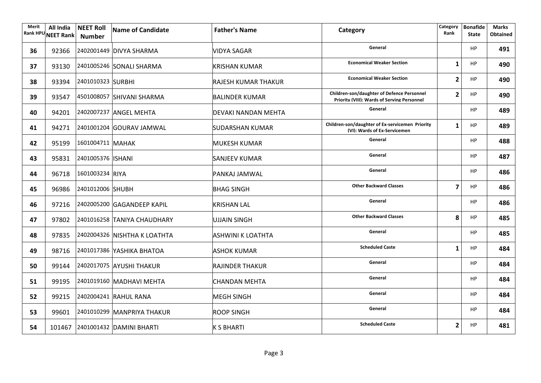| Merit<br><b>Rank HPU</b> | All India<br><b>NEET Rank</b> | <b>NEET Roll</b><br><b>Number</b> | Name of Candidate                | <b>Father's Name</b>       | Category                                                                                         | Category<br>Rank | <b>Bonafide</b><br><b>State</b> | <b>Marks</b><br><b>Obtained</b> |
|--------------------------|-------------------------------|-----------------------------------|----------------------------------|----------------------------|--------------------------------------------------------------------------------------------------|------------------|---------------------------------|---------------------------------|
| 36                       |                               |                                   | 92366 2402001449 DIVYA SHARMA    | VIDYA SAGAR                | General                                                                                          |                  | HP                              | 491                             |
| 37                       | 93130                         |                                   | 2401005246 SONALI SHARMA         | <b>KRISHAN KUMAR</b>       | <b>Economical Weaker Section</b>                                                                 | 1                | <b>HP</b>                       | 490                             |
| 38                       | 93394                         | 2401010323 SURBHI                 |                                  | <b>RAJESH KUMAR THAKUR</b> | <b>Economical Weaker Section</b>                                                                 | $\overline{2}$   | <b>HP</b>                       | 490                             |
| 39                       | 93547                         |                                   | 4501008057 SHIVANI SHARMA        | <b>BALINDER KUMAR</b>      | <b>Children-son/daughter of Defence Personnel</b><br>Priority (VIII): Wards of Serving Personnel | $\overline{2}$   | HP                              | 490                             |
| 40                       |                               |                                   | 94201 2402007237 ANGEL MEHTA     | DEVAKI NANDAN MEHTA        | General                                                                                          |                  | HP                              | 489                             |
| 41                       | 94271                         |                                   | 2401001204 GOURAV JAMWAL         | <b>SUDARSHAN KUMAR</b>     | Children-son/daughter of Ex-servicemen Priority<br>(VI): Wards of Ex-Servicemen                  | $\mathbf{1}$     | HP                              | 489                             |
| 42                       |                               | 95199 1601004711 MAHAK            |                                  | <b>MUKESH KUMAR</b>        | General                                                                                          |                  | <b>HP</b>                       | 488                             |
| 43                       |                               | 95831 2401005376   ISHANI         |                                  | <b>SANJEEV KUMAR</b>       | General                                                                                          |                  | HP                              | 487                             |
| 44                       |                               | 96718 1601003234 RIYA             |                                  | PANKAJ JAMWAL              | General                                                                                          |                  | <b>HP</b>                       | 486                             |
| 45                       |                               | 96986 2401012006 SHUBH            |                                  | <b>BHAG SINGH</b>          | <b>Other Backward Classes</b>                                                                    | 7                | <b>HP</b>                       | 486                             |
| 46                       |                               |                                   | 97216 2402005200 GAGANDEEP KAPIL | <b>KRISHAN LAL</b>         | General                                                                                          |                  | <b>HP</b>                       | 486                             |
| 47                       | 97802                         |                                   | 2401016258 TANIYA CHAUDHARY      | <b>UJJAIN SINGH</b>        | <b>Other Backward Classes</b>                                                                    | 8                | <b>HP</b>                       | 485                             |
| 48                       | 97835                         |                                   | 2402004326 NISHTHA K LOATHTA     | ASHWINI K LOATHTA          | General                                                                                          |                  | <b>HP</b>                       | 485                             |
| 49                       |                               |                                   | 98716 2401017386 YASHIKA BHATOA  | <b>ASHOK KUMAR</b>         | <b>Scheduled Caste</b>                                                                           | 1                | <b>HP</b>                       | 484                             |
| 50                       | 99144                         |                                   | 2402017075 AYUSHI THAKUR         | <b>RAJINDER THAKUR</b>     | General                                                                                          |                  | <b>HP</b>                       | 484                             |
| 51                       | 99195                         |                                   | 2401019160 MADHAVI MEHTA         | <b>CHANDAN MEHTA</b>       | General                                                                                          |                  | <b>HP</b>                       | 484                             |
| 52                       | 99215                         |                                   | 2402004241 RAHUL RANA            | <b>MEGH SINGH</b>          | General                                                                                          |                  | <b>HP</b>                       | 484                             |
| 53                       |                               |                                   | 99601 2401010299 MANPRIYA THAKUR | <b>ROOP SINGH</b>          | General                                                                                          |                  | <b>HP</b>                       | 484                             |
| 54                       |                               |                                   | 101467 2401001432 DAMINI BHARTI  | <b>K S BHARTI</b>          | <b>Scheduled Caste</b>                                                                           | 2                | <b>HP</b>                       | 481                             |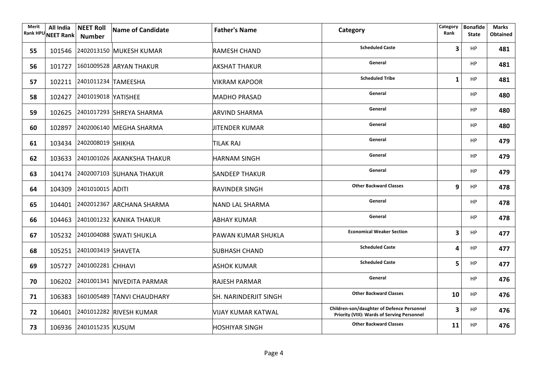| Merit<br><b>Rank HPU</b> | All India<br><b>NEET Rank</b> | <b>NEET Roll</b><br><b>Number</b> | Name of Candidate                 | <b>Father's Name</b>         | Category                                                                                  | Category<br>Rank | <b>Bonafide</b><br><b>State</b> | <b>Marks</b><br><b>Obtained</b> |
|--------------------------|-------------------------------|-----------------------------------|-----------------------------------|------------------------------|-------------------------------------------------------------------------------------------|------------------|---------------------------------|---------------------------------|
| 55                       |                               |                                   | 101546 2402013150 MUKESH KUMAR    | RAMESH CHAND                 | <b>Scheduled Caste</b>                                                                    | 3                | HP                              | 481                             |
| 56                       |                               |                                   | 101727 1601009528 ARYAN THAKUR    | <b>AKSHAT THAKUR</b>         | General                                                                                   |                  | <b>HP</b>                       | 481                             |
| 57                       |                               | 102211 2401011234 TAMEESHA        |                                   | <b>VIKRAM KAPOOR</b>         | <b>Scheduled Tribe</b>                                                                    | 1                | <b>HP</b>                       | 481                             |
| 58                       |                               | 102427 2401019018 YATISHEE        |                                   | <b>MADHO PRASAD</b>          | General                                                                                   |                  | HP                              | 480                             |
| 59                       |                               |                                   | 102625 2401017293 SHREYA SHARMA   | <b>ARVIND SHARMA</b>         | General                                                                                   |                  | HP                              | 480                             |
| 60                       |                               |                                   | 102897 2402006140 MEGHA SHARMA    | <b>JITENDER KUMAR</b>        | General                                                                                   |                  | HP                              | 480                             |
| 61                       |                               | 103434 2402008019 SHIKHA          |                                   | <b>TILAK RAJ</b>             | General                                                                                   |                  | <b>HP</b>                       | 479                             |
| 62                       |                               |                                   | 103633 2401001026 AKANKSHA THAKUR | <b>HARNAM SINGH</b>          | General                                                                                   |                  | HP                              | 479                             |
| 63                       |                               |                                   | 104174 2402007103 SUHANA THAKUR   | <b>SANDEEP THAKUR</b>        | General                                                                                   |                  | <b>HP</b>                       | 479                             |
| 64                       |                               | 104309 2401010015 ADITI           |                                   | <b>RAVINDER SINGH</b>        | <b>Other Backward Classes</b>                                                             | 9                | <b>HP</b>                       | 478                             |
| 65                       |                               |                                   | 104401 2402012367 ARCHANA SHARMA  | NAND LAL SHARMA              | General                                                                                   |                  | <b>HP</b>                       | 478                             |
| 66                       |                               |                                   | 104463 2401001232 KANIKA THAKUR   | <b>ABHAY KUMAR</b>           | General                                                                                   |                  | <b>HP</b>                       | 478                             |
| 67                       |                               |                                   | 105232 2401004088 SWATI SHUKLA    | PAWAN KUMAR SHUKLA           | <b>Economical Weaker Section</b>                                                          | 3                | <b>HP</b>                       | 477                             |
| 68                       |                               | 105251 2401003419 SHAVETA         |                                   | <b>SUBHASH CHAND</b>         | <b>Scheduled Caste</b>                                                                    | 4                | <b>HP</b>                       | 477                             |
| 69                       |                               | 105727 2401002281 CHHAVI          |                                   | <b>ASHOK KUMAR</b>           | <b>Scheduled Caste</b>                                                                    | 5.               | <b>HP</b>                       | 477                             |
| 70                       |                               |                                   | 106202 2401001341 NIVEDITA PARMAR | <b>RAJESH PARMAR</b>         | General                                                                                   |                  | <b>HP</b>                       | 476                             |
| 71                       |                               |                                   | 106383 1601005489 TANVI CHAUDHARY | <b>SH. NARINDERJIT SINGH</b> | <b>Other Backward Classes</b>                                                             | 10               | <b>HP</b>                       | 476                             |
| 72                       |                               |                                   | 106401 2401012282 RIVESH KUMAR    | <b>VIJAY KUMAR KATWAL</b>    | Children-son/daughter of Defence Personnel<br>Priority (VIII): Wards of Serving Personnel | 3                | <b>HP</b>                       | 476                             |
| 73                       |                               | 106936 2401015235 KUSUM           |                                   | <b>HOSHIYAR SINGH</b>        | <b>Other Backward Classes</b>                                                             | 11               | <b>HP</b>                       | 476                             |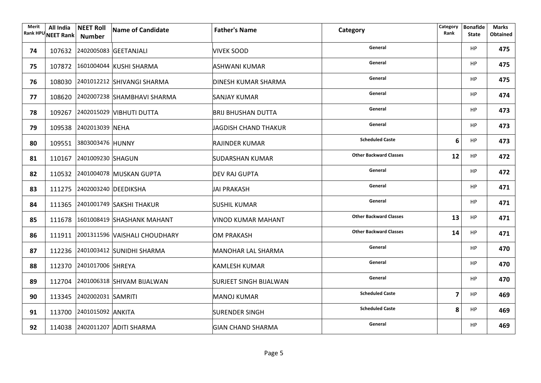| Merit | All India | <b>NEET Roll</b><br>Rank HPU NEET Rank Number | Name of Candidate                    | <b>Father's Name</b>          | Category                      | Category<br>Rank | <b>Bonafide</b><br><b>State</b> | Marks<br><b>Obtained</b> |
|-------|-----------|-----------------------------------------------|--------------------------------------|-------------------------------|-------------------------------|------------------|---------------------------------|--------------------------|
| 74    |           |                                               | 107632 2402005083 GEETANJALI         | VIVEK SOOD                    | General                       |                  | HP                              | 475                      |
| 75    |           |                                               | 107872 1601004044 KUSHI SHARMA       | ASHWANI KUMAR                 | General                       |                  | <b>HP</b>                       | 475                      |
| 76    |           |                                               | 108030 2401012212 SHIVANGI SHARMA    | <b>DINESH KUMAR SHARMA</b>    | General                       |                  | HP                              | 475                      |
| 77    |           |                                               | 108620 2402007238 SHAMBHAVI SHARMA   | <b>SANJAY KUMAR</b>           | General                       |                  | HP                              | 474                      |
| 78    |           |                                               | 109267 2402015029 VIBHUTI DUTTA      | <b>BRIJ BHUSHAN DUTTA</b>     | General                       |                  | <b>HP</b>                       | 473                      |
| 79    |           | 109538 2402013039 NEHA                        |                                      | JAGDISH CHAND THAKUR          | General                       |                  | <b>HP</b>                       | 473                      |
| 80    |           | 109551 3803003476 HUNNY                       |                                      | RAJINDER KUMAR                | <b>Scheduled Caste</b>        | 6                | <b>HP</b>                       | 473                      |
| 81    |           | 110167 2401009230 SHAGUN                      |                                      | SUDARSHAN KUMAR               | <b>Other Backward Classes</b> | 12               | <b>HP</b>                       | 472                      |
| 82    |           |                                               | 110532 2401004078 MUSKAN GUPTA       | <b>DEV RAJ GUPTA</b>          | General                       |                  | <b>HP</b>                       | 472                      |
| 83    |           |                                               | 111275 2402003240 DEEDIKSHA          | JAI PRAKASH                   | General                       |                  | <b>HP</b>                       | 471                      |
| 84    |           |                                               | 111365 2401001749 SAKSHI THAKUR      | <b>SUSHIL KUMAR</b>           | General                       |                  | <b>HP</b>                       | 471                      |
| 85    |           |                                               | 111678 1601008419 SHASHANK MAHANT    | <b>VINOD KUMAR MAHANT</b>     | <b>Other Backward Classes</b> | 13               | <b>HP</b>                       | 471                      |
| 86    |           |                                               | 111911 2001311596 VAISHALI CHOUDHARY | <b>OM PRAKASH</b>             | <b>Other Backward Classes</b> | 14               | HP                              | 471                      |
| 87    |           |                                               | 112236 2401003412 SUNIDHI SHARMA     | MANOHAR LAL SHARMA            | General                       |                  | <b>HP</b>                       | 470                      |
| 88    |           | 112370 2401017006 SHREYA                      |                                      | <b>KAMLESH KUMAR</b>          | General                       |                  | <b>HP</b>                       | 470                      |
| 89    |           |                                               | 112704 2401006318 SHIVAM BIJALWAN    | <b>SURJEET SINGH BIJALWAN</b> | General                       |                  | <b>HP</b>                       | 470                      |
| 90    |           | 113345 2402002031 SAMRITI                     |                                      | MANOJ KUMAR                   | <b>Scheduled Caste</b>        | 7                | <b>HP</b>                       | 469                      |
| 91    |           | 113700 2401015092 ANKITA                      |                                      | <b>SURENDER SINGH</b>         | <b>Scheduled Caste</b>        | 8                | <b>HP</b>                       | 469                      |
| 92    |           |                                               | 114038 2402011207 ADITI SHARMA       | <b>GIAN CHAND SHARMA</b>      | General                       |                  | <b>HP</b>                       | 469                      |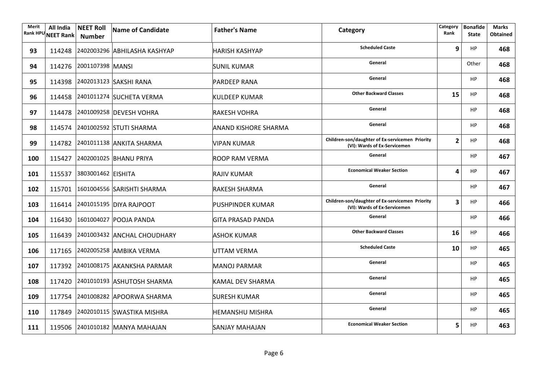| Merit<br><b>Rank HPU</b> | All India<br><b>NEET Rank</b> | <b>NEET Roll</b><br><b>Number</b> | Name of Candidate                   | <b>Father's Name</b>        | Category                                                                        | Category<br>Rank | <b>Bonafide</b><br><b>State</b> | <b>Marks</b><br><b>Obtained</b> |
|--------------------------|-------------------------------|-----------------------------------|-------------------------------------|-----------------------------|---------------------------------------------------------------------------------|------------------|---------------------------------|---------------------------------|
| 93                       |                               |                                   | 114248 2402003296 ABHILASHA KASHYAP | HARISH KASHYAP              | <b>Scheduled Caste</b>                                                          | 9                | HP                              | 468                             |
| 94                       |                               | 114276 2001107398 MANSI           |                                     | <b>SUNIL KUMAR</b>          | General                                                                         |                  | Other                           | 468                             |
| 95                       |                               |                                   | 114398 2402013123 SAKSHI RANA       | <b>PARDEEP RANA</b>         | General                                                                         |                  | <b>HP</b>                       | 468                             |
| 96                       |                               |                                   | 114458 2401011274 SUCHETA VERMA     | <b>KULDEEP KUMAR</b>        | <b>Other Backward Classes</b>                                                   | 15               | <b>HP</b>                       | 468                             |
| 97                       |                               |                                   | 114478 2401009258 DEVESH VOHRA      | <b>RAKESH VOHRA</b>         | General                                                                         |                  | <b>HP</b>                       | 468                             |
| 98                       |                               |                                   | 114574 2401002592 STUTI SHARMA      | <b>ANAND KISHORE SHARMA</b> | General                                                                         |                  | <b>HP</b>                       | 468                             |
| 99                       |                               |                                   | 114782 2401011138 ANKITA SHARMA     | VIPAN KUMAR                 | Children-son/daughter of Ex-servicemen Priority<br>(VI): Wards of Ex-Servicemen | $\overline{2}$   | <b>HP</b>                       | 468                             |
| 100                      |                               |                                   | 115427 2402001025 BHANU PRIYA       | ROOP RAM VERMA              | General                                                                         |                  | <b>HP</b>                       | 467                             |
| 101                      |                               | 115537 3803001462 EISHITA         |                                     | <b>RAJIV KUMAR</b>          | <b>Economical Weaker Section</b>                                                | 4                | <b>HP</b>                       | 467                             |
| 102                      |                               |                                   | 115701 1601004556 SARISHTI SHARMA   | RAKESH SHARMA               | General                                                                         |                  | HP                              | 467                             |
| 103                      |                               |                                   | 116414 2401015195 DIYA RAJPOOT      | <b>PUSHPINDER KUMAR</b>     | Children-son/daughter of Ex-servicemen Priority<br>(VI): Wards of Ex-Servicemen | 3                | <b>HP</b>                       | 466                             |
| 104                      |                               |                                   | 116430 1601004027 POOJA PANDA       | <b>GITA PRASAD PANDA</b>    | General                                                                         |                  | <b>HP</b>                       | 466                             |
| 105                      |                               |                                   | 116439 2401003432 ANCHAL CHOUDHARY  | <b>ASHOK KUMAR</b>          | <b>Other Backward Classes</b>                                                   | 16               | HP                              | 466                             |
| 106                      |                               |                                   | 117165 2402005258 AMBIKA VERMA      | UTTAM VERMA                 | <b>Scheduled Caste</b>                                                          | 10               | <b>HP</b>                       | 465                             |
| 107                      |                               |                                   | 117392 2401008175 AKANKSHA PARMAR   | MANOJ PARMAR                | General                                                                         |                  | <b>HP</b>                       | 465                             |
| 108                      |                               |                                   | 117420 2401010193 ASHUTOSH SHARMA   | <b>KAMAL DEV SHARMA</b>     | General                                                                         |                  | <b>HP</b>                       | 465                             |
| 109                      |                               |                                   | 117754 2401008282 APOORWA SHARMA    | <b>SURESH KUMAR</b>         | General                                                                         |                  | <b>HP</b>                       | 465                             |
| 110                      |                               |                                   | 117849 2402010115 SWASTIKA MISHRA   | <b>HEMANSHU MISHRA</b>      | General                                                                         |                  | <b>HP</b>                       | 465                             |
| 111                      |                               |                                   | 119506 2401010182 MANYA MAHAJAN     | SANJAY MAHAJAN              | <b>Economical Weaker Section</b>                                                | 5                | <b>HP</b>                       | 463                             |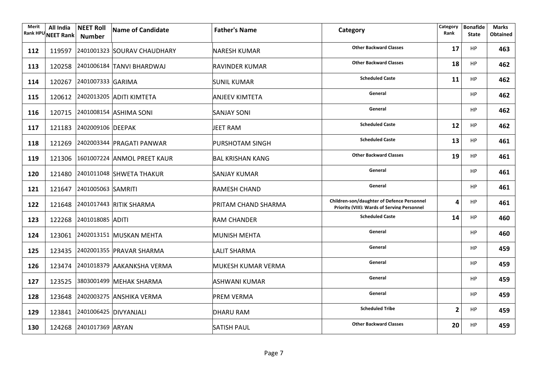| Merit | All India<br>Rank HPU NEET Rank | <b>NEET Roll</b><br><b>Number</b> | Name of Candidate                  | <b>Father's Name</b>    | Category                                                                                                | Category<br>Rank | <b>Bonafide</b><br><b>State</b> | <b>Marks</b><br><b>Obtained</b> |
|-------|---------------------------------|-----------------------------------|------------------------------------|-------------------------|---------------------------------------------------------------------------------------------------------|------------------|---------------------------------|---------------------------------|
| 112   |                                 |                                   | 119597 2401001323 SOURAV CHAUDHARY | <b>NARESH KUMAR</b>     | <b>Other Backward Classes</b>                                                                           | 17               | <b>HP</b>                       | 463                             |
| 113   |                                 |                                   | 120258 2401006184 TANVI BHARDWAJ   | RAVINDER KUMAR          | <b>Other Backward Classes</b>                                                                           | 18               | <b>HP</b>                       | 462                             |
| 114   |                                 | 120267 2401007333 GARIMA          |                                    | <b>SUNIL KUMAR</b>      | <b>Scheduled Caste</b>                                                                                  | 11               | <b>HP</b>                       | 462                             |
| 115   |                                 |                                   | 120612 2402013205 ADITI KIMTETA    | <b>ANJEEV KIMTETA</b>   | General                                                                                                 |                  | <b>HP</b>                       | 462                             |
| 116   |                                 |                                   | 120715 2401008154 ASHIMA SONI      | <b>SANJAY SONI</b>      | General                                                                                                 |                  | <b>HP</b>                       | 462                             |
| 117   |                                 | 121183 2402009106 DEEPAK          |                                    | <b>JEET RAM</b>         | <b>Scheduled Caste</b>                                                                                  | 12               | <b>HP</b>                       | 462                             |
| 118   |                                 |                                   | 121269 2402003344 PRAGATI PANWAR   | PURSHOTAM SINGH         | <b>Scheduled Caste</b>                                                                                  | 13               | <b>HP</b>                       | 461                             |
| 119   |                                 |                                   | 121306 1601007224 ANMOL PREET KAUR | <b>BAL KRISHAN KANG</b> | <b>Other Backward Classes</b>                                                                           | 19               | <b>HP</b>                       | 461                             |
| 120   |                                 |                                   | 121480 2401011048 SHWETA THAKUR    | <b>SANJAY KUMAR</b>     | General                                                                                                 |                  | <b>HP</b>                       | 461                             |
| 121   |                                 | 121647 2401005063 SAMRITI         |                                    | <b>RAMESH CHAND</b>     | General                                                                                                 |                  | <b>HP</b>                       | 461                             |
| 122   |                                 |                                   | 121648 2401017443 RITIK SHARMA     | PRITAM CHAND SHARMA     | <b>Children-son/daughter of Defence Personnel</b><br><b>Priority (VIII): Wards of Serving Personnel</b> | Δ                | HP                              | 461                             |
| 123   |                                 | 122268 2401018085 ADITI           |                                    | <b>RAM CHANDER</b>      | <b>Scheduled Caste</b>                                                                                  | 14               | HP                              | 460                             |
| 124   |                                 |                                   | 123061 2402013151 MUSKAN MEHTA     | <b>MUNISH MEHTA</b>     | General                                                                                                 |                  | HP                              | 460                             |
| 125   |                                 |                                   | 123435 2402001355 PRAVAR SHARMA    | <b>LALIT SHARMA</b>     | General                                                                                                 |                  | HP                              | 459                             |
| 126   |                                 |                                   | 123474 2401018379 AAKANKSHA VERMA  | MUKESH KUMAR VERMA      | General                                                                                                 |                  | HP                              | 459                             |
| 127   |                                 |                                   | 123525 3803001499 MEHAK SHARMA     | <b>ASHWANI KUMAR</b>    | General                                                                                                 |                  | HP                              | 459                             |
| 128   |                                 |                                   | 123648 2402003275 ANSHIKA VERMA    | <b>PREM VERMA</b>       | General                                                                                                 |                  | <b>HP</b>                       | 459                             |
| 129   |                                 | 123841 2401006425 DIVYANJALI      |                                    | <b>DHARU RAM</b>        | <b>Scheduled Tribe</b>                                                                                  | $\overline{2}$   | HP                              | 459                             |
| 130   |                                 | 124268 2401017369 ARYAN           |                                    | <b>SATISH PAUL</b>      | <b>Other Backward Classes</b>                                                                           | 20               | <b>HP</b>                       | 459                             |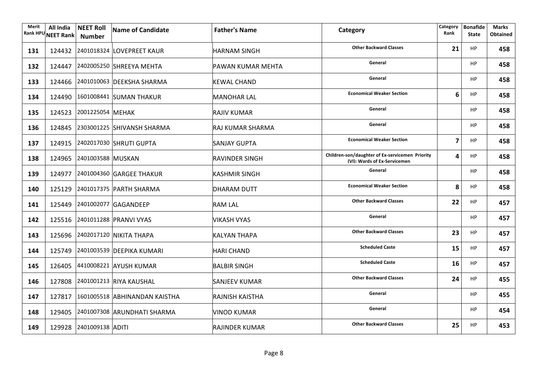| Merit | All India<br>Rank HPU NEET Rank | <b>NEET Roll</b><br>Number | Name of Candidate                    | <b>Father's Name</b>    | Category                                                                        | Category<br>Rank | <b>Bonafide</b><br><b>State</b> | <b>Marks</b><br><b>Obtained</b> |
|-------|---------------------------------|----------------------------|--------------------------------------|-------------------------|---------------------------------------------------------------------------------|------------------|---------------------------------|---------------------------------|
| 131   |                                 |                            | 124432 2401018324 LOVEPREET KAUR     | <b>HARNAM SINGH</b>     | <b>Other Backward Classes</b>                                                   | 21               | HP                              | 458                             |
| 132   |                                 |                            | 124447 2402005250 SHREEYA MEHTA      | PAWAN KUMAR MEHTA       | General                                                                         |                  | <b>HP</b>                       | 458                             |
| 133   |                                 |                            | 124466 2401010063 DEEKSHA SHARMA     | <b>KEWAL CHAND</b>      | General                                                                         |                  | <b>HP</b>                       | 458                             |
| 134   |                                 |                            | 124490 1601008441 SUMAN THAKUR       | <b>MANOHAR LAL</b>      | <b>Economical Weaker Section</b>                                                | 6                | HP                              | 458                             |
| 135   |                                 | 124523 2001225054 MEHAK    |                                      | <b>RAJIV KUMAR</b>      | General                                                                         |                  | HP                              | 458                             |
| 136   |                                 |                            | 124845 2303001225 SHIVANSH SHARMA    | <b>RAJ KUMAR SHARMA</b> | General                                                                         |                  | HP                              | 458                             |
| 137   |                                 |                            | 124915 2402017030 SHRUTI GUPTA       | <b>SANJAY GUPTA</b>     | <b>Economical Weaker Section</b>                                                | 7                | <b>HP</b>                       | 458                             |
| 138   |                                 | 124965 2401003588 MUSKAN   |                                      | <b>RAVINDER SINGH</b>   | Children-son/daughter of Ex-servicemen Priority<br>(VI): Wards of Ex-Servicemen | 4                | HP                              | 458                             |
| 139   |                                 |                            | 124977 2401004360 GARGEE THAKUR      | <b>KASHMIR SINGH</b>    | General                                                                         |                  | HP                              | 458                             |
| 140   |                                 |                            | 125129 2401017375 PARTH SHARMA       | <b>DHARAM DUTT</b>      | <b>Economical Weaker Section</b>                                                | 8                | <b>HP</b>                       | 458                             |
| 141   |                                 |                            | 125449 2401002077 GAGANDEEP          | <b>RAM LAL</b>          | <b>Other Backward Classes</b>                                                   | 22               | <b>HP</b>                       | 457                             |
| 142   |                                 |                            | 125516 2401011288 PRANVI VYAS        | <b>VIKASH VYAS</b>      | General                                                                         |                  | <b>HP</b>                       | 457                             |
| 143   |                                 |                            | 125696 2402017120 NIKITA THAPA       | <b>KALYAN THAPA</b>     | <b>Other Backward Classes</b>                                                   | 23               | <b>HP</b>                       | 457                             |
| 144   |                                 |                            | 125749 2401003539 DEEPIKA KUMARI     | <b>HARI CHAND</b>       | <b>Scheduled Caste</b>                                                          | 15               | HP                              | 457                             |
| 145   |                                 |                            | 126405 4410008221 AYUSH KUMAR        | <b>BALBIR SINGH</b>     | <b>Scheduled Caste</b>                                                          | 16               | HP                              | 457                             |
| 146   |                                 |                            | 127808 2401001213 RIYA KAUSHAL       | <b>SANJEEV KUMAR</b>    | <b>Other Backward Classes</b>                                                   | 24               | <b>HP</b>                       | 455                             |
| 147   |                                 |                            | 127817 1601005518 ABHINANDAN KAISTHA | <b>RAJNISH KAISTHA</b>  | General                                                                         |                  | HP                              | 455                             |
| 148   |                                 |                            | 129405 2401007308 ARUNDHATI SHARMA   | <b>VINOD KUMAR</b>      | General                                                                         |                  | HP                              | 454                             |
| 149   |                                 | 129928 2401009138 ADITI    |                                      | <b>RAJINDER KUMAR</b>   | <b>Other Backward Classes</b>                                                   | 25               | <b>HP</b>                       | 453                             |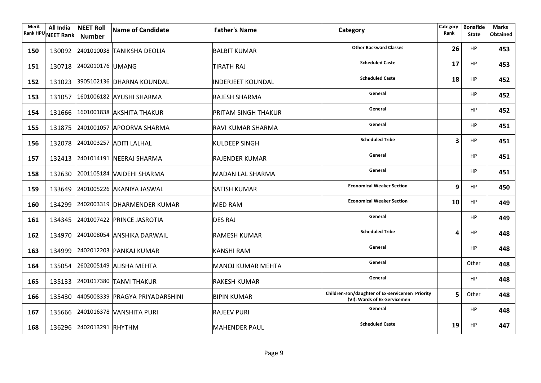| Merit | All India<br>Rank HPU NEET Rank | <b>NEET Roll</b><br>Number | Name of Candidate                      | <b>Father's Name</b>     | Category                                                                        | Category<br>Rank | <b>Bonafide</b><br><b>State</b> | <b>Marks</b><br><b>Obtained</b> |
|-------|---------------------------------|----------------------------|----------------------------------------|--------------------------|---------------------------------------------------------------------------------|------------------|---------------------------------|---------------------------------|
| 150   |                                 |                            | 130092 2401010038 TANIKSHA DEOLIA      | <b>BALBIT KUMAR</b>      | <b>Other Backward Classes</b>                                                   | 26               | HP                              | 453                             |
| 151   |                                 | 130718 2402010176 UMANG    |                                        | <b>TIRATH RAJ</b>        | <b>Scheduled Caste</b>                                                          | 17               | <b>HP</b>                       | 453                             |
| 152   |                                 |                            | 131023 3905102136 DHARNA KOUNDAL       | <b>INDERJEET KOUNDAL</b> | <b>Scheduled Caste</b>                                                          | 18               | <b>HP</b>                       | 452                             |
| 153   |                                 |                            | 131057 1601006182 AYUSHI SHARMA        | <b>RAJESH SHARMA</b>     | General                                                                         |                  | <b>HP</b>                       | 452                             |
| 154   |                                 |                            | 131666 1601001838 AKSHITA THAKUR       | PRITAM SINGH THAKUR      | General                                                                         |                  | <b>HP</b>                       | 452                             |
| 155   |                                 |                            | 131875 2401001057 APOORVA SHARMA       | RAVI KUMAR SHARMA        | General                                                                         |                  | <b>HP</b>                       | 451                             |
| 156   |                                 |                            | 132078 2401003257 ADITI LALHAL         | <b>KULDEEP SINGH</b>     | <b>Scheduled Tribe</b>                                                          | 3                | <b>HP</b>                       | 451                             |
| 157   |                                 |                            | 132413 2401014191 NEERAJ SHARMA        | RAJENDER KUMAR           | General                                                                         |                  | <b>HP</b>                       | 451                             |
| 158   |                                 |                            | 132630 2001105184 VAIDEHI SHARMA       | <b>MADAN LAL SHARMA</b>  | General                                                                         |                  | HP                              | 451                             |
| 159   |                                 |                            | 133649 2401005226 AKANIYA JASWAL       | <b>SATISH KUMAR</b>      | <b>Economical Weaker Section</b>                                                | 9                | HP                              | 450                             |
| 160   |                                 |                            | 134299 2402003319 DHARMENDER KUMAR     | <b>MED RAM</b>           | <b>Economical Weaker Section</b>                                                | 10               | <b>HP</b>                       | 449                             |
| 161   |                                 |                            | 134345 2401007422 PRINCE JASROTIA      | <b>DES RAJ</b>           | General                                                                         |                  | <b>HP</b>                       | 449                             |
| 162   |                                 |                            | 134970 2401008054 ANSHIKA DARWAIL      | <b>RAMESH KUMAR</b>      | <b>Scheduled Tribe</b>                                                          | 4                | <b>HP</b>                       | 448                             |
| 163   |                                 |                            | 134999 2402012203 PANKAJ KUMAR         | <b>KANSHI RAM</b>        | General                                                                         |                  | <b>HP</b>                       | 448                             |
| 164   |                                 |                            | 135054 2602005149 ALISHA MEHTA         | MANOJ KUMAR MEHTA        | General                                                                         |                  | Other                           | 448                             |
| 165   |                                 |                            | 135133 2401017380 TANVI THAKUR         | <b>RAKESH KUMAR</b>      | General                                                                         |                  | <b>HP</b>                       | 448                             |
| 166   |                                 |                            | 135430 4405008339 PRAGYA PRIYADARSHINI | <b>BIPIN KUMAR</b>       | Children-son/daughter of Ex-servicemen Priority<br>(VI): Wards of Ex-Servicemen | 5                | Other                           | 448                             |
| 167   |                                 |                            | 135666 2401016378 VANSHITA PURI        | <b>RAJEEV PURI</b>       | General                                                                         |                  | HP                              | 448                             |
| 168   |                                 | 136296 2402013291 RHYTHM   |                                        | <b>MAHENDER PAUL</b>     | <b>Scheduled Caste</b>                                                          | 19               | <b>HP</b>                       | 447                             |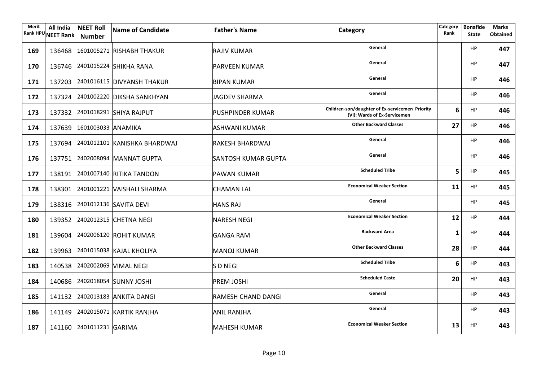| Merit | All India<br>Rank HPU NEET Rank | <b>NEET Roll</b><br>Number   | Name of Candidate                   | <b>Father's Name</b>      | Category                                                                        | Category<br>Rank | <b>Bonafide</b><br><b>State</b> | <b>Marks</b><br><b>Obtained</b> |
|-------|---------------------------------|------------------------------|-------------------------------------|---------------------------|---------------------------------------------------------------------------------|------------------|---------------------------------|---------------------------------|
| 169   |                                 |                              | 136468 1601005271 RISHABH THAKUR    | RAJIV KUMAR               | General                                                                         |                  | HP                              | 447                             |
| 170   |                                 |                              | 136746 2401015224 SHIKHA RANA       | <b>PARVEEN KUMAR</b>      | General                                                                         |                  | HP                              | 447                             |
| 171   |                                 |                              | 137203 2401016115 DIVYANSH THAKUR   | <b>BIPAN KUMAR</b>        | General                                                                         |                  | HP                              | 446                             |
| 172   |                                 |                              | 137324 2401002220 DIKSHA SANKHYAN   | <b>JAGDEV SHARMA</b>      | General                                                                         |                  | HP                              | 446                             |
| 173   |                                 |                              | 137332 2401018291 SHIYA RAJPUT      | <b>PUSHPINDER KUMAR</b>   | Children-son/daughter of Ex-servicemen Priority<br>(VI): Wards of Ex-Servicemen | 6                | HP                              | 446                             |
| 174   |                                 | 137639 1601003033 ANAMIKA    |                                     | <b>ASHWANI KUMAR</b>      | <b>Other Backward Classes</b>                                                   | 27               | HP                              | 446                             |
| 175   |                                 |                              | 137694 2401012101 KANISHKA BHARDWAJ | <b>RAKESH BHARDWAJ</b>    | General                                                                         |                  | HP                              | 446                             |
| 176   |                                 |                              | 137751 2402008094 MANNAT GUPTA      | SANTOSH KUMAR GUPTA       | General                                                                         |                  | HP                              | 446                             |
| 177   |                                 |                              | 138191 2401007140 RITIKA TANDON     | <b>PAWAN KUMAR</b>        | <b>Scheduled Tribe</b>                                                          | 5                | HP                              | 445                             |
| 178   |                                 |                              | 138301 2401001221 VAISHALI SHARMA   | <b>CHAMAN LAL</b>         | <b>Economical Weaker Section</b>                                                | 11               | HP.                             | 445                             |
| 179   |                                 |                              | 138316 2401012136 SAVITA DEVI       | <b>HANS RAJ</b>           | General                                                                         |                  | HP.                             | 445                             |
| 180   |                                 |                              | 139352 2402012315 CHETNA NEGI       | <b>NARESH NEGI</b>        | <b>Economical Weaker Section</b>                                                | 12               | HP                              | 444                             |
| 181   |                                 |                              | 139604 2402006120 ROHIT KUMAR       | <b>GANGA RAM</b>          | <b>Backward Area</b>                                                            | 1                | HP                              | 444                             |
| 182   |                                 |                              | 139963 2401015038 KAJAL KHOLIYA     | MANOJ KUMAR               | <b>Other Backward Classes</b>                                                   | 28               | HP                              | 444                             |
| 183   |                                 | 140538 2402002069 VIMAL NEGI |                                     | <b>SDNEGI</b>             | <b>Scheduled Tribe</b>                                                          | 6                | HP.                             | 443                             |
| 184   |                                 |                              | 140686 2402018054 SUNNY JOSHI       | <b>PREM JOSHI</b>         | <b>Scheduled Caste</b>                                                          | 20               | HP.                             | 443                             |
| 185   |                                 |                              | 141132 2402013183 ANKITA DANGI      | <b>RAMESH CHAND DANGI</b> | General                                                                         |                  | HP.                             | 443                             |
| 186   |                                 |                              | 141149 2402015071 KARTIK RANJHA     | <b>ANIL RANJHA</b>        | General                                                                         |                  | HP.                             | 443                             |
| 187   |                                 | 141160 2401011231 GARIMA     |                                     | <b>MAHESH KUMAR</b>       | <b>Economical Weaker Section</b>                                                | 13               | HP                              | 443                             |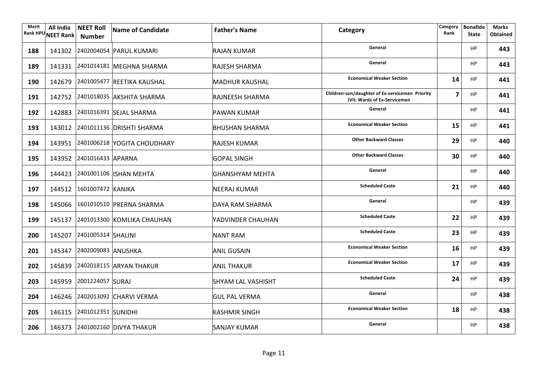| Merit<br><b>Rank HPU</b> | All India<br><b>NEET Rank</b> | <b>NEET Roll</b><br>Number | Name of Candidate                  | <b>Father's Name</b>      | Category                                                                        | Category<br>Rank        | <b>Bonafide</b><br><b>State</b> | <b>Marks</b><br><b>Obtained</b> |
|--------------------------|-------------------------------|----------------------------|------------------------------------|---------------------------|---------------------------------------------------------------------------------|-------------------------|---------------------------------|---------------------------------|
| 188                      |                               |                            | 141302 2402004054 PARUL KUMARI     | RAJAN KUMAR               | General                                                                         |                         | HP                              | 443                             |
| 189                      |                               |                            | 141331 2401014181 MEGHNA SHARMA    | <b>RAJESH SHARMA</b>      | General                                                                         |                         | HP                              | 443                             |
| 190                      |                               |                            | 142679 2401005477 REETIKA KAUSHAL  | <b>MADHUR KAUSHAL</b>     | <b>Economical Weaker Section</b>                                                | 14                      | <b>HP</b>                       | 441                             |
| 191                      |                               |                            | 142752 2401018035 AKSHITA SHARMA   | <b>RAJNEESH SHARMA</b>    | Children-son/daughter of Ex-servicemen Priority<br>(VI): Wards of Ex-Servicemen | $\overline{\mathbf{z}}$ | <b>HP</b>                       | 441                             |
| 192                      |                               |                            | 142883 2401016391 SEJAL SHARMA     | <b>PAWAN KUMAR</b>        | General                                                                         |                         | <b>HP</b>                       | 441                             |
| 193                      |                               |                            | 143012 2401011136 DRISHTI SHARMA   | <b>BHUSHAN SHARMA</b>     | <b>Economical Weaker Section</b>                                                | 15                      | <b>HP</b>                       | 441                             |
| 194                      |                               |                            | 143951 2401006218 YOGITA CHOUDHARY | RAJESH KUMAR              | <b>Other Backward Classes</b>                                                   | 29                      | <b>HP</b>                       | 440                             |
| 195                      |                               | 143952 2401016433 APARNA   |                                    | <b>GOPAL SINGH</b>        | <b>Other Backward Classes</b>                                                   | 30                      | <b>HP</b>                       | 440                             |
| 196                      |                               |                            | 144423 2401001106 ISHAN MEHTA      | <b>GHANSHYAM MEHTA</b>    | General                                                                         |                         | <b>HP</b>                       | 440                             |
| 197                      |                               | 144512 1601007472 KANIKA   |                                    | <b>NEERAJ KUMAR</b>       | <b>Scheduled Caste</b>                                                          | 21                      | HP                              | 440                             |
| 198                      |                               |                            | 145066 1601010510 PRERNA SHARMA    | DAYA RAM SHARMA           | General                                                                         |                         | <b>HP</b>                       | 439                             |
| 199                      |                               |                            | 145137 2401013300 KOMLIKA CHAUHAN  | YADVINDER CHAUHAN         | <b>Scheduled Caste</b>                                                          | 22                      | <b>HP</b>                       | 439                             |
| 200                      |                               | 145207 2401005314 SHALINI  |                                    | <b>NANT RAM</b>           | <b>Scheduled Caste</b>                                                          | 23                      | <b>HP</b>                       | 439                             |
| 201                      |                               | 145347 2402009083 ANUSHKA  |                                    | <b>ANIL GUSAIN</b>        | <b>Economical Weaker Section</b>                                                | 16                      | <b>HP</b>                       | 439                             |
| 202                      |                               |                            | 145839 2402018115 ARYAN THAKUR     | <b>ANIL THAKUR</b>        | <b>Economical Weaker Section</b>                                                | 17                      | <b>HP</b>                       | 439                             |
| 203                      |                               | 145959 2001224057 SURAJ    |                                    | <b>SHYAM LAL VASHISHT</b> | <b>Scheduled Caste</b>                                                          | 24                      | <b>HP</b>                       | 439                             |
| 204                      |                               |                            | 146246 2402013092 CHARVI VERMA     | <b>GUL PAL VERMA</b>      | General                                                                         |                         | <b>HP</b>                       | 438                             |
| 205                      |                               | 146315 2401012351 SUNIDHI  |                                    | <b>KASHMIR SINGH</b>      | <b>Economical Weaker Section</b>                                                | 18                      | <b>HP</b>                       | 438                             |
| 206                      |                               |                            | 146373 2401002160 DIVYA THAKUR     | <b>SANJAY KUMAR</b>       | General                                                                         |                         | <b>HP</b>                       | 438                             |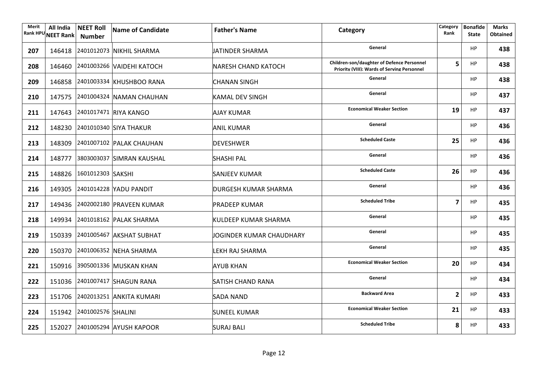| Merit | All India<br>Rank HPU NEET Rank | <b>NEET Roll</b><br><b>Number</b> | Name of Candidate                | <b>Father's Name</b>        | Category                                                                                  | Category<br>Rank | <b>Bonafide</b><br><b>State</b> | Marks<br><b>Obtained</b> |
|-------|---------------------------------|-----------------------------------|----------------------------------|-----------------------------|-------------------------------------------------------------------------------------------|------------------|---------------------------------|--------------------------|
| 207   |                                 |                                   | 146418 2401012073 NIKHIL SHARMA  | JATINDER SHARMA             | General                                                                                   |                  | HP                              | 438                      |
| 208   |                                 |                                   | 146460 2401003266 VAIDEHI KATOCH | <b>NARESH CHAND KATOCH</b>  | Children-son/daughter of Defence Personnel<br>Priority (VIII): Wards of Serving Personnel | 5                | HP                              | 438                      |
| 209   |                                 |                                   | 146858 2401003334 KHUSHBOO RANA  | <b>CHANAN SINGH</b>         | General                                                                                   |                  | HP                              | 438                      |
| 210   |                                 |                                   | 147575 2401004324 NAMAN CHAUHAN  | <b>KAMAL DEV SINGH</b>      | General                                                                                   |                  | HP                              | 437                      |
| 211   |                                 |                                   | 147643 2401017471 RIYA KANGO     | <b>AJAY KUMAR</b>           | <b>Economical Weaker Section</b>                                                          | 19               | HP                              | 437                      |
| 212   |                                 |                                   | 148230 2401010340 SIYA THAKUR    | <b>ANIL KUMAR</b>           | General                                                                                   |                  | HP                              | 436                      |
| 213   |                                 |                                   | 148309 2401007102 PALAK CHAUHAN  | DEVESHWER                   | <b>Scheduled Caste</b>                                                                    | 25               | HP                              | 436                      |
| 214   |                                 |                                   | 148777 3803003037 SIMRAN KAUSHAL | <b>SHASHI PAL</b>           | General                                                                                   |                  | HP                              | 436                      |
| 215   |                                 | 148826 1601012303 SAKSHI          |                                  | <b>SANJEEV KUMAR</b>        | <b>Scheduled Caste</b>                                                                    | 26               | HP                              | 436                      |
| 216   |                                 |                                   | 149305 2401014228 YADU PANDIT    | <b>DURGESH KUMAR SHARMA</b> | General                                                                                   |                  | HP                              | 436                      |
| 217   |                                 |                                   | 149436 2402002180 PRAVEEN KUMAR  | <b>PRADEEP KUMAR</b>        | <b>Scheduled Tribe</b>                                                                    | 7                | HP                              | 435                      |
| 218   |                                 |                                   | 149934 2401018162 PALAK SHARMA   | <b>KULDEEP KUMAR SHARMA</b> | General                                                                                   |                  | HP                              | 435                      |
| 219   |                                 |                                   | 150339 2401005467 AKSHAT SUBHAT  | JOGINDER KUMAR CHAUDHARY    | General                                                                                   |                  | HP                              | 435                      |
| 220   |                                 |                                   | 150370 2401006352 NEHA SHARMA    | LEKH RAJ SHARMA             | General                                                                                   |                  | HP                              | 435                      |
| 221   |                                 |                                   | 150916 3905001336 MUSKAN KHAN    | <b>AYUB KHAN</b>            | <b>Economical Weaker Section</b>                                                          | 20               | HP                              | 434                      |
| 222   |                                 |                                   | 151036 2401007417 SHAGUN RANA    | <b>SATISH CHAND RANA</b>    | General                                                                                   |                  | HP                              | 434                      |
| 223   |                                 |                                   | 151706 2402013251 ANKITA KUMARI  | <b>SADA NAND</b>            | <b>Backward Area</b>                                                                      | $\overline{2}$   | HP                              | 433                      |
| 224   |                                 | 151942 2401002576 SHALINI         |                                  | <b>SUNEEL KUMAR</b>         | <b>Economical Weaker Section</b>                                                          | 21               | <b>HP</b>                       | 433                      |
| 225   |                                 |                                   | 152027 2401005294 AYUSH KAPOOR   | <b>SURAJ BALI</b>           | <b>Scheduled Tribe</b>                                                                    | 8                | <b>HP</b>                       | 433                      |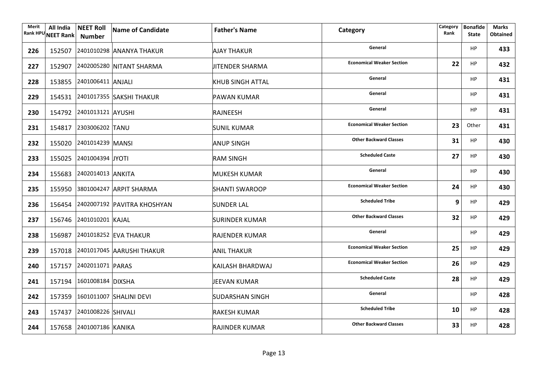| Merit | All India<br>Rank HPU NEET Rank   Number | <b>NEET Roll</b>          | Name of Candidate                  | <b>Father's Name</b>    | Category                         | Category<br>Rank | <b>Bonafide</b><br><b>State</b> | <b>Marks</b><br><b>Obtained</b> |
|-------|------------------------------------------|---------------------------|------------------------------------|-------------------------|----------------------------------|------------------|---------------------------------|---------------------------------|
| 226   |                                          |                           | 152507 2401010298 ANANYA THAKUR    | <b>AJAY THAKUR</b>      | General                          |                  | HP                              | 433                             |
| 227   |                                          |                           | 152907 2402005280 NITANT SHARMA    | <b>JITENDER SHARMA</b>  | <b>Economical Weaker Section</b> | 22               | <b>HP</b>                       | 432                             |
| 228   |                                          | 153855 2401006411 ANJALI  |                                    | <b>KHUB SINGH ATTAL</b> | General                          |                  | HP                              | 431                             |
| 229   |                                          |                           | 154531 2401017355 SAKSHI THAKUR    | <b>PAWAN KUMAR</b>      | General                          |                  | HP                              | 431                             |
| 230   |                                          | 154792 2401013121 AYUSHI  |                                    | RAJNEESH                | General                          |                  | HP                              | 431                             |
| 231   |                                          | 154817 2303006202 TANU    |                                    | <b>SUNIL KUMAR</b>      | <b>Economical Weaker Section</b> | 23               | Other                           | 431                             |
| 232   |                                          | 155020 2401014239 MANSI   |                                    | <b>ANUP SINGH</b>       | <b>Other Backward Classes</b>    | 31               | HP                              | 430                             |
| 233   |                                          | 155025 2401004394 JYOTI   |                                    | <b>RAM SINGH</b>        | <b>Scheduled Caste</b>           | 27               | <b>HP</b>                       | 430                             |
| 234   |                                          | 155683 2402014013 ANKITA  |                                    | <b>MUKESH KUMAR</b>     | General                          |                  | <b>HP</b>                       | 430                             |
| 235   |                                          |                           | 155950 3801004247 ARPIT SHARMA     | <b>SHANTI SWAROOP</b>   | <b>Economical Weaker Section</b> | 24               | <b>HP</b>                       | 430                             |
| 236   |                                          |                           | 156454 2402007192 PAVITRA KHOSHYAN | <b>SUNDER LAL</b>       | <b>Scheduled Tribe</b>           | 9                | <b>HP</b>                       | 429                             |
| 237   |                                          | 156746 2401010201 KAJAL   |                                    | SURINDER KUMAR          | <b>Other Backward Classes</b>    | 32               | <b>HP</b>                       | 429                             |
| 238   |                                          |                           | 156987 2401018252 EVA THAKUR       | RAJENDER KUMAR          | General                          |                  | <b>HP</b>                       | 429                             |
| 239   |                                          |                           | 157018 2401017045 AARUSHI THAKUR   | <b>ANIL THAKUR</b>      | <b>Economical Weaker Section</b> | 25               | HP                              | 429                             |
| 240   |                                          | 157157 2402011071 PARAS   |                                    | KAILASH BHARDWAJ        | <b>Economical Weaker Section</b> | 26               | <b>HP</b>                       | 429                             |
| 241   |                                          | 157194 1601008184 DIXSHA  |                                    | JEEVAN KUMAR            | <b>Scheduled Caste</b>           | 28               | HP                              | 429                             |
| 242   |                                          |                           | 157359 1601011007 SHALINI DEVI     | <b>SUDARSHAN SINGH</b>  | General                          |                  | <b>HP</b>                       | 428                             |
| 243   |                                          | 157437 2401008226 SHIVALI |                                    | <b>RAKESH KUMAR</b>     | <b>Scheduled Tribe</b>           | 10               | <b>HP</b>                       | 428                             |
| 244   |                                          | 157658 2401007186 KANIKA  |                                    | <b>RAJINDER KUMAR</b>   | <b>Other Backward Classes</b>    | 33               | <b>HP</b>                       | 428                             |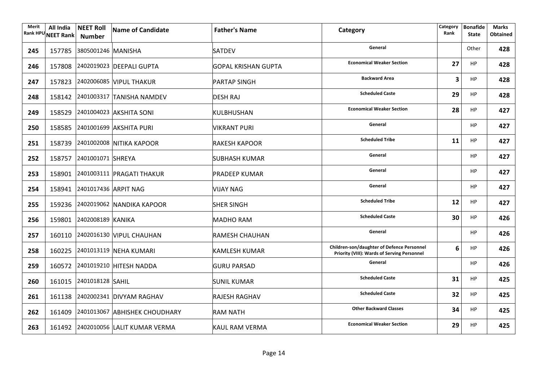| Merit<br><b>Rank HPU</b> | All India<br><b>NEET Rank</b> | <b>NEET Roll</b><br><b>Number</b> | Name of Candidate                    | <b>Father's Name</b>       | Category                                                                                         | Category<br>Rank | <b>Bonafide</b><br><b>State</b> | <b>Marks</b><br><b>Obtained</b> |
|--------------------------|-------------------------------|-----------------------------------|--------------------------------------|----------------------------|--------------------------------------------------------------------------------------------------|------------------|---------------------------------|---------------------------------|
| 245                      |                               | 157785 3805001246 MANISHA         |                                      | <b>SATDEV</b>              | General                                                                                          |                  | Other                           | 428                             |
| 246                      |                               |                                   | 157808 2402019023 DEEPALI GUPTA      | <b>GOPAL KRISHAN GUPTA</b> | <b>Economical Weaker Section</b>                                                                 | 27               | HP                              | 428                             |
| 247                      |                               |                                   | 157823 2402006085 VIPUL THAKUR       | <b>PARTAP SINGH</b>        | <b>Backward Area</b>                                                                             | 3                | HP.                             | 428                             |
| 248                      |                               |                                   | 158142 2401003317 TANISHA NAMDEV     | <b>DESH RAJ</b>            | <b>Scheduled Caste</b>                                                                           | 29               | HP.                             | 428                             |
| 249                      |                               |                                   | 158529 2401004023 AKSHITA SONI       | KULBHUSHAN                 | <b>Economical Weaker Section</b>                                                                 | 28               | HP                              | 427                             |
| 250                      |                               |                                   | 158585 2401001699 AKSHITA PURI       | <b>VIKRANT PURI</b>        | General                                                                                          |                  | HP                              | 427                             |
| 251                      |                               |                                   | 158739 2401002008 NITIKA KAPOOR      | RAKESH KAPOOR              | <b>Scheduled Tribe</b>                                                                           | 11               | HP                              | 427                             |
| 252                      |                               | 158757 2401001071 SHREYA          |                                      | SUBHASH KUMAR              | General                                                                                          |                  | HP                              | 427                             |
| 253                      |                               |                                   | 158901 2401003111 PRAGATI THAKUR     | <b>PRADEEP KUMAR</b>       | General                                                                                          |                  | HP                              | 427                             |
| 254                      |                               | 158941 2401017436 ARPIT NAG       |                                      | <b>VIJAY NAG</b>           | General                                                                                          |                  | HP.                             | 427                             |
| 255                      |                               |                                   | 159236 2402019062 NANDIKA KAPOOR     | <b>SHER SINGH</b>          | <b>Scheduled Tribe</b>                                                                           | 12               | HP                              | 427                             |
| 256                      |                               | 159801 2402008189 KANIKA          |                                      | <b>MADHO RAM</b>           | <b>Scheduled Caste</b>                                                                           | 30               | HP                              | 426                             |
| 257                      |                               |                                   | 160110 2402016130 VIPUL CHAUHAN      | <b>RAMESH CHAUHAN</b>      | General                                                                                          |                  | HP                              | 426                             |
| 258                      |                               |                                   | 160225 2401013119 NEHA KUMARI        | <b>KAMLESH KUMAR</b>       | Children-son/daughter of Defence Personnel<br><b>Priority (VIII): Wards of Serving Personnel</b> | 6                | HP.                             | 426                             |
| 259                      |                               |                                   | 160572 2401019210 HITESH NADDA       | <b>GURU PARSAD</b>         | General                                                                                          |                  | HP                              | 426                             |
| 260                      |                               | 161015 2401018128 SAHIL           |                                      | <b>SUNIL KUMAR</b>         | <b>Scheduled Caste</b>                                                                           | 31               | HP                              | 425                             |
| 261                      |                               |                                   | 161138 2402002341 DIVYAM RAGHAV      | <b>RAJESH RAGHAV</b>       | <b>Scheduled Caste</b>                                                                           | 32               | HP                              | 425                             |
| 262                      |                               |                                   | 161409 2401013067 ABHISHEK CHOUDHARY | <b>RAM NATH</b>            | <b>Other Backward Classes</b>                                                                    | 34               | HP                              | 425                             |
| 263                      |                               |                                   | 161492 2402010056 LALIT KUMAR VERMA  | <b>KAUL RAM VERMA</b>      | <b>Economical Weaker Section</b>                                                                 | 29               | HP                              | 425                             |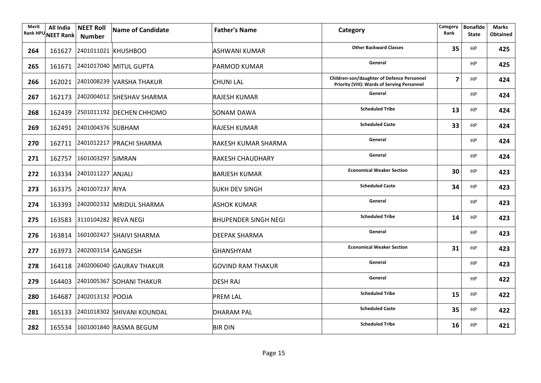| Merit<br><b>Rank HPU</b> | All India | <b>NEET Roll</b><br>NEET Rank Number | Name of Candidate                 | <b>Father's Name</b>        | Category                                                                                  | Category<br>Rank | <b>Bonafide</b><br><b>State</b> | <b>Marks</b><br><b>Obtained</b> |
|--------------------------|-----------|--------------------------------------|-----------------------------------|-----------------------------|-------------------------------------------------------------------------------------------|------------------|---------------------------------|---------------------------------|
| 264                      |           |                                      | 161627 2401011021 KHUSHBOO        | ASHWANI KUMAR               | <b>Other Backward Classes</b>                                                             | 35               | HP                              | 425                             |
| 265                      |           |                                      | 161671 2401017040 MITUL GUPTA     | PARMOD KUMAR                | General                                                                                   |                  | HP                              | 425                             |
| 266                      |           |                                      | 162021 2401008239 VARSHA THAKUR   | <b>CHUNI LAL</b>            | Children-son/daughter of Defence Personnel<br>Priority (VIII): Wards of Serving Personnel | $\overline{7}$   | HP                              | 424                             |
| 267                      |           |                                      | 162173 2402004012 SHESHAV SHARMA  | <b>RAJESH KUMAR</b>         | General                                                                                   |                  | HP                              | 424                             |
| 268                      |           |                                      | 162439 2501011192 DECHEN CHHOMO   | <b>SONAM DAWA</b>           | <b>Scheduled Tribe</b>                                                                    | 13               | HP                              | 424                             |
| 269                      |           | 162491 2401004376 SUBHAM             |                                   | <b>RAJESH KUMAR</b>         | <b>Scheduled Caste</b>                                                                    | 33               | HP                              | 424                             |
| 270                      |           |                                      | 162711 2401012217 PRACHI SHARMA   | RAKESH KUMAR SHARMA         | General                                                                                   |                  | HP.                             | 424                             |
| 271                      |           | 162757 1601003297 SIMRAN             |                                   | <b>RAKESH CHAUDHARY</b>     | General                                                                                   |                  | HP                              | 424                             |
| 272                      |           | 163334 2401011227 ANJALI             |                                   | <b>BARJESH KUMAR</b>        | <b>Economical Weaker Section</b>                                                          | 30               | <b>HP</b>                       | 423                             |
| 273                      |           | 163375 2401007237 RIYA               |                                   | <b>SUKH DEV SINGH</b>       | <b>Scheduled Caste</b>                                                                    | 34               | HP                              | 423                             |
| 274                      |           |                                      | 163393 2402002332 MRIDUL SHARMA   | <b>ASHOK KUMAR</b>          | General                                                                                   |                  | HP                              | 423                             |
| 275                      |           | 163583 3110104282 REVA NEGI          |                                   | <b>BHUPENDER SINGH NEGI</b> | <b>Scheduled Tribe</b>                                                                    | 14               | HP                              | 423                             |
| 276                      |           |                                      | 163814 1601002427 SHAIVI SHARMA   | DEEPAK SHARMA               | General                                                                                   |                  | HP                              | 423                             |
| 277                      |           | 163973 2402003154 GANGESH            |                                   | GHANSHYAM                   | <b>Economical Weaker Section</b>                                                          | 31               | HP                              | 423                             |
| 278                      |           |                                      | 164118 2402006040 GAURAV THAKUR   | <b>GOVIND RAM THAKUR</b>    | General                                                                                   |                  | HP                              | 423                             |
| 279                      |           |                                      | 164403 2401005367 SOHANI THAKUR   | <b>DESH RAJ</b>             | General                                                                                   |                  | HP                              | 422                             |
| 280                      |           | 164687 2402013132 POOJA              |                                   | <b>PREM LAL</b>             | <b>Scheduled Tribe</b>                                                                    | 15               | HP                              | 422                             |
| 281                      |           |                                      | 165133 2401018302 SHIVANI KOUNDAL | <b>DHARAM PAL</b>           | <b>Scheduled Caste</b>                                                                    | 35               | HP                              | 422                             |
| 282                      |           |                                      | 165534 1601001840 RASMA BEGUM     | <b>BIR DIN</b>              | <b>Scheduled Tribe</b>                                                                    | 16               | HP.                             | 421                             |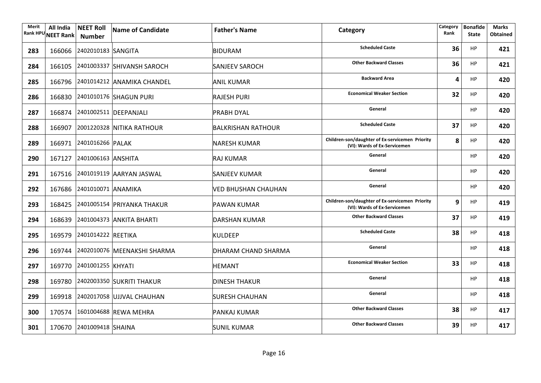| <b>Merit</b> | All India<br>Rank HPU NEET Rank | <b>NEET Roll</b><br>Number | Name of Candidate                  | <b>Father's Name</b>       | Category                                                                        | Category<br>Rank | <b>Bonafide</b><br><b>State</b> | <b>Marks</b><br><b>Obtained</b> |
|--------------|---------------------------------|----------------------------|------------------------------------|----------------------------|---------------------------------------------------------------------------------|------------------|---------------------------------|---------------------------------|
| 283          |                                 | 166066 2402010183 SANGITA  |                                    | <b>BIDURAM</b>             | <b>Scheduled Caste</b>                                                          | 36               | <b>HP</b>                       | 421                             |
| 284          |                                 |                            | 166105 2401003337 SHIVANSH SAROCH  | <b>SANJEEV SAROCH</b>      | <b>Other Backward Classes</b>                                                   | 36               | HP                              | 421                             |
| 285          |                                 |                            | 166796 2401014212 ANAMIKA CHANDEL  | <b>ANIL KUMAR</b>          | <b>Backward Area</b>                                                            | 4                | <b>HP</b>                       | 420                             |
| 286          |                                 |                            | 166830 2401010176 SHAGUN PURI      | <b>RAJESH PURI</b>         | <b>Economical Weaker Section</b>                                                | 32               | HP                              | 420                             |
| 287          |                                 |                            | 166874 2401002511 DEEPANJALI       | <b>PRABH DYAL</b>          | General                                                                         |                  | HP                              | 420                             |
| 288          |                                 |                            | 166907 2001220328 NITIKA RATHOUR   | <b>BALKRISHAN RATHOUR</b>  | <b>Scheduled Caste</b>                                                          | 37               | HP                              | 420                             |
| 289          |                                 | 166971 2401016266 PALAK    |                                    | <b>NARESH KUMAR</b>        | Children-son/daughter of Ex-servicemen Priority<br>(VI): Wards of Ex-Servicemen | 8                | HP                              | 420                             |
| 290          |                                 | 167127 2401006163 ANSHITA  |                                    | RAJ KUMAR                  | General                                                                         |                  | HP                              | 420                             |
| 291          |                                 |                            | 167516 2401019119 AARYAN JASWAL    | SANJEEV KUMAR              | General                                                                         |                  | <b>HP</b>                       | 420                             |
| 292          |                                 | 167686 2401010071 ANAMIKA  |                                    | <b>VED BHUSHAN CHAUHAN</b> | General                                                                         |                  | <b>HP</b>                       | 420                             |
| 293          |                                 |                            | 168425 2401005154 PRIYANKA THAKUR  | <b>PAWAN KUMAR</b>         | Children-son/daughter of Ex-servicemen Priority<br>(VI): Wards of Ex-Servicemen | 9                | <b>HP</b>                       | 419                             |
| 294          |                                 |                            | 168639 2401004373 ANKITA BHARTI    | <b>DARSHAN KUMAR</b>       | <b>Other Backward Classes</b>                                                   | 37               | HP                              | 419                             |
| 295          |                                 | 169579 2401014222 REETIKA  |                                    | <b>KULDEEP</b>             | <b>Scheduled Caste</b>                                                          | 38               | <b>HP</b>                       | 418                             |
| 296          |                                 |                            | 169744 2402010076 MEENAKSHI SHARMA | DHARAM CHAND SHARMA        | General                                                                         |                  | HP                              | 418                             |
| 297          |                                 | 169770 2401001255 KHYATI   |                                    | <b>HEMANT</b>              | <b>Economical Weaker Section</b>                                                | 33               | HP                              | 418                             |
| 298          |                                 |                            | 169780 2402003350 SUKRITI THAKUR   | <b>DINESH THAKUR</b>       | General                                                                         |                  | <b>HP</b>                       | 418                             |
| 299          |                                 |                            | 169918 2402017058 UJJVAL CHAUHAN   | <b>SURESH CHAUHAN</b>      | General                                                                         |                  | <b>HP</b>                       | 418                             |
| 300          |                                 |                            | 170574 1601004688 REWA MEHRA       | <b>PANKAJ KUMAR</b>        | <b>Other Backward Classes</b>                                                   | 38               | HP                              | 417                             |
| 301          |                                 | 170670 2401009418 SHAINA   |                                    | <b>SUNIL KUMAR</b>         | <b>Other Backward Classes</b>                                                   | 39               | <b>HP</b>                       | 417                             |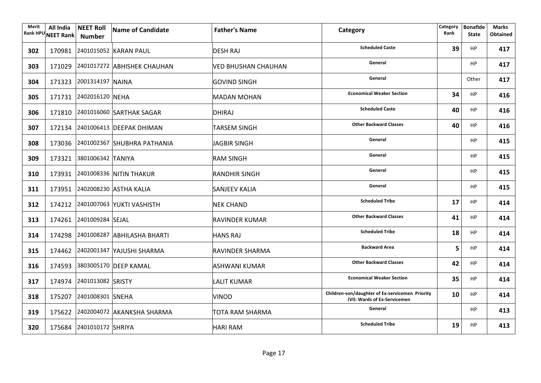| Merit | All India<br>Rank HPU NEET Rank | <b>NEET Roll</b><br>Number | Name of Candidate                  | <b>Father's Name</b>   | Category                                                                        | Category<br>Rank | <b>Bonafide</b><br><b>State</b> | <b>Marks</b><br><b>Obtained</b> |
|-------|---------------------------------|----------------------------|------------------------------------|------------------------|---------------------------------------------------------------------------------|------------------|---------------------------------|---------------------------------|
| 302   |                                 |                            | 170981 2401015052 KARAN PAUL       | <b>DESH RAJ</b>        | <b>Scheduled Caste</b>                                                          | 39               | HP                              | 417                             |
| 303   |                                 |                            | 171029 2401017272 ABHISHEK CHAUHAN | VED BHUSHAN CHAUHAN    | General                                                                         |                  | <b>HP</b>                       | 417                             |
| 304   |                                 | 171323 2001314197 NAINA    |                                    | <b>GOVIND SINGH</b>    | General                                                                         |                  | Other                           | 417                             |
| 305   |                                 | 171731 2402016120 NEHA     |                                    | <b>MADAN MOHAN</b>     | <b>Economical Weaker Section</b>                                                | 34               | <b>HP</b>                       | 416                             |
| 306   |                                 |                            | 171810 2401016060 SARTHAK SAGAR    | DHIRAJ                 | <b>Scheduled Caste</b>                                                          | 40               | <b>HP</b>                       | 416                             |
| 307   |                                 |                            | 172134 2401006413 DEEPAK DHIMAN    | <b>TARSEM SINGH</b>    | <b>Other Backward Classes</b>                                                   | 40               | <b>HP</b>                       | 416                             |
| 308   |                                 |                            | 173036 2401002367 SHUBHRA PATHANIA | JAGBIR SINGH           | General                                                                         |                  | <b>HP</b>                       | 415                             |
| 309   |                                 | 173321 3801006342 TANIYA   |                                    | <b>RAM SINGH</b>       | General                                                                         |                  | <b>HP</b>                       | 415                             |
| 310   |                                 |                            | 173931 2401008336 NITIN THAKUR     | <b>RANDHIR SINGH</b>   | General                                                                         |                  | <b>HP</b>                       | 415                             |
| 311   |                                 |                            | 173951 2402008230 ASTHA KALIA      | <b>SANJEEV KALIA</b>   | General                                                                         |                  | HP                              | 415                             |
| 312   |                                 |                            | 174212 2401007063 YUKTI VASHISTH   | <b>NEK CHAND</b>       | <b>Scheduled Tribe</b>                                                          | 17               | <b>HP</b>                       | 414                             |
| 313   |                                 | 174261 2401009284 SEJAL    |                                    | <b>RAVINDER KUMAR</b>  | <b>Other Backward Classes</b>                                                   | 41               | <b>HP</b>                       | 414                             |
| 314   |                                 |                            | 174298 2401008287 ABHILASHA BHARTI | <b>HANS RAJ</b>        | <b>Scheduled Tribe</b>                                                          | 18               | <b>HP</b>                       | 414                             |
| 315   |                                 |                            | 174462 2402001347 YAJUSHI SHARMA   | <b>RAVINDER SHARMA</b> | <b>Backward Area</b>                                                            | 5                | <b>HP</b>                       | 414                             |
| 316   |                                 |                            | 174593 3803005170 DEEP KAMAL       | ASHWANI KUMAR          | <b>Other Backward Classes</b>                                                   | 42               | <b>HP</b>                       | 414                             |
| 317   |                                 | 174974 2401013082 SRISTY   |                                    | <b>LALIT KUMAR</b>     | <b>Economical Weaker Section</b>                                                | 35               | <b>HP</b>                       | 414                             |
| 318   |                                 | 175207 2401008301 SNEHA    |                                    | <b>VINOD</b>           | Children-son/daughter of Ex-servicemen Priority<br>(VI): Wards of Ex-Servicemen | 10               | <b>HP</b>                       | 414                             |
| 319   |                                 |                            | 175622 2402004072 AKANKSHA SHARMA  | TOTA RAM SHARMA        | General                                                                         |                  | <b>HP</b>                       | 413                             |
| 320   |                                 | 175684 2401010172 SHRIYA   |                                    | <b>HARI RAM</b>        | <b>Scheduled Tribe</b>                                                          | 19               | <b>HP</b>                       | 413                             |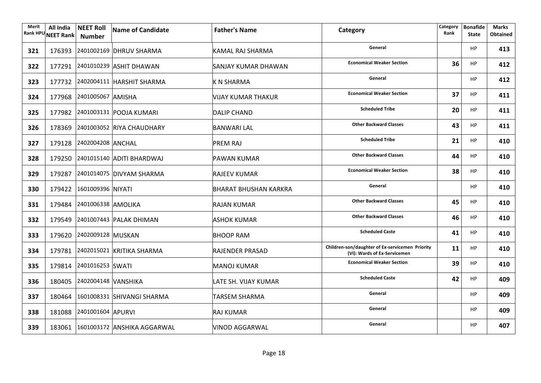| Merit<br><b>Rank HPU</b> | All India<br><b>NEET Rank</b> | <b>NEET Roll</b><br><b>Number</b> | Name of Candidate                  | <b>Father's Name</b>         | Category                                                                        | Category<br>Rank | <b>Bonafide</b><br><b>State</b> | <b>Marks</b><br><b>Obtained</b> |
|--------------------------|-------------------------------|-----------------------------------|------------------------------------|------------------------------|---------------------------------------------------------------------------------|------------------|---------------------------------|---------------------------------|
| 321                      |                               |                                   | 176393 2401002169 DHRUV SHARMA     | KAMAL RAJ SHARMA             | General                                                                         |                  | HP                              | 413                             |
| 322                      |                               |                                   | 177291 2401010239 ASHIT DHAWAN     | SANJAY KUMAR DHAWAN          | <b>Economical Weaker Section</b>                                                | 36               | HP                              | 412                             |
| 323                      |                               |                                   | 177732 2402004111 HARSHIT SHARMA   | K N SHARMA                   | General                                                                         |                  | <b>HP</b>                       | 412                             |
| 324                      |                               | 177968 2401005067 AMISHA          |                                    | <b>VIJAY KUMAR THAKUR</b>    | <b>Economical Weaker Section</b>                                                | 37               | <b>HP</b>                       | 411                             |
| 325                      |                               |                                   | 177982 2401003131 POOJA KUMARI     | <b>DALIP CHAND</b>           | <b>Scheduled Tribe</b>                                                          | 20               | <b>HP</b>                       | 411                             |
| 326                      |                               |                                   | 178369 2401003052 RIYA CHAUDHARY   | <b>BANWARI LAL</b>           | <b>Other Backward Classes</b>                                                   | 43               | <b>HP</b>                       | 411                             |
| 327                      |                               | 179128 2402004208 ANCHAL          |                                    | <b>PREM RAJ</b>              | <b>Scheduled Tribe</b>                                                          | 21               | <b>HP</b>                       | 410                             |
| 328                      |                               |                                   | 179250 2401015140 ADITI BHARDWAJ   | PAWAN KUMAR                  | <b>Other Backward Classes</b>                                                   | 44               | <b>HP</b>                       | 410                             |
| 329                      |                               |                                   | 179287 2401014075 DIVYAM SHARMA    | <b>RAJEEV KUMAR</b>          | <b>Economical Weaker Section</b>                                                | 38               | <b>HP</b>                       | 410                             |
| 330                      |                               | 179422 1601009396 NIYATI          |                                    | <b>BHARAT BHUSHAN KARKRA</b> | General                                                                         |                  | HP                              | 410                             |
| 331                      |                               | 179484 2401006338 AMOLIKA         |                                    | <b>RAJAN KUMAR</b>           | <b>Other Backward Classes</b>                                                   | 45               | <b>HP</b>                       | 410                             |
| 332                      |                               |                                   | 179549 2401007443 PALAK DHIMAN     | <b>ASHOK KUMAR</b>           | <b>Other Backward Classes</b>                                                   | 46               | <b>HP</b>                       | 410                             |
| 333                      |                               | 179620 2402009128 MUSKAN          |                                    | <b>BHOOP RAM</b>             | <b>Scheduled Caste</b>                                                          | 41               | <b>HP</b>                       | 410                             |
| 334                      |                               |                                   | 179781 2402015021 KRITIKA SHARMA   | RAJENDER PRASAD              | Children-son/daughter of Ex-servicemen Priority<br>(VI): Wards of Ex-Servicemen | 11               | <b>HP</b>                       | 410                             |
| 335                      |                               | 179814 2401016253 SWATI           |                                    | <b>MANOJ KUMAR</b>           | <b>Economical Weaker Section</b>                                                | 39               | <b>HP</b>                       | 410                             |
| 336                      |                               | 180405 2402004148 VANSHIKA        |                                    | LATE SH. VIJAY KUMAR         | <b>Scheduled Caste</b>                                                          | 42               | HP                              | 409                             |
| 337                      |                               |                                   | 180464 1601008331 SHIVANGI SHARMA  | <b>TARSEM SHARMA</b>         | General                                                                         |                  | <b>HP</b>                       | 409                             |
| 338                      |                               | 181088 2401001604 APURVI          |                                    | <b>RAJ KUMAR</b>             | General                                                                         |                  | HP                              | 409                             |
| 339                      |                               |                                   | 183061 1601003172 ANSHIKA AGGARWAL | VINOD AGGARWAL               | General                                                                         |                  | <b>HP</b>                       | 407                             |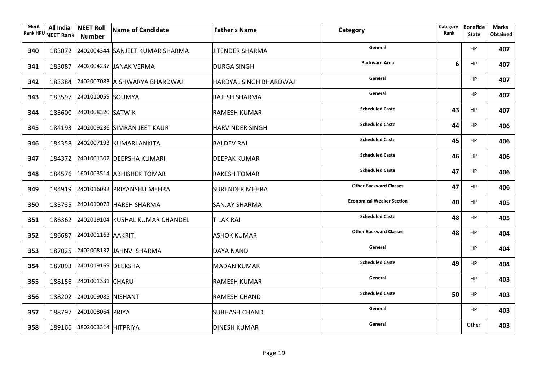| Merit | All India<br>Rank HPU NEET Rank | <b>NEET Roll</b><br>Number | Name of Candidate                      | <b>Father's Name</b>   | Category                         | Category<br>Rank | <b>Bonafide</b><br><b>State</b> | <b>Marks</b><br><b>Obtained</b> |
|-------|---------------------------------|----------------------------|----------------------------------------|------------------------|----------------------------------|------------------|---------------------------------|---------------------------------|
| 340   |                                 |                            | 183072 2402004344 SANJEET KUMAR SHARMA | JITENDER SHARMA        | General                          |                  | HP                              | 407                             |
| 341   |                                 |                            | 183087 2402004237 JANAK VERMA          | <b>DURGA SINGH</b>     | <b>Backward Area</b>             | 6                | <b>HP</b>                       | 407                             |
| 342   |                                 |                            | 183384 2402007083 AISHWARYA BHARDWAJ   | HARDYAL SINGH BHARDWAJ | General                          |                  | HP                              | 407                             |
| 343   |                                 | 183597 2401010059 SOUMYA   |                                        | <b>RAJESH SHARMA</b>   | General                          |                  | HP                              | 407                             |
| 344   |                                 | 183600 2401008320 SATWIK   |                                        | <b>RAMESH KUMAR</b>    | <b>Scheduled Caste</b>           | 43               | HP                              | 407                             |
| 345   |                                 |                            | 184193 2402009236 SIMRAN JEET KAUR     | <b>HARVINDER SINGH</b> | <b>Scheduled Caste</b>           | 44               | HP                              | 406                             |
| 346   |                                 |                            | 184358 2402007193 KUMARI ANKITA        | <b>BALDEV RAJ</b>      | <b>Scheduled Caste</b>           | 45               | <b>HP</b>                       | 406                             |
| 347   |                                 |                            | 184372 2401001302 DEEPSHA KUMARI       | DEEPAK KUMAR           | <b>Scheduled Caste</b>           | 46               | <b>HP</b>                       | 406                             |
| 348   |                                 |                            | 184576 1601003514 ABHISHEK TOMAR       | <b>RAKESH TOMAR</b>    | <b>Scheduled Caste</b>           | 47               | <b>HP</b>                       | 406                             |
| 349   |                                 |                            | 184919 2401016092 PRIYANSHU MEHRA      | <b>SURENDER MEHRA</b>  | <b>Other Backward Classes</b>    | 47               | <b>HP</b>                       | 406                             |
| 350   |                                 |                            | 185735 2401010073 HARSH SHARMA         | <b>SANJAY SHARMA</b>   | <b>Economical Weaker Section</b> | 40               | <b>HP</b>                       | 405                             |
| 351   |                                 |                            | 186362 2402019104 KUSHAL KUMAR CHANDEL | <b>TILAK RAJ</b>       | <b>Scheduled Caste</b>           | 48               | <b>HP</b>                       | 405                             |
| 352   |                                 | 186687 2401001163 AAKRITI  |                                        | ASHOK KUMAR            | <b>Other Backward Classes</b>    | 48               | <b>HP</b>                       | 404                             |
| 353   |                                 |                            | 187025 2402008137 JAHNVI SHARMA        | DAYA NAND              | General                          |                  | HP                              | 404                             |
| 354   |                                 | 187093 2401019169 DEEKSHA  |                                        | <b>MADAN KUMAR</b>     | <b>Scheduled Caste</b>           | 49               | <b>HP</b>                       | 404                             |
| 355   |                                 | 188156 2401001331 CHARU    |                                        | <b>RAMESH KUMAR</b>    | General                          |                  | HP                              | 403                             |
| 356   |                                 | 188202 2401009085 NISHANT  |                                        | <b>RAMESH CHAND</b>    | <b>Scheduled Caste</b>           | 50               | <b>HP</b>                       | 403                             |
| 357   |                                 | 188797 2401008064 PRIYA    |                                        | SUBHASH CHAND          | General                          |                  | <b>HP</b>                       | 403                             |
| 358   |                                 | 189166 3802003314 HITPRIYA |                                        | <b>DINESH KUMAR</b>    | General                          |                  | Other                           | 403                             |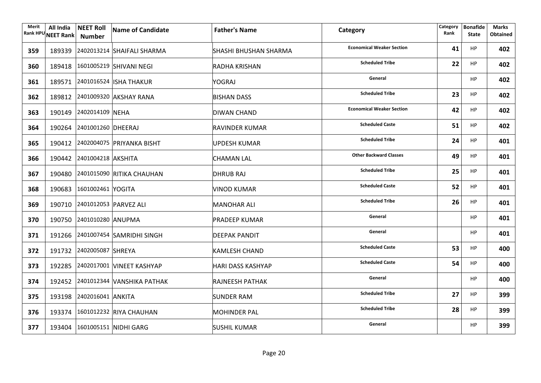| Merit | All India<br>Rank HPU NEET Rank | <b>NEET Roll</b><br><b>Number</b> | Name of Candidate                 | <b>Father's Name</b>         | Category                         | Category<br>Rank | <b>Bonafide</b><br><b>State</b> | Marks<br><b>Obtained</b> |
|-------|---------------------------------|-----------------------------------|-----------------------------------|------------------------------|----------------------------------|------------------|---------------------------------|--------------------------|
| 359   |                                 |                                   | 189339 2402013214 SHAIFALI SHARMA | <b>SHASHI BHUSHAN SHARMA</b> | <b>Economical Weaker Section</b> | 41               | <b>HP</b>                       | 402                      |
| 360   |                                 |                                   | 189418 1601005219 SHIVANI NEGI    | RADHA KRISHAN                | <b>Scheduled Tribe</b>           | 22               | <b>HP</b>                       | 402                      |
| 361   |                                 |                                   | 189571 2401016524 ISHA THAKUR     | YOGRAJ                       | General                          |                  | <b>HP</b>                       | 402                      |
| 362   |                                 |                                   | 189812 2401009320 AKSHAY RANA     | <b>BISHAN DASS</b>           | <b>Scheduled Tribe</b>           | 23               | HP                              | 402                      |
| 363   |                                 | 190149 2402014109 NEHA            |                                   | <b>DIWAN CHAND</b>           | <b>Economical Weaker Section</b> | 42               | HP                              | 402                      |
| 364   |                                 | 190264 2401001260 DHEERAJ         |                                   | RAVINDER KUMAR               | <b>Scheduled Caste</b>           | 51               | HP                              | 402                      |
| 365   |                                 |                                   | 190412 2402004075 PRIYANKA BISHT  | UPDESH KUMAR                 | <b>Scheduled Tribe</b>           | 24               | <b>HP</b>                       | 401                      |
| 366   |                                 | 190442 2401004218 AKSHITA         |                                   | <b>CHAMAN LAL</b>            | <b>Other Backward Classes</b>    | 49               | <b>HP</b>                       | 401                      |
| 367   |                                 |                                   | 190480 2401015090 RITIKA CHAUHAN  | <b>DHRUB RAJ</b>             | <b>Scheduled Tribe</b>           | 25               | <b>HP</b>                       | 401                      |
| 368   |                                 | 190683 1601002461 YOGITA          |                                   | <b>VINOD KUMAR</b>           | <b>Scheduled Caste</b>           | 52               | <b>HP</b>                       | 401                      |
| 369   |                                 | 190710 2401012053 PARVEZ ALI      |                                   | <b>MANOHAR ALI</b>           | <b>Scheduled Tribe</b>           | 26               | <b>HP</b>                       | 401                      |
| 370   |                                 | 190750 2401010280 ANUPMA          |                                   | PRADEEP KUMAR                | General                          |                  | <b>HP</b>                       | 401                      |
| 371   |                                 |                                   | 191266 2401007454 SAMRIDHI SINGH  | <b>DEEPAK PANDIT</b>         | General                          |                  | <b>HP</b>                       | 401                      |
| 372   |                                 | 191732 2402005087 SHREYA          |                                   | <b>KAMLESH CHAND</b>         | <b>Scheduled Caste</b>           | 53               | <b>HP</b>                       | 400                      |
| 373   |                                 |                                   | 192285 2402017001 VINEET KASHYAP  | <b>HARI DASS KASHYAP</b>     | <b>Scheduled Caste</b>           | 54               | <b>HP</b>                       | 400                      |
| 374   |                                 |                                   | 192452 2401012344 VANSHIKA PATHAK | <b>RAJNEESH PATHAK</b>       | General                          |                  | <b>HP</b>                       | 400                      |
| 375   |                                 | 193198 2402016041 ANKITA          |                                   | <b>SUNDER RAM</b>            | <b>Scheduled Tribe</b>           | 27               | HP                              | 399                      |
| 376   |                                 |                                   | 193374 1601012232 RIYA CHAUHAN    | <b>MOHINDER PAL</b>          | <b>Scheduled Tribe</b>           | 28               | <b>HP</b>                       | 399                      |
| 377   |                                 |                                   | 193404 1601005151 NIDHI GARG      | <b>SUSHIL KUMAR</b>          | General                          |                  | <b>HP</b>                       | 399                      |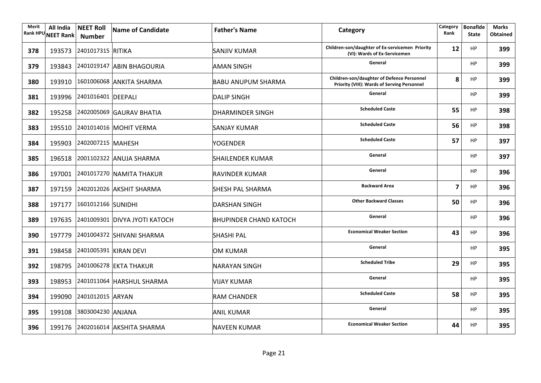| Merit<br><b>Rank HPU</b> | All India<br><b>NEET Rank</b> | <b>NEET Roll</b><br><b>Number</b> | <b>Name of Candidate</b>             | <b>Father's Name</b>          | Category                                                                                  | Category<br>Rank        | <b>Bonafide</b><br><b>State</b> | Marks<br><b>Obtained</b> |
|--------------------------|-------------------------------|-----------------------------------|--------------------------------------|-------------------------------|-------------------------------------------------------------------------------------------|-------------------------|---------------------------------|--------------------------|
| 378                      |                               | 193573 2401017315 RITIKA          |                                      | SANJIV KUMAR                  | Children-son/daughter of Ex-servicemen Priority<br>(VI): Wards of Ex-Servicemen           | 12                      | <b>HP</b>                       | 399                      |
| 379                      |                               |                                   | 193843 2401019147 ABIN BHAGOURIA     | <b>AMAN SINGH</b>             | General                                                                                   |                         | HP                              | 399                      |
| 380                      |                               |                                   | 193910 1601006068 ANKITA SHARMA      | <b>BABU ANUPUM SHARMA</b>     | Children-son/daughter of Defence Personnel<br>Priority (VIII): Wards of Serving Personnel | 8                       | HP                              | 399                      |
| 381                      |                               | 193996 2401016401 DEEPALI         |                                      | <b>DALIP SINGH</b>            | General                                                                                   |                         | <b>HP</b>                       | 399                      |
| 382                      |                               |                                   | 195258 2402005069 GAURAV BHATIA      | <b>DHARMINDER SINGH</b>       | <b>Scheduled Caste</b>                                                                    | 55                      | <b>HP</b>                       | 398                      |
| 383                      |                               |                                   | 195510 2401014016 MOHIT VERMA        | SANJAY KUMAR                  | <b>Scheduled Caste</b>                                                                    | 56                      | <b>HP</b>                       | 398                      |
| 384                      |                               | 195903 2402007215 MAHESH          |                                      | <b>YOGENDER</b>               | <b>Scheduled Caste</b>                                                                    | 57                      | <b>HP</b>                       | 397                      |
| 385                      |                               |                                   | 196518 2001102322 ANUJA SHARMA       | <b>SHAILENDER KUMAR</b>       | General                                                                                   |                         | <b>HP</b>                       | 397                      |
| 386                      |                               |                                   | 197001 2401017270 NAMITA THAKUR      | <b>RAVINDER KUMAR</b>         | General                                                                                   |                         | <b>HP</b>                       | 396                      |
| 387                      |                               |                                   | 197159 2402012026 AKSHIT SHARMA      | <b>SHESH PAL SHARMA</b>       | <b>Backward Area</b>                                                                      | $\overline{\mathbf{z}}$ | <b>HP</b>                       | 396                      |
| 388                      |                               | 197177 1601012166 SUNIDHI         |                                      | <b>DARSHAN SINGH</b>          | <b>Other Backward Classes</b>                                                             | 50                      | <b>HP</b>                       | 396                      |
| 389                      |                               |                                   | 197635 2401009301 DIVYA JYOTI KATOCH | <b>BHUPINDER CHAND KATOCH</b> | General                                                                                   |                         | <b>HP</b>                       | 396                      |
| 390                      |                               |                                   | 197779 2401004372 SHIVANI SHARMA     | <b>SHASHI PAL</b>             | <b>Economical Weaker Section</b>                                                          | 43                      | <b>HP</b>                       | 396                      |
| 391                      |                               |                                   | 198458 2401005391 KIRAN DEVI         | OM KUMAR                      | General                                                                                   |                         | <b>HP</b>                       | 395                      |
| 392                      |                               |                                   | 198795 2401006278 EKTA THAKUR        | NARAYAN SINGH                 | <b>Scheduled Tribe</b>                                                                    | 29                      | HP                              | 395                      |
| 393                      |                               |                                   | 198953 2401011064 HARSHUL SHARMA     | <b>VIJAY KUMAR</b>            | General                                                                                   |                         | <b>HP</b>                       | 395                      |
| 394                      |                               | 199090 2401012015 ARYAN           |                                      | <b>RAM CHANDER</b>            | <b>Scheduled Caste</b>                                                                    | 58                      | <b>HP</b>                       | 395                      |
| 395                      |                               | 199108 3803004230 ANJANA          |                                      | <b>ANIL KUMAR</b>             | General                                                                                   |                         | <b>HP</b>                       | 395                      |
| 396                      |                               |                                   | 199176 2402016014 AKSHITA SHARMA     | <b>NAVEEN KUMAR</b>           | <b>Economical Weaker Section</b>                                                          | 44                      | <b>HP</b>                       | 395                      |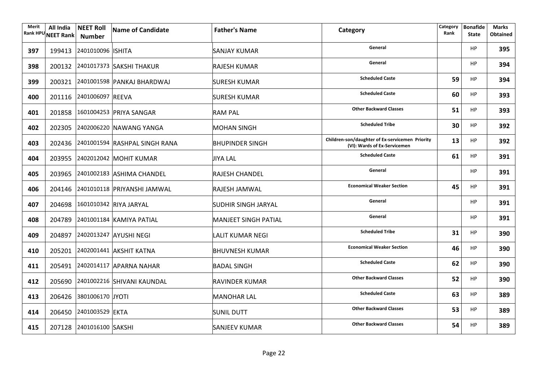| Merit | All India<br>Rank HPU NEET Rank | <b>NEET Roll</b><br><b>Number</b> | Name of Candidate                    | <b>Father's Name</b>        | Category                                                                        | Category<br>Rank | <b>Bonafide</b><br><b>State</b> | <b>Marks</b><br><b>Obtained</b> |
|-------|---------------------------------|-----------------------------------|--------------------------------------|-----------------------------|---------------------------------------------------------------------------------|------------------|---------------------------------|---------------------------------|
| 397   |                                 | 199413 2401010096 ISHITA          |                                      | SANJAY KUMAR                | General                                                                         |                  | <b>HP</b>                       | 395                             |
| 398   |                                 |                                   | 200132 2401017373 SAKSHI THAKUR      | <b>RAJESH KUMAR</b>         | General                                                                         |                  | HP                              | 394                             |
| 399   |                                 |                                   | 200321 2401001598 PANKAJ BHARDWAJ    | <b>SURESH KUMAR</b>         | <b>Scheduled Caste</b>                                                          | 59               | <b>HP</b>                       | 394                             |
| 400   |                                 | 201116 2401006097 REEVA           |                                      | <b>SURESH KUMAR</b>         | <b>Scheduled Caste</b>                                                          | 60               | <b>HP</b>                       | 393                             |
| 401   |                                 |                                   | 201858 1601004253 PRIYA SANGAR       | <b>RAM PAL</b>              | <b>Other Backward Classes</b>                                                   | 51               | <b>HP</b>                       | 393                             |
| 402   |                                 |                                   | 202305 2402006220 NAWANG YANGA       | <b>MOHAN SINGH</b>          | <b>Scheduled Tribe</b>                                                          | 30               | <b>HP</b>                       | 392                             |
| 403   |                                 |                                   | 202436 2401001594 RASHPAL SINGH RANA | <b>BHUPINDER SINGH</b>      | Children-son/daughter of Ex-servicemen Priority<br>(VI): Wards of Ex-Servicemen | 13               | <b>HP</b>                       | 392                             |
| 404   |                                 |                                   | 203955 2402012042 MOHIT KUMAR        | JIYA LAL                    | <b>Scheduled Caste</b>                                                          | 61               | <b>HP</b>                       | 391                             |
| 405   |                                 |                                   | 203965 2401002183 ASHIMA CHANDEL     | <b>RAJESH CHANDEL</b>       | General                                                                         |                  | <b>HP</b>                       | 391                             |
| 406   |                                 |                                   | 204146 2401010118 PRIYANSHI JAMWAL   | <b>RAJESH JAMWAL</b>        | <b>Economical Weaker Section</b>                                                | 45               | <b>HP</b>                       | 391                             |
| 407   |                                 |                                   | 204698 1601010342 RIYA JARYAL        | <b>SUDHIR SINGH JARYAL</b>  | General                                                                         |                  | <b>HP</b>                       | 391                             |
| 408   |                                 |                                   | 204789 2401001184 KAMIYA PATIAL      | <b>MANJEET SINGH PATIAL</b> | General                                                                         |                  | HP                              | 391                             |
| 409   |                                 |                                   | 204897 2402013247 AYUSHI NEGI        | <b>LALIT KUMAR NEGI</b>     | <b>Scheduled Tribe</b>                                                          | 31               | <b>HP</b>                       | 390                             |
| 410   |                                 |                                   | 205201 2402001441 AKSHIT KATNA       | <b>BHUVNESH KUMAR</b>       | <b>Economical Weaker Section</b>                                                | 46               | HP                              | 390                             |
| 411   |                                 |                                   | 205491 2402014117 APARNA NAHAR       | <b>BADAL SINGH</b>          | <b>Scheduled Caste</b>                                                          | 62               | <b>HP</b>                       | 390                             |
| 412   |                                 |                                   | 205690 2401002216 SHIVANI KAUNDAL    | <b>RAVINDER KUMAR</b>       | <b>Other Backward Classes</b>                                                   | 52               | <b>HP</b>                       | 390                             |
| 413   |                                 | 206426 3801006170 JYOTI           |                                      | <b>MANOHAR LAL</b>          | <b>Scheduled Caste</b>                                                          | 63               | <b>HP</b>                       | 389                             |
| 414   |                                 | 206450 2401003529 EKTA            |                                      | <b>SUNIL DUTT</b>           | <b>Other Backward Classes</b>                                                   | 53               | HP                              | 389                             |
| 415   |                                 | 207128 2401016100 SAKSHI          |                                      | <b>SANJEEV KUMAR</b>        | <b>Other Backward Classes</b>                                                   | 54               | HP                              | 389                             |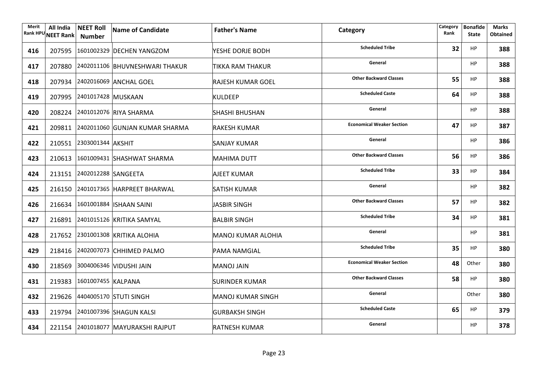| Merit | All India<br>Rank HPU NEET Rank | <b>NEET Roll</b><br><b>Number</b> | Name of Candidate                     | <b>Father's Name</b>     | Category                         | Category<br>Rank | <b>Bonafide</b><br><b>State</b> | <b>Marks</b><br><b>Obtained</b> |
|-------|---------------------------------|-----------------------------------|---------------------------------------|--------------------------|----------------------------------|------------------|---------------------------------|---------------------------------|
| 416   |                                 |                                   | 207595 1601002329 DECHEN YANGZOM      | YESHE DORJE BODH         | <b>Scheduled Tribe</b>           | 32               | HP                              | 388                             |
| 417   |                                 |                                   | 207880 2402011106 BHUVNESHWARI THAKUR | TIKKA RAM THAKUR         | General                          |                  | HP                              | 388                             |
| 418   |                                 |                                   | 207934 2402016069 ANCHAL GOEL         | <b>RAJESH KUMAR GOEL</b> | <b>Other Backward Classes</b>    | 55               | <b>HP</b>                       | 388                             |
| 419   |                                 | 207995 2401017428 MUSKAAN         |                                       | <b>KULDEEP</b>           | <b>Scheduled Caste</b>           | 64               | HP                              | 388                             |
| 420   |                                 |                                   | 208224 2401012076 RIYA SHARMA         | <b>SHASHI BHUSHAN</b>    | General                          |                  | HP                              | 388                             |
| 421   |                                 |                                   | 209811 2402011060 GUNJAN KUMAR SHARMA | RAKESH KUMAR             | <b>Economical Weaker Section</b> | 47               | HP                              | 387                             |
| 422   |                                 | 210551 2303001344 AKSHIT          |                                       | SANJAY KUMAR             | General                          |                  | <b>HP</b>                       | 386                             |
| 423   |                                 |                                   | 210613 1601009431 SHASHWAT SHARMA     | <b>MAHIMA DUTT</b>       | <b>Other Backward Classes</b>    | 56               | <b>HP</b>                       | 386                             |
| 424   |                                 | 213151 2402012288 SANGEETA        |                                       | AJEET KUMAR              | <b>Scheduled Tribe</b>           | 33               | <b>HP</b>                       | 384                             |
| 425   |                                 |                                   | 216150 2401017365 HARPREET BHARWAL    | <b>SATISH KUMAR</b>      | General                          |                  | <b>HP</b>                       | 382                             |
| 426   |                                 |                                   | 216634 1601001884   ISHAAN SAINI      | JASBIR SINGH             | <b>Other Backward Classes</b>    | 57               | <b>HP</b>                       | 382                             |
| 427   |                                 |                                   | 216891 2401015126 KRITIKA SAMYAL      | <b>BALBIR SINGH</b>      | <b>Scheduled Tribe</b>           | 34               | <b>HP</b>                       | 381                             |
| 428   |                                 |                                   | 217652 2301001308 KRITIKA ALOHIA      | MANOJ KUMAR ALOHIA       | General                          |                  | <b>HP</b>                       | 381                             |
| 429   |                                 |                                   | 218416 2402007073 CHHIMED PALMO       | PAMA NAMGIAL             | <b>Scheduled Tribe</b>           | 35               | <b>HP</b>                       | 380                             |
| 430   |                                 |                                   | 218569 3004006346 VIDUSHI JAIN        | MANOJ JAIN               | <b>Economical Weaker Section</b> | 48               | Other                           | 380                             |
| 431   |                                 | 219383 1601007455 KALPANA         |                                       | <b>SURINDER KUMAR</b>    | <b>Other Backward Classes</b>    | 58               | <b>HP</b>                       | 380                             |
| 432   |                                 |                                   | 219626 4404005170 STUTI SINGH         | MANOJ KUMAR SINGH        | General                          |                  | Other                           | 380                             |
| 433   |                                 |                                   | 219794 2401007396 SHAGUN KALSI        | <b>GURBAKSH SINGH</b>    | <b>Scheduled Caste</b>           | 65               | <b>HP</b>                       | 379                             |
| 434   |                                 |                                   | 221154 2401018077 MAYURAKSHI RAJPUT   | <b>RATNESH KUMAR</b>     | General                          |                  | <b>HP</b>                       | 378                             |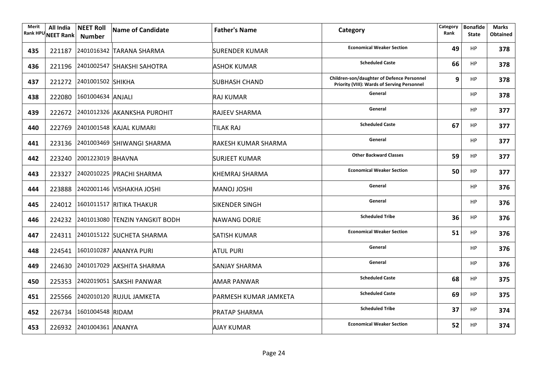| Merit | All India<br>Rank HPU NEET Rank | <b>NEET Roll</b><br><b>Number</b> | Name of Candidate                     | <b>Father's Name</b>  | Category                                                                                         | Category<br>Rank | <b>Bonafide</b><br><b>State</b> | <b>Marks</b><br><b>Obtained</b> |
|-------|---------------------------------|-----------------------------------|---------------------------------------|-----------------------|--------------------------------------------------------------------------------------------------|------------------|---------------------------------|---------------------------------|
| 435   |                                 |                                   | 221187 2401016342 TARANA SHARMA       | <b>SURENDER KUMAR</b> | <b>Economical Weaker Section</b>                                                                 | 49               | <b>HP</b>                       | 378                             |
| 436   |                                 |                                   | 221196 2401002547 SHAKSHI SAHOTRA     | <b>ASHOK KUMAR</b>    | <b>Scheduled Caste</b>                                                                           | 66               | <b>HP</b>                       | 378                             |
| 437   |                                 | 221272 2401001502 SHIKHA          |                                       | <b>SUBHASH CHAND</b>  | Children-son/daughter of Defence Personnel<br><b>Priority (VIII): Wards of Serving Personnel</b> | 9                | <b>HP</b>                       | 378                             |
| 438   |                                 | 222080 1601004634 ANJALI          |                                       | <b>RAJ KUMAR</b>      | General                                                                                          |                  | <b>HP</b>                       | 378                             |
| 439   |                                 |                                   | 222672 2401012326 AKANKSHA PUROHIT    | <b>RAJEEV SHARMA</b>  | General                                                                                          |                  | <b>HP</b>                       | 377                             |
| 440   |                                 |                                   | 222769 2401001548 KAJAL KUMARI        | <b>TILAK RAJ</b>      | <b>Scheduled Caste</b>                                                                           | 67               | <b>HP</b>                       | 377                             |
| 441   |                                 |                                   | 223136 2401003469 SHIWANGI SHARMA     | RAKESH KUMAR SHARMA   | General                                                                                          |                  | <b>HP</b>                       | 377                             |
| 442   |                                 | 223240 2001223019 BHAVNA          |                                       | <b>SURJEET KUMAR</b>  | <b>Other Backward Classes</b>                                                                    | 59               | <b>HP</b>                       | 377                             |
| 443   |                                 |                                   | 223327 2402010225 PRACHI SHARMA       | KHEMRAJ SHARMA        | <b>Economical Weaker Section</b>                                                                 | 50               | <b>HP</b>                       | 377                             |
| 444   |                                 |                                   | 223888 2402001146 VISHAKHA JOSHI      | <b>MANOJ JOSHI</b>    | General                                                                                          |                  | <b>HP</b>                       | 376                             |
| 445   |                                 |                                   | 224012 1601011517 RITIKA THAKUR       | <b>SIKENDER SINGH</b> | General                                                                                          |                  | HP                              | 376                             |
| 446   |                                 |                                   | 224232 2401013080 TENZIN YANGKIT BODH | NAWANG DORJE          | <b>Scheduled Tribe</b>                                                                           | 36               | HP                              | 376                             |
| 447   |                                 |                                   | 224311 2401015122 SUCHETA SHARMA      | <b>SATISH KUMAR</b>   | <b>Economical Weaker Section</b>                                                                 | 51               | <b>HP</b>                       | 376                             |
| 448   |                                 |                                   | 224541 1601010287 ANANYA PURI         | <b>ATUL PURI</b>      | General                                                                                          |                  | HP                              | 376                             |
| 449   |                                 |                                   | 224630 2401017029 AKSHITA SHARMA      | <b>SANJAY SHARMA</b>  | General                                                                                          |                  | <b>HP</b>                       | 376                             |
| 450   |                                 |                                   | 225353 2402019051 SAKSHI PANWAR       | <b>AMAR PANWAR</b>    | <b>Scheduled Caste</b>                                                                           | 68               | <b>HP</b>                       | 375                             |
| 451   |                                 |                                   | 225566 2402010120 RUJUL JAMKETA       | PARMESH KUMAR JAMKETA | <b>Scheduled Caste</b>                                                                           | 69               | HP                              | 375                             |
| 452   |                                 | 226734 1601004548 RIDAM           |                                       | <b>PRATAP SHARMA</b>  | <b>Scheduled Tribe</b>                                                                           | 37               | HP                              | 374                             |
| 453   |                                 | 226932 2401004361 ANANYA          |                                       | <b>AJAY KUMAR</b>     | <b>Economical Weaker Section</b>                                                                 | 52               | <b>HP</b>                       | 374                             |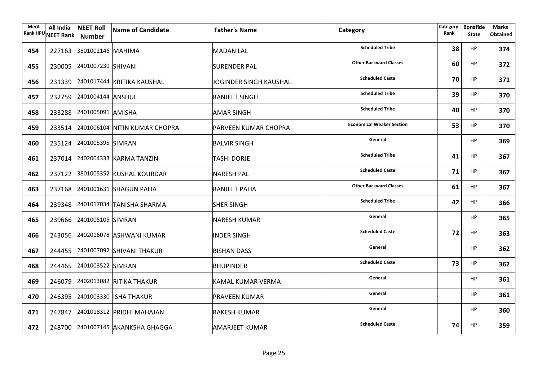| Merit | All India<br>Rank HPU NEET Rank   Number | <b>NEET Roll</b>          | Name of Candidate                    | <b>Father's Name</b>        | Category                         | Category<br>Rank | <b>Bonafide</b><br><b>State</b> | <b>Marks</b><br><b>Obtained</b> |
|-------|------------------------------------------|---------------------------|--------------------------------------|-----------------------------|----------------------------------|------------------|---------------------------------|---------------------------------|
| 454   |                                          | 227163 3801002146 MAHIMA  |                                      | <b>MADAN LAL</b>            | <b>Scheduled Tribe</b>           | 38               | HP                              | 374                             |
| 455   |                                          | 230005 2401007239 SHIVANI |                                      | <b>SURENDER PAL</b>         | <b>Other Backward Classes</b>    | 60               | <b>HP</b>                       | 372                             |
| 456   |                                          |                           | 231339 2401017444 KRITIKA KAUSHAL    | JOGINDER SINGH KAUSHAL      | <b>Scheduled Caste</b>           | 70               | <b>HP</b>                       | 371                             |
| 457   |                                          | 232759 2401004144 ANSHUL  |                                      | <b>RANJEET SINGH</b>        | <b>Scheduled Tribe</b>           | 39               | <b>HP</b>                       | 370                             |
| 458   |                                          | 233288 2401005091 AMISHA  |                                      | <b>AMAR SINGH</b>           | <b>Scheduled Tribe</b>           | 40               | <b>HP</b>                       | 370                             |
| 459   |                                          |                           | 233514 2401006104 NITIN KUMAR CHOPRA | <b>PARVEEN KUMAR CHOPRA</b> | <b>Economical Weaker Section</b> | 53               | <b>HP</b>                       | 370                             |
| 460   |                                          | 235124 2401005395 SIMRAN  |                                      | <b>BALVIR SINGH</b>         | General                          |                  | <b>HP</b>                       | 369                             |
| 461   |                                          |                           | 237014 2402004333 KARMA TANZIN       | TASHI DORJE                 | <b>Scheduled Tribe</b>           | 41               | <b>HP</b>                       | 367                             |
| 462   |                                          |                           | 237122 3801005352 KUSHAL KOURDAR     | <b>NARESH PAL</b>           | <b>Scheduled Caste</b>           | 71               | <b>HP</b>                       | 367                             |
| 463   |                                          |                           | 237168 2401001631 SHAGUN PALIA       | <b>RANJEET PALIA</b>        | <b>Other Backward Classes</b>    | 61               | HP                              | 367                             |
| 464   |                                          |                           | 239348 2401017034 TANISHA SHARMA     | <b>SHER SINGH</b>           | <b>Scheduled Tribe</b>           | 42               | <b>HP</b>                       | 366                             |
| 465   |                                          | 239666 2401005105 SIMRAN  |                                      | NARESH KUMAR                | General                          |                  | <b>HP</b>                       | 365                             |
| 466   |                                          |                           | 243056 2402016078 ASHWANI KUMAR      | <b>INDER SINGH</b>          | <b>Scheduled Caste</b>           | 72               | <b>HP</b>                       | 363                             |
| 467   |                                          |                           | 244455 2401007092 SHIVANI THAKUR     | <b>BISHAN DASS</b>          | General                          |                  | <b>HP</b>                       | 362                             |
| 468   |                                          | 244465 2401003522 SIMRAN  |                                      | <b>BHUPINDER</b>            | <b>Scheduled Caste</b>           | 73               | <b>HP</b>                       | 362                             |
| 469   |                                          |                           | 246079 2402013082 RITIKA THAKUR      | <b>KAMAL KUMAR VERMA</b>    | General                          |                  | <b>HP</b>                       | 361                             |
| 470   |                                          |                           | 246395 2401003330 ISHA THAKUR        | <b>PRAVEEN KUMAR</b>        | General                          |                  | <b>HP</b>                       | 361                             |
| 471   |                                          |                           | 247847 2401018312 PRIDHI MAHAJAN     | <b>RAKESH KUMAR</b>         | General                          |                  | <b>HP</b>                       | 360                             |
| 472   |                                          |                           | 248700 2401007145 AKANKSHA GHAGGA    | <b>AMARJEET KUMAR</b>       | <b>Scheduled Caste</b>           | 74               | <b>HP</b>                       | 359                             |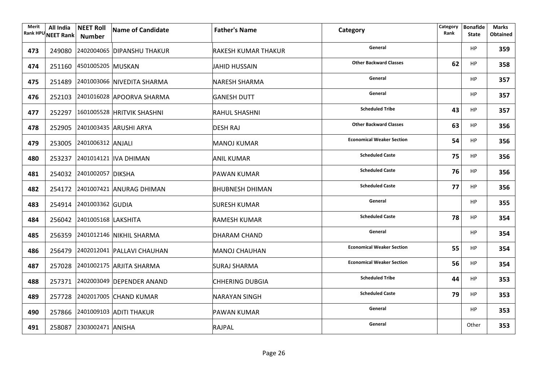| Merit | All India<br>Rank HPU NEET Rank | <b>NEET Roll</b><br>Number | Name of Candidate                 | <b>Father's Name</b>       | Category                         | Category<br>Rank | <b>Bonafide</b><br><b>State</b> | <b>Marks</b><br><b>Obtained</b> |
|-------|---------------------------------|----------------------------|-----------------------------------|----------------------------|----------------------------------|------------------|---------------------------------|---------------------------------|
| 473   |                                 |                            | 249080 2402004065 DIPANSHU THAKUR | <b>RAKESH KUMAR THAKUR</b> | General                          |                  | HP                              | 359                             |
| 474   |                                 | 251160 4501005205 MUSKAN   |                                   | JAHID HUSSAIN              | <b>Other Backward Classes</b>    | 62               | HP                              | 358                             |
| 475   |                                 |                            | 251489 2401003066 NIVEDITA SHARMA | NARESH SHARMA              | General                          |                  | <b>HP</b>                       | 357                             |
| 476   |                                 |                            | 252103 2401016028 APOORVA SHARMA  | <b>GANESH DUTT</b>         | General                          |                  | <b>HP</b>                       | 357                             |
| 477   |                                 |                            | 252297 1601005528 HRITVIK SHASHNI | <b>RAHUL SHASHNI</b>       | <b>Scheduled Tribe</b>           | 43               | <b>HP</b>                       | 357                             |
| 478   |                                 |                            | 252905 2401003435 ARUSHI ARYA     | <b>DESH RAJ</b>            | <b>Other Backward Classes</b>    | 63               | <b>HP</b>                       | 356                             |
| 479   |                                 | 253005 2401006312 ANJALI   |                                   | MANOJ KUMAR                | <b>Economical Weaker Section</b> | 54               | <b>HP</b>                       | 356                             |
| 480   |                                 |                            | 253237 2401014121 IVA DHIMAN      | ANIL KUMAR                 | <b>Scheduled Caste</b>           | 75               | <b>HP</b>                       | 356                             |
| 481   |                                 | 254032 2401002057 DIKSHA   |                                   | <b>PAWAN KUMAR</b>         | <b>Scheduled Caste</b>           | 76               | <b>HP</b>                       | 356                             |
| 482   |                                 |                            | 254172 2401007421 ANURAG DHIMAN   | BHUBNESH DHIMAN            | <b>Scheduled Caste</b>           | 77               | HP                              | 356                             |
| 483   |                                 | 254914 2401003362 GUDIA    |                                   | <b>SURESH KUMAR</b>        | General                          |                  | <b>HP</b>                       | 355                             |
| 484   |                                 | 256042 2401005168 LAKSHITA |                                   | RAMESH KUMAR               | <b>Scheduled Caste</b>           | 78               | <b>HP</b>                       | 354                             |
| 485   |                                 |                            | 256359 2401012146 NIKHIL SHARMA   | DHARAM CHAND               | General                          |                  | <b>HP</b>                       | 354                             |
| 486   |                                 |                            | 256479 2402012041 PALLAVI CHAUHAN | MANOJ CHAUHAN              | <b>Economical Weaker Section</b> | 55               | <b>HP</b>                       | 354                             |
| 487   |                                 |                            | 257028 2401002175 ARJITA SHARMA   | SURAJ SHARMA               | <b>Economical Weaker Section</b> | 56               | <b>HP</b>                       | 354                             |
| 488   |                                 |                            | 257371 2402003049 DEPENDER ANAND  | <b>CHHERING DUBGIA</b>     | <b>Scheduled Tribe</b>           | 44               | <b>HP</b>                       | 353                             |
| 489   |                                 |                            | 257728 2402017005 CHAND KUMAR     | NARAYAN SINGH              | <b>Scheduled Caste</b>           | 79               | HP                              | 353                             |
| 490   |                                 |                            | 257866 2401009103 ADITI THAKUR    | <b>PAWAN KUMAR</b>         | General                          |                  | <b>HP</b>                       | 353                             |
| 491   |                                 | 258087 2303002471 ANISHA   |                                   | <b>RAJPAL</b>              | General                          |                  | Other                           | 353                             |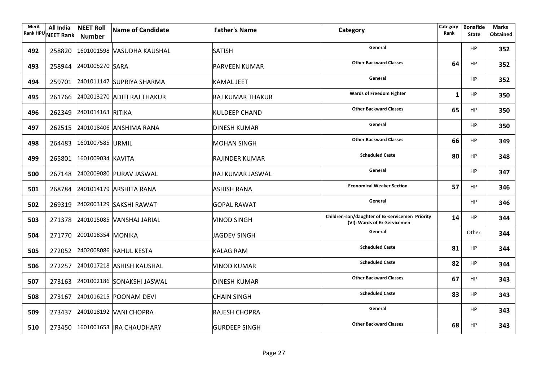| Merit<br><b>Rank HPU</b> | All India<br><b>NEET Rank</b> | <b>NEET Roll</b><br><b>Number</b> | Name of Candidate                  | <b>Father's Name</b>    | Category                                                                        | Category<br>Rank | <b>Bonafide</b><br><b>State</b> | <b>Marks</b><br><b>Obtained</b> |
|--------------------------|-------------------------------|-----------------------------------|------------------------------------|-------------------------|---------------------------------------------------------------------------------|------------------|---------------------------------|---------------------------------|
| 492                      |                               |                                   | 258820 1601001598 VASUDHA KAUSHAL  | <b>SATISH</b>           | General                                                                         |                  | HP                              | 352                             |
| 493                      |                               | 258944 2401005270 SARA            |                                    | <b>PARVEEN KUMAR</b>    | <b>Other Backward Classes</b>                                                   | 64               | HP                              | 352                             |
| 494                      |                               |                                   | 259701 2401011147 SUPRIYA SHARMA   | KAMAL JEET              | General                                                                         |                  | <b>HP</b>                       | 352                             |
| 495                      |                               |                                   | 261766 2402013270 ADITI RAJ THAKUR | <b>RAJ KUMAR THAKUR</b> | <b>Wards of Freedom Fighter</b>                                                 | 1                | <b>HP</b>                       | 350                             |
| 496                      |                               | 262349 2401014163 RITIKA          |                                    | <b>KULDEEP CHAND</b>    | <b>Other Backward Classes</b>                                                   | 65               | <b>HP</b>                       | 350                             |
| 497                      |                               |                                   | 262515 2401018406 ANSHIMA RANA     | <b>DINESH KUMAR</b>     | General                                                                         |                  | <b>HP</b>                       | 350                             |
| 498                      |                               | 264483 1601007585 URMIL           |                                    | <b>MOHAN SINGH</b>      | <b>Other Backward Classes</b>                                                   | 66               | <b>HP</b>                       | 349                             |
| 499                      |                               | 265801 1601009034 KAVITA          |                                    | <b>RAJINDER KUMAR</b>   | <b>Scheduled Caste</b>                                                          | 80               | <b>HP</b>                       | 348                             |
| 500                      |                               |                                   | 267148 2402009080 PURAV JASWAL     | <b>RAJ KUMAR JASWAL</b> | General                                                                         |                  | <b>HP</b>                       | 347                             |
| 501                      |                               |                                   | 268784 2401014179 ARSHITA RANA     | <b>ASHISH RANA</b>      | <b>Economical Weaker Section</b>                                                | 57               | HP                              | 346                             |
| 502                      |                               |                                   | 269319 2402003129 SAKSHI RAWAT     | <b>GOPAL RAWAT</b>      | General                                                                         |                  | <b>HP</b>                       | 346                             |
| 503                      |                               |                                   | 271378 2401015085 VANSHAJ JARIAL   | <b>VINOD SINGH</b>      | Children-son/daughter of Ex-servicemen Priority<br>(VI): Wards of Ex-Servicemen | 14               | <b>HP</b>                       | 344                             |
| 504                      |                               | 271770 2001018354 MONIKA          |                                    | <b>JAGDEV SINGH</b>     | General                                                                         |                  | Other                           | 344                             |
| 505                      |                               |                                   | 272052 2402008086 RAHUL KESTA      | <b>KALAG RAM</b>        | <b>Scheduled Caste</b>                                                          | 81               | <b>HP</b>                       | 344                             |
| 506                      |                               |                                   | 272257 2401017218 ASHISH KAUSHAL   | VINOD KUMAR             | <b>Scheduled Caste</b>                                                          | 82               | <b>HP</b>                       | 344                             |
| 507                      |                               |                                   | 273163 2401002186 SONAKSHI JASWAL  | <b>DINESH KUMAR</b>     | <b>Other Backward Classes</b>                                                   | 67               | <b>HP</b>                       | 343                             |
| 508                      |                               |                                   | 273167 2401016215 POONAM DEVI      | <b>CHAIN SINGH</b>      | <b>Scheduled Caste</b>                                                          | 83               | <b>HP</b>                       | 343                             |
| 509                      |                               |                                   | 273437 2401018192 VANI CHOPRA      | <b>RAJESH CHOPRA</b>    | General                                                                         |                  | <b>HP</b>                       | 343                             |
| 510                      |                               |                                   | 273450 1601001653  IRA CHAUDHARY   | <b>GURDEEP SINGH</b>    | <b>Other Backward Classes</b>                                                   | 68               | <b>HP</b>                       | 343                             |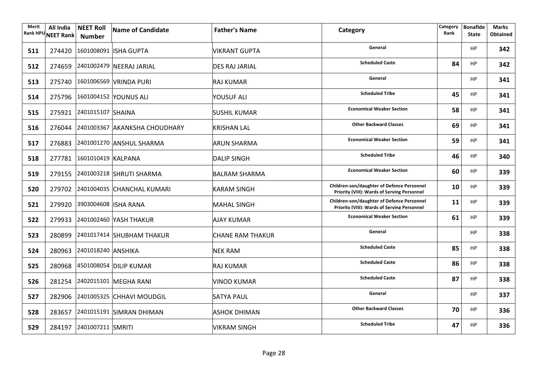| Merit | All India<br>Rank HPU NEET Rank | <b>NEET Roll</b><br><b>Number</b> | Name of Candidate                    | <b>Father's Name</b>    | Category                                                                                                | Category<br>Rank | <b>Bonafide</b><br><b>State</b> | Marks<br><b>Obtained</b> |
|-------|---------------------------------|-----------------------------------|--------------------------------------|-------------------------|---------------------------------------------------------------------------------------------------------|------------------|---------------------------------|--------------------------|
| 511   |                                 |                                   | 274420 1601008091 ISHA GUPTA         | <b>VIKRANT GUPTA</b>    | General                                                                                                 |                  | <b>HP</b>                       | 342                      |
| 512   |                                 |                                   | 274659 2401002479 NEERAJ JARIAL      | <b>DES RAJ JARIAL</b>   | <b>Scheduled Caste</b>                                                                                  | 84               | <b>HP</b>                       | 342                      |
| 513   |                                 |                                   | 275740 1601006569 VRINDA PURI        | RAJ KUMAR               | General                                                                                                 |                  | <b>HP</b>                       | 341                      |
| 514   |                                 |                                   | 275796 1601004152 YOUNUS ALI         | YOUSUF ALI              | <b>Scheduled Tribe</b>                                                                                  | 45               | <b>HP</b>                       | 341                      |
| 515   |                                 | 275921 2401015107 SHAINA          |                                      | <b>SUSHIL KUMAR</b>     | <b>Economical Weaker Section</b>                                                                        | 58               | <b>HP</b>                       | 341                      |
| 516   |                                 |                                   | 276044 2401003367 AKANKSHA CHOUDHARY | <b>KRISHAN LAL</b>      | <b>Other Backward Classes</b>                                                                           | 69               | <b>HP</b>                       | 341                      |
| 517   |                                 |                                   | 276883 2401001270 ANSHUL SHARMA      | ARUN SHARMA             | <b>Economical Weaker Section</b>                                                                        | 59               | <b>HP</b>                       | 341                      |
| 518   |                                 | 277781 1601010419 KALPANA         |                                      | <b>DALIP SINGH</b>      | <b>Scheduled Tribe</b>                                                                                  | 46               | <b>HP</b>                       | 340                      |
| 519   |                                 |                                   | 279155 2401003218 SHRUTI SHARMA      | <b>BALRAM SHARMA</b>    | <b>Economical Weaker Section</b>                                                                        | 60               | <b>HP</b>                       | 339                      |
| 520   |                                 |                                   | 279702 2401004035 CHANCHAL KUMARI    | <b>KARAM SINGH</b>      | <b>Children-son/daughter of Defence Personnel</b><br>Priority (VIII): Wards of Serving Personnel        | 10               | <b>HP</b>                       | 339                      |
| 521   |                                 | 279920 3903004608 ISHA RANA       |                                      | <b>MAHAL SINGH</b>      | <b>Children-son/daughter of Defence Personnel</b><br><b>Priority (VIII): Wards of Serving Personnel</b> | 11               | <b>HP</b>                       | 339                      |
| 522   |                                 |                                   | 279933 2401002460 YASH THAKUR        | <b>AJAY KUMAR</b>       | <b>Economical Weaker Section</b>                                                                        | 61               | HP                              | 339                      |
| 523   |                                 |                                   | 280899 2401017414 SHUBHAM THAKUR     | <b>CHANE RAM THAKUR</b> | General                                                                                                 |                  | <b>HP</b>                       | 338                      |
| 524   |                                 | 280963 2401018240 ANSHIKA         |                                      | <b>NEK RAM</b>          | <b>Scheduled Caste</b>                                                                                  | 85               | HP                              | 338                      |
| 525   |                                 |                                   | 280968 4501008054 DILIP KUMAR        | RAJ KUMAR               | <b>Scheduled Caste</b>                                                                                  | 86               | <b>HP</b>                       | 338                      |
| 526   |                                 |                                   | 281254 2402015101 MEGHA RANI         | <b>VINOD KUMAR</b>      | <b>Scheduled Caste</b>                                                                                  | 87               | <b>HP</b>                       | 338                      |
| 527   |                                 |                                   | 282906 2401005325 CHHAVI MOUDGIL     | <b>SATYA PAUL</b>       | General                                                                                                 |                  | <b>HP</b>                       | 337                      |
| 528   |                                 |                                   | 283657 2401015191 SIMRAN DHIMAN      | <b>ASHOK DHIMAN</b>     | <b>Other Backward Classes</b>                                                                           | 70               | HP                              | 336                      |
| 529   |                                 | 284197 2401007211 SMRITI          |                                      | <b>VIKRAM SINGH</b>     | <b>Scheduled Tribe</b>                                                                                  | 47               | <b>HP</b>                       | 336                      |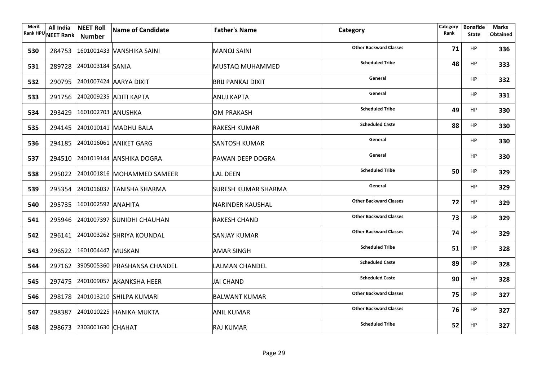| Merit | All India<br>Rank HPU NEET Rank   Number | <b>NEET Roll</b>          | Name of Candidate                   | <b>Father's Name</b>       | Category                      | Category<br>Rank | <b>Bonafide</b><br><b>State</b> | Marks<br><b>Obtained</b> |
|-------|------------------------------------------|---------------------------|-------------------------------------|----------------------------|-------------------------------|------------------|---------------------------------|--------------------------|
| 530   |                                          |                           | 284753 1601001433 VANSHIKA SAINI    | MANOJ SAINI                | <b>Other Backward Classes</b> | 71               | <b>HP</b>                       | 336                      |
| 531   |                                          | 289728 2401003184 SANIA   |                                     | MUSTAQ MUHAMMED            | <b>Scheduled Tribe</b>        | 48               | <b>HP</b>                       | 333                      |
| 532   |                                          |                           | 290795 2401007424 AARYA DIXIT       | BRIJ PANKAJ DIXIT          | General                       |                  | <b>HP</b>                       | 332                      |
| 533   |                                          |                           | 291756 2402009235 ADITI KAPTA       | <b>ANUJ KAPTA</b>          | General                       |                  | <b>HP</b>                       | 331                      |
| 534   |                                          | 293429 1601002703 ANUSHKA |                                     | OM PRAKASH                 | <b>Scheduled Tribe</b>        | 49               | <b>HP</b>                       | 330                      |
| 535   |                                          |                           | 294145 2401010141 MADHU BALA        | <b>RAKESH KUMAR</b>        | <b>Scheduled Caste</b>        | 88               | <b>HP</b>                       | 330                      |
| 536   |                                          |                           | 294185 2401016061 ANIKET GARG       | SANTOSH KUMAR              | General                       |                  | <b>HP</b>                       | 330                      |
| 537   |                                          |                           | 294510 2401019144 ANSHIKA DOGRA     | <b>PAWAN DEEP DOGRA</b>    | General                       |                  | <b>HP</b>                       | 330                      |
| 538   |                                          |                           | 295022 2401001816 MOHAMMED SAMEER   | <b>LAL DEEN</b>            | <b>Scheduled Tribe</b>        | 50               | <b>HP</b>                       | 329                      |
| 539   |                                          |                           | 295354 2401016037 TANISHA SHARMA    | <b>SURESH KUMAR SHARMA</b> | General                       |                  | <b>HP</b>                       | 329                      |
| 540   |                                          | 295735 1601002592 ANAHITA |                                     | NARINDER KAUSHAL           | <b>Other Backward Classes</b> | 72               | <b>HP</b>                       | 329                      |
| 541   |                                          |                           | 295946 2401007397 SUNIDHI CHAUHAN   | <b>RAKESH CHAND</b>        | <b>Other Backward Classes</b> | 73               | <b>HP</b>                       | 329                      |
| 542   |                                          |                           | 296141 2401003262 SHRIYA KOUNDAL    | SANJAY KUMAR               | <b>Other Backward Classes</b> | 74               | <b>HP</b>                       | 329                      |
| 543   |                                          | 296522 1601004447 MUSKAN  |                                     | <b>AMAR SINGH</b>          | <b>Scheduled Tribe</b>        | 51               | <b>HP</b>                       | 328                      |
| 544   |                                          |                           | 297162 3905005360 PRASHANSA CHANDEL | <b>LALMAN CHANDEL</b>      | <b>Scheduled Caste</b>        | 89               | <b>HP</b>                       | 328                      |
| 545   |                                          |                           | 297475 2401009057 AKANKSHA HEER     | JAI CHAND                  | <b>Scheduled Caste</b>        | 90               | <b>HP</b>                       | 328                      |
| 546   |                                          |                           | 298178 2401013210 SHILPA KUMARI     | <b>BALWANT KUMAR</b>       | <b>Other Backward Classes</b> | 75               | <b>HP</b>                       | 327                      |
| 547   |                                          |                           | 298387 2401010225 HANIKA MUKTA      | ANIL KUMAR                 | <b>Other Backward Classes</b> | 76               | HP                              | 327                      |
| 548   |                                          | 298673 2303001630 CHAHAT  |                                     | <b>RAJ KUMAR</b>           | <b>Scheduled Tribe</b>        | 52               | <b>HP</b>                       | 327                      |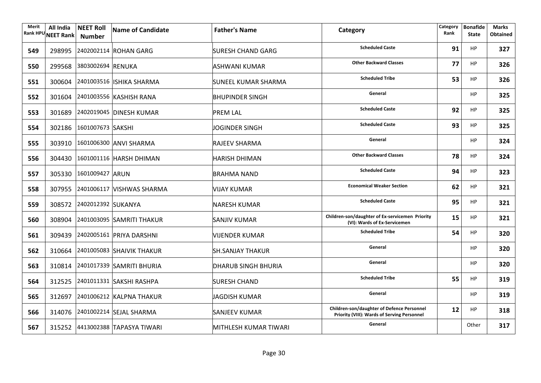| Merit | All India<br>Rank HPU NEET Rank | <b>NEET Roll</b><br><b>Number</b> | Name of Candidate                | <b>Father's Name</b>       | Category                                                                                  | Category<br>Rank | <b>Bonafide</b><br><b>State</b> | <b>Marks</b><br><b>Obtained</b> |
|-------|---------------------------------|-----------------------------------|----------------------------------|----------------------------|-------------------------------------------------------------------------------------------|------------------|---------------------------------|---------------------------------|
| 549   |                                 |                                   | 298995 2402002114 ROHAN GARG     | SURESH CHAND GARG          | <b>Scheduled Caste</b>                                                                    | 91               | <b>HP</b>                       | 327                             |
| 550   |                                 | 299568 3803002694 RENUKA          |                                  | <b>ASHWANI KUMAR</b>       | <b>Other Backward Classes</b>                                                             | 77               | <b>HP</b>                       | 326                             |
| 551   |                                 |                                   | 300604 2401003516 ISHIKA SHARMA  | <b>SUNEEL KUMAR SHARMA</b> | <b>Scheduled Tribe</b>                                                                    | 53               | <b>HP</b>                       | 326                             |
| 552   |                                 |                                   | 301604 2401003556 KASHISH RANA   | <b>BHUPINDER SINGH</b>     | General                                                                                   |                  | <b>HP</b>                       | 325                             |
| 553   |                                 |                                   | 301689 2402019045 DINESH KUMAR   | <b>PREM LAL</b>            | <b>Scheduled Caste</b>                                                                    | 92               | <b>HP</b>                       | 325                             |
| 554   |                                 | 302186 1601007673 SAKSHI          |                                  | <b>JOGINDER SINGH</b>      | <b>Scheduled Caste</b>                                                                    | 93               | <b>HP</b>                       | 325                             |
| 555   |                                 |                                   | 303910 1601006300 ANVI SHARMA    | <b>RAJEEV SHARMA</b>       | General                                                                                   |                  | <b>HP</b>                       | 324                             |
| 556   |                                 |                                   | 304430 1601001116 HARSH DHIMAN   | <b>HARISH DHIMAN</b>       | <b>Other Backward Classes</b>                                                             | 78               | <b>HP</b>                       | 324                             |
| 557   |                                 | 305330 1601009427 ARUN            |                                  | <b>BRAHMA NAND</b>         | <b>Scheduled Caste</b>                                                                    | 94               | <b>HP</b>                       | 323                             |
| 558   |                                 |                                   | 307955 2401006117 VISHWAS SHARMA | <b>VIJAY KUMAR</b>         | <b>Economical Weaker Section</b>                                                          | 62               | <b>HP</b>                       | 321                             |
| 559   |                                 | 308572 2402012392 SUKANYA         |                                  | <b>NARESH KUMAR</b>        | <b>Scheduled Caste</b>                                                                    | 95               | <b>HP</b>                       | 321                             |
| 560   |                                 |                                   | 308904 2401003095 SAMRITI THAKUR | <b>SANJIV KUMAR</b>        | Children-son/daughter of Ex-servicemen Priority<br>(VI): Wards of Ex-Servicemen           | 15               | <b>HP</b>                       | 321                             |
| 561   |                                 |                                   | 309439 2402005161 PRIYA DARSHNI  | <b>VIJENDER KUMAR</b>      | <b>Scheduled Tribe</b>                                                                    | 54               | <b>HP</b>                       | 320                             |
| 562   |                                 |                                   | 310664 2401005083 SHAIVIK THAKUR | <b>SH.SANJAY THAKUR</b>    | General                                                                                   |                  | HP                              | 320                             |
| 563   |                                 |                                   | 310814 2401017339 SAMRITI BHURIA | <b>DHARUB SINGH BHURIA</b> | General                                                                                   |                  | <b>HP</b>                       | 320                             |
| 564   |                                 |                                   | 312525 2401011331 SAKSHI RASHPA  | <b>SURESH CHAND</b>        | <b>Scheduled Tribe</b>                                                                    | 55               | <b>HP</b>                       | 319                             |
| 565   |                                 |                                   | 312697 2401006212 KALPNA THAKUR  | JAGDISH KUMAR              | General                                                                                   |                  | <b>HP</b>                       | 319                             |
| 566   |                                 |                                   | 314076 2401002214 SEJAL SHARMA   | <b>SANJEEV KUMAR</b>       | Children-son/daughter of Defence Personnel<br>Priority (VIII): Wards of Serving Personnel | 12               | HP                              | 318                             |
| 567   |                                 |                                   | 315252 4413002388 TAPASYA TIWARI | MITHLESH KUMAR TIWARI      | General                                                                                   |                  | Other                           | 317                             |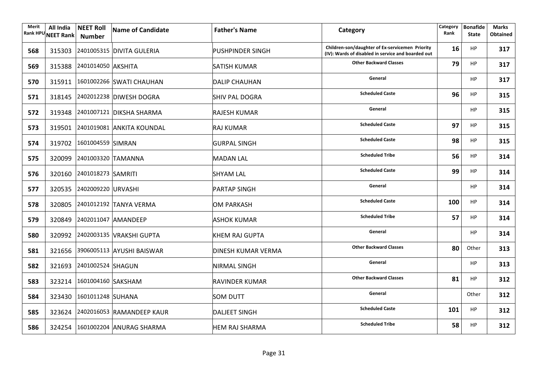| Merit<br><b>Rank HPU</b> | All India<br><b>NEET Rank</b> | <b>NEET Roll</b><br><b>Number</b> | Name of Candidate                | <b>Father's Name</b>      | Category                                                                                              | Category<br>Rank | <b>Bonafide</b><br><b>State</b> | <b>Marks</b><br><b>Obtained</b> |
|--------------------------|-------------------------------|-----------------------------------|----------------------------------|---------------------------|-------------------------------------------------------------------------------------------------------|------------------|---------------------------------|---------------------------------|
| 568                      |                               |                                   | 315303 2401005315 DIVITA GULERIA | <b>PUSHPINDER SINGH</b>   | Children-son/daughter of Ex-servicemen Priority<br>(IV): Wards of disabled in service and boarded out | 16               | <b>HP</b>                       | 317                             |
| 569                      |                               | 315388 2401014050 AKSHITA         |                                  | SATISH KUMAR              | <b>Other Backward Classes</b>                                                                         | 79               | HP                              | 317                             |
| 570                      |                               |                                   | 315911 1601002266 SWATI CHAUHAN  | <b>DALIP CHAUHAN</b>      | General                                                                                               |                  | <b>HP</b>                       | 317                             |
| 571                      |                               |                                   | 318145 2402012238 DIWESH DOGRA   | <b>SHIV PAL DOGRA</b>     | <b>Scheduled Caste</b>                                                                                | 96               | <b>HP</b>                       | 315                             |
| 572                      |                               |                                   | 319348 2401007121 DIKSHA SHARMA  | <b>RAJESH KUMAR</b>       | General                                                                                               |                  | HP                              | 315                             |
| 573                      |                               |                                   | 319501 2401019081 ANKITA KOUNDAL | RAJ KUMAR                 | <b>Scheduled Caste</b>                                                                                | 97               | <b>HP</b>                       | 315                             |
| 574                      |                               | 319702 1601004559 SIMRAN          |                                  | GURPAL SINGH              | <b>Scheduled Caste</b>                                                                                | 98               | <b>HP</b>                       | 315                             |
| 575                      |                               | 320099 2401003320 TAMANNA         |                                  | <b>MADAN LAL</b>          | <b>Scheduled Tribe</b>                                                                                | 56               | HP                              | 314                             |
| 576                      |                               | 320160 2401018273 SAMRITI         |                                  | <b>SHYAM LAL</b>          | <b>Scheduled Caste</b>                                                                                | 99               | <b>HP</b>                       | 314                             |
| 577                      |                               | 320535 2402009220 URVASHI         |                                  | <b>PARTAP SINGH</b>       | General                                                                                               |                  | <b>HP</b>                       | 314                             |
| 578                      |                               |                                   | 320805 2401012192 TANYA VERMA    | <b>OM PARKASH</b>         | <b>Scheduled Caste</b>                                                                                | 100              | HP                              | 314                             |
| 579                      |                               |                                   | 320849 2402011047 AMANDEEP       | <b>ASHOK KUMAR</b>        | <b>Scheduled Tribe</b>                                                                                | 57               | <b>HP</b>                       | 314                             |
| 580                      |                               |                                   | 320992 2402003135 VRAKSHI GUPTA  | KHEM RAJ GUPTA            | General                                                                                               |                  | HP                              | 314                             |
| 581                      |                               |                                   | 321656 3906005113 AYUSHI BAISWAR | <b>DINESH KUMAR VERMA</b> | <b>Other Backward Classes</b>                                                                         | 80               | Other                           | 313                             |
| 582                      |                               | 321693 2401002524 SHAGUN          |                                  | <b>NIRMAL SINGH</b>       | General                                                                                               |                  | HP                              | 313                             |
| 583                      |                               | 323214 1601004160 SAKSHAM         |                                  | <b>RAVINDER KUMAR</b>     | <b>Other Backward Classes</b>                                                                         | 81               | <b>HP</b>                       | 312                             |
| 584                      |                               | 323430 1601011248 SUHANA          |                                  | <b>SOM DUTT</b>           | General                                                                                               |                  | Other                           | 312                             |
| 585                      |                               |                                   | 323624 2402016053 RAMANDEEP KAUR | <b>DALJEET SINGH</b>      | <b>Scheduled Caste</b>                                                                                | 101              | <b>HP</b>                       | 312                             |
| 586                      |                               |                                   | 324254 1601002204 ANURAG SHARMA  | <b>HEM RAJ SHARMA</b>     | <b>Scheduled Tribe</b>                                                                                | 58               | HP                              | 312                             |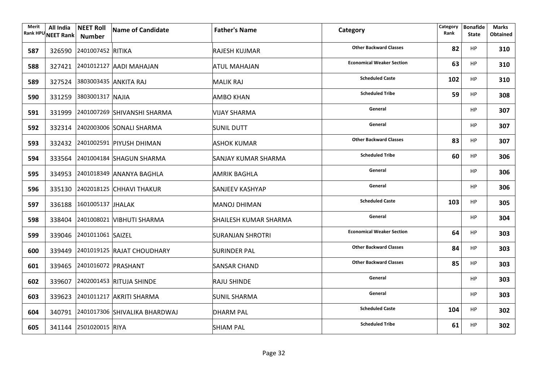| Merit | All India<br>Rank HPU NEET Rank | <b>NEET Roll</b><br>Number   | Name of Candidate                    | <b>Father's Name</b>    | Category                         | Category<br>Rank | <b>Bonafide</b><br><b>State</b> | <b>Marks</b><br><b>Obtained</b> |
|-------|---------------------------------|------------------------------|--------------------------------------|-------------------------|----------------------------------|------------------|---------------------------------|---------------------------------|
| 587   |                                 | 326590 2401007452 RITIKA     |                                      | <b>RAJESH KUJMAR</b>    | <b>Other Backward Classes</b>    | 82               | HP                              | 310                             |
| 588   |                                 |                              | 327421 2401012127 AADI MAHAJAN       | ATUL MAHAJAN            | <b>Economical Weaker Section</b> | 63               | <b>HP</b>                       | 310                             |
| 589   |                                 | 327524 3803003435 ANKITA RAJ |                                      | <b>MALIK RAJ</b>        | <b>Scheduled Caste</b>           | 102              | <b>HP</b>                       | 310                             |
| 590   |                                 | 331259 3803001317 NAJIA      |                                      | <b>AMBO KHAN</b>        | <b>Scheduled Tribe</b>           | 59               | <b>HP</b>                       | 308                             |
| 591   |                                 |                              | 331999 2401007269 SHIVANSHI SHARMA   | <b>VIJAY SHARMA</b>     | General                          |                  | <b>HP</b>                       | 307                             |
| 592   |                                 |                              | 332314 2402003006 SONALI SHARMA      | <b>SUNIL DUTT</b>       | General                          |                  | <b>HP</b>                       | 307                             |
| 593   |                                 |                              | 332432 2401002591 PIYUSH DHIMAN      | ASHOK KUMAR             | <b>Other Backward Classes</b>    | 83               | <b>HP</b>                       | 307                             |
| 594   |                                 |                              | 333564 2401004184 SHAGUN SHARMA      | SANJAY KUMAR SHARMA     | <b>Scheduled Tribe</b>           | 60               | <b>HP</b>                       | 306                             |
| 595   |                                 |                              | 334953 2401018349 ANANYA BAGHLA      | <b>AMRIK BAGHLA</b>     | General                          |                  | HP                              | 306                             |
| 596   |                                 |                              | 335130 2402018125 CHHAVI THAKUR      | SANJEEV KASHYAP         | General                          |                  | HP                              | 306                             |
| 597   |                                 | 336188 1601005137 JHALAK     |                                      | MANOJ DHIMAN            | <b>Scheduled Caste</b>           | 103              | <b>HP</b>                       | 305                             |
| 598   |                                 |                              | 338404 2401008021 VIBHUTI SHARMA     | SHAILESH KUMAR SHARMA   | General                          |                  | HP                              | 304                             |
| 599   |                                 | 339046 2401011061 SAIZEL     |                                      | <b>SURANJAN SHROTRI</b> | <b>Economical Weaker Section</b> | 64               | <b>HP</b>                       | 303                             |
| 600   |                                 |                              | 339449 2401019125 RAJAT CHOUDHARY    | <b>SURINDER PAL</b>     | <b>Other Backward Classes</b>    | 84               | <b>HP</b>                       | 303                             |
| 601   |                                 | 339465 2401016072 PRASHANT   |                                      | SANSAR CHAND            | <b>Other Backward Classes</b>    | 85               | HP                              | 303                             |
| 602   |                                 |                              | 339607 2402001453 RITUJA SHINDE      | <b>RAJU SHINDE</b>      | General                          |                  | <b>HP</b>                       | 303                             |
| 603   |                                 |                              | 339623 2401011217 AKRITI SHARMA      | <b>SUNIL SHARMA</b>     | General                          |                  | <b>HP</b>                       | 303                             |
| 604   |                                 |                              | 340791 2401017306 SHIVALIKA BHARDWAJ | <b>DHARM PAL</b>        | <b>Scheduled Caste</b>           | 104              | <b>HP</b>                       | 302                             |
| 605   |                                 | 341144 2501020015 RIYA       |                                      | SHIAM PAL               | <b>Scheduled Tribe</b>           | 61               | <b>HP</b>                       | 302                             |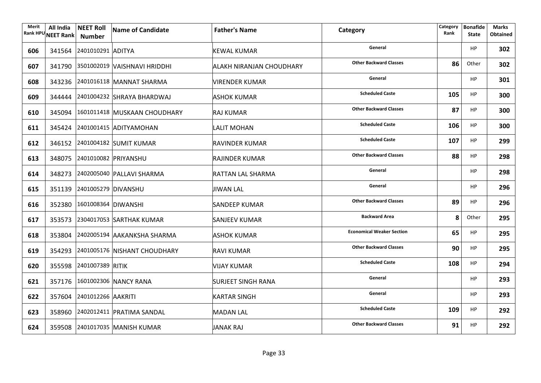| Merit | All India<br>Rank HPU NEET Rank | <b>NEET Roll</b><br>Number  | Name of Candidate                   | <b>Father's Name</b>            | Category                         | Category<br>Rank | <b>Bonafide</b><br><b>State</b> | <b>Marks</b><br><b>Obtained</b> |
|-------|---------------------------------|-----------------------------|-------------------------------------|---------------------------------|----------------------------------|------------------|---------------------------------|---------------------------------|
| 606   |                                 | 341564 2401010291 ADITYA    |                                     | <b>KEWAL KUMAR</b>              | General                          |                  | ΗP                              | 302                             |
| 607   |                                 |                             | 341790 3501002019 VAISHNAVI HRIDDHI | <b>ALAKH NIRANJAN CHOUDHARY</b> | <b>Other Backward Classes</b>    | 86               | Other                           | 302                             |
| 608   |                                 |                             | 343236 2401016118 MANNAT SHARMA     | <b>VIRENDER KUMAR</b>           | General                          |                  | <b>HP</b>                       | 301                             |
| 609   |                                 |                             | 344444 2401004232 SHRAYA BHARDWAJ   | <b>ASHOK KUMAR</b>              | <b>Scheduled Caste</b>           | 105              | <b>HP</b>                       | 300                             |
| 610   |                                 |                             | 345094 1601011418 MUSKAAN CHOUDHARY | <b>RAJ KUMAR</b>                | <b>Other Backward Classes</b>    | 87               | <b>HP</b>                       | 300                             |
| 611   |                                 |                             | 345424 2401001415 ADITYAMOHAN       | LALIT MOHAN                     | <b>Scheduled Caste</b>           | 106              | <b>HP</b>                       | 300                             |
| 612   |                                 |                             | 346152 2401004182 SUMIT KUMAR       | RAVINDER KUMAR                  | <b>Scheduled Caste</b>           | 107              | <b>HP</b>                       | 299                             |
| 613   |                                 | 348075 2401010082 PRIYANSHU |                                     | RAJINDER KUMAR                  | <b>Other Backward Classes</b>    | 88               | <b>HP</b>                       | 298                             |
| 614   |                                 |                             | 348273 2402005040 PALLAVI SHARMA    | <b>RATTAN LAL SHARMA</b>        | General                          |                  | HP                              | 298                             |
| 615   |                                 | 351139 2401005279 DIVANSHU  |                                     | JIWAN LAL                       | General                          |                  | HP                              | 296                             |
| 616   |                                 | 352380 1601008364 DIWANSHI  |                                     | <b>SANDEEP KUMAR</b>            | <b>Other Backward Classes</b>    | 89               | <b>HP</b>                       | 296                             |
| 617   |                                 |                             | 353573 2304017053 SARTHAK KUMAR     | SANJEEV KUMAR                   | <b>Backward Area</b>             | 8                | Other                           | 295                             |
| 618   |                                 |                             | 353804 2402005194 AAKANKSHA SHARMA  | <b>ASHOK KUMAR</b>              | <b>Economical Weaker Section</b> | 65               | <b>HP</b>                       | 295                             |
| 619   |                                 |                             | 354293 2401005176 NISHANT CHOUDHARY | <b>RAVI KUMAR</b>               | <b>Other Backward Classes</b>    | 90               | <b>HP</b>                       | 295                             |
| 620   |                                 | 355598 2401007389 RITIK     |                                     | <b>VIJAY KUMAR</b>              | <b>Scheduled Caste</b>           | 108              | HP                              | 294                             |
| 621   |                                 |                             | 357176 1601002306 NANCY RANA        | <b>SURJEET SINGH RANA</b>       | General                          |                  | <b>HP</b>                       | 293                             |
| 622   |                                 | 357604 2401012266 AAKRITI   |                                     | <b>KARTAR SINGH</b>             | General                          |                  | HP                              | 293                             |
| 623   |                                 |                             | 358960 2402012411 PRATIMA SANDAL    | MADAN LAL                       | <b>Scheduled Caste</b>           | 109              | HP                              | 292                             |
| 624   |                                 |                             | 359508 2401017035 MANISH KUMAR      | JANAK RAJ                       | <b>Other Backward Classes</b>    | 91               | <b>HP</b>                       | 292                             |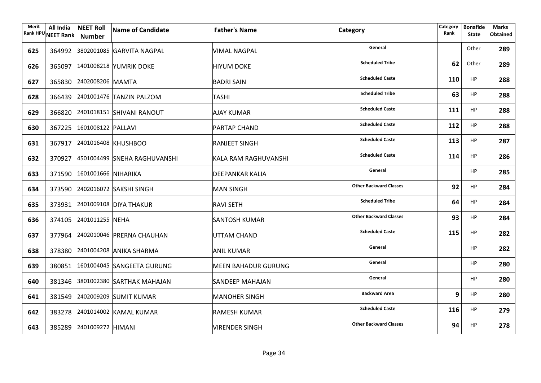| Merit | All India<br>Rank HPU NEET Rank | <b>NEET Roll</b><br>Number | Name of Candidate                   | <b>Father's Name</b>       | Category                      | Category<br>Rank | <b>Bonafide</b><br><b>State</b> | <b>Marks</b><br><b>Obtained</b> |
|-------|---------------------------------|----------------------------|-------------------------------------|----------------------------|-------------------------------|------------------|---------------------------------|---------------------------------|
| 625   |                                 |                            | 364992 3802001085 GARVITA NAGPAL    | VIMAL NAGPAL               | General                       |                  | Other                           | 289                             |
| 626   |                                 |                            | 365097 1401008218 YUMRIK DOKE       | <b>HIYUM DOKE</b>          | <b>Scheduled Tribe</b>        | 62               | Other                           | 289                             |
| 627   |                                 | 365830 2402008206 MAMTA    |                                     | <b>BADRI SAIN</b>          | <b>Scheduled Caste</b>        | 110              | HP                              | 288                             |
| 628   |                                 |                            | 366439 2401001476 TANZIN PALZOM     | <b>TASHI</b>               | <b>Scheduled Tribe</b>        | 63               | <b>HP</b>                       | 288                             |
| 629   |                                 |                            | 366820 2401018151 SHIVANI RANOUT    | <b>AJAY KUMAR</b>          | <b>Scheduled Caste</b>        | 111              | HP                              | 288                             |
| 630   |                                 | 367225 1601008122 PALLAVI  |                                     | <b>PARTAP CHAND</b>        | <b>Scheduled Caste</b>        | 112              | HP                              | 288                             |
| 631   |                                 |                            | 367917 2401016408 KHUSHBOO          | <b>RANJEET SINGH</b>       | <b>Scheduled Caste</b>        | 113              | HP                              | 287                             |
| 632   |                                 |                            | 370927 4501004499 SNEHA RAGHUVANSHI | KALA RAM RAGHUVANSHI       | <b>Scheduled Caste</b>        | 114              | <b>HP</b>                       | 286                             |
| 633   |                                 | 371590 1601001666 NIHARIKA |                                     | <b>DEEPANKAR KALIA</b>     | General                       |                  | <b>HP</b>                       | 285                             |
| 634   |                                 |                            | 373590 2402016072 SAKSHI SINGH      | <b>MAN SINGH</b>           | <b>Other Backward Classes</b> | 92               | <b>HP</b>                       | 284                             |
| 635   |                                 |                            | 373931 2401009108 DIYA THAKUR       | <b>RAVI SETH</b>           | <b>Scheduled Tribe</b>        | 64               | <b>HP</b>                       | 284                             |
| 636   |                                 | 374105 2401011255 NEHA     |                                     | <b>SANTOSH KUMAR</b>       | <b>Other Backward Classes</b> | 93               | <b>HP</b>                       | 284                             |
| 637   |                                 |                            | 377964 2402010046 PRERNA CHAUHAN    | UTTAM CHAND                | <b>Scheduled Caste</b>        | 115              | <b>HP</b>                       | 282                             |
| 638   |                                 |                            | 378380 2401004208 ANIKA SHARMA      | <b>ANIL KUMAR</b>          | General                       |                  | HP                              | 282                             |
| 639   |                                 |                            | 380851 1601004045 SANGEETA GURUNG   | <b>MEEN BAHADUR GURUNG</b> | General                       |                  | <b>HP</b>                       | 280                             |
| 640   |                                 |                            | 381346 3801002380 SARTHAK MAHAJAN   | <b>SANDEEP MAHAJAN</b>     | General                       |                  | HP                              | 280                             |
| 641   |                                 |                            | 381549 2402009209 SUMIT KUMAR       | <b>MANOHER SINGH</b>       | <b>Backward Area</b>          | 9                | <b>HP</b>                       | 280                             |
| 642   |                                 |                            | 383278 2401014002 KAMAL KUMAR       | <b>RAMESH KUMAR</b>        | <b>Scheduled Caste</b>        | 116              | <b>HP</b>                       | 279                             |
| 643   |                                 | 385289 2401009272 HIMANI   |                                     | <b>VIRENDER SINGH</b>      | <b>Other Backward Classes</b> | 94               | <b>HP</b>                       | 278                             |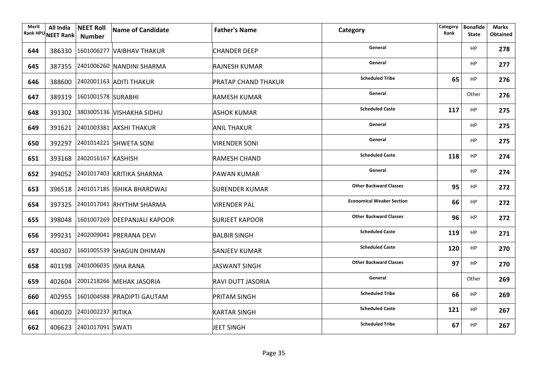| Merit | All India | <b>NEET Roll</b><br>Rank HPU NEET Rank   Number | Name of Candidate                   | <b>Father's Name</b>       | Category                         | Category<br>Rank | <b>Bonafide</b><br><b>State</b> | Marks<br><b>Obtained</b> |
|-------|-----------|-------------------------------------------------|-------------------------------------|----------------------------|----------------------------------|------------------|---------------------------------|--------------------------|
| 644   |           |                                                 | 386330 1601006277 VAIBHAV THAKUR    | <b>CHANDER DEEP</b>        | General                          |                  | HP                              | 278                      |
| 645   |           |                                                 | 387355 2401006260 NANDINI SHARMA    | <b>RAJNESH KUMAR</b>       | General                          |                  | <b>HP</b>                       | 277                      |
| 646   |           |                                                 | 388600 2402001163 ADITI THAKUR      | <b>PRATAP CHAND THAKUR</b> | <b>Scheduled Tribe</b>           | 65               | HP                              | 276                      |
| 647   |           | 389319 1601001578 SURABHI                       |                                     | <b>RAMESH KUMAR</b>        | General                          |                  | Other                           | 276                      |
| 648   |           |                                                 | 391302 3803005136 VISHAKHA SIDHU    | <b>ASHOK KUMAR</b>         | <b>Scheduled Caste</b>           | 117              | HP                              | 275                      |
| 649   |           |                                                 | 391621 2401003381 AKSHI THAKUR      | <b>ANIL THAKUR</b>         | General                          |                  | HP                              | 275                      |
| 650   |           |                                                 | 392297 2401014221 SHWETA SONI       | <b>VIRENDER SONI</b>       | General                          |                  | <b>HP</b>                       | 275                      |
| 651   |           | 393168 2402016167 KASHISH                       |                                     | RAMESH CHAND               | <b>Scheduled Caste</b>           | 118              | <b>HP</b>                       | 274                      |
| 652   |           |                                                 | 394052 2401017403 KRITIKA SHARMA    | <b>PAWAN KUMAR</b>         | General                          |                  | <b>HP</b>                       | 274                      |
| 653   |           |                                                 | 396518 2401017185 ISHIKA BHARDWAJ   | <b>SURENDER KUMAR</b>      | <b>Other Backward Classes</b>    | 95               | <b>HP</b>                       | 272                      |
| 654   |           |                                                 | 397325 2401017041 RHYTHM SHARMA     | <b>VIRENDER PAL</b>        | <b>Economical Weaker Section</b> | 66               | <b>HP</b>                       | 272                      |
| 655   |           |                                                 | 398048 1601007269 DEEPANJALI KAPOOR | <b>SURJEET KAPOOR</b>      | <b>Other Backward Classes</b>    | 96               | <b>HP</b>                       | 272                      |
| 656   |           |                                                 | 399231 2402009041 PRERANA DEVI      | <b>BALBIR SINGH</b>        | <b>Scheduled Caste</b>           | 119              | <b>HP</b>                       | 271                      |
| 657   |           |                                                 | 400307 1601005539 SHAGUN DHIMAN     | <b>SANJEEV KUMAR</b>       | <b>Scheduled Caste</b>           | 120              | HP                              | 270                      |
| 658   |           | 401198 2401006035 ISHA RANA                     |                                     | JASWANT SINGH              | <b>Other Backward Classes</b>    | 97               | <b>HP</b>                       | 270                      |
| 659   |           |                                                 | 402604 2001218266 MEHAK JASORIA     | RAVI DUTT JASORIA          | General                          |                  | Other                           | 269                      |
| 660   |           |                                                 | 402955 1601004588 PRADIPTI GAUTAM   | <b>PRITAM SINGH</b>        | <b>Scheduled Tribe</b>           | 66               | HP                              | 269                      |
| 661   |           | 406020 2401002237 RITIKA                        |                                     | <b>KARTAR SINGH</b>        | <b>Scheduled Caste</b>           | 121              | <b>HP</b>                       | 267                      |
| 662   |           | 406623 2401017091 SWATI                         |                                     | JEET SINGH                 | <b>Scheduled Tribe</b>           | 67               | <b>HP</b>                       | 267                      |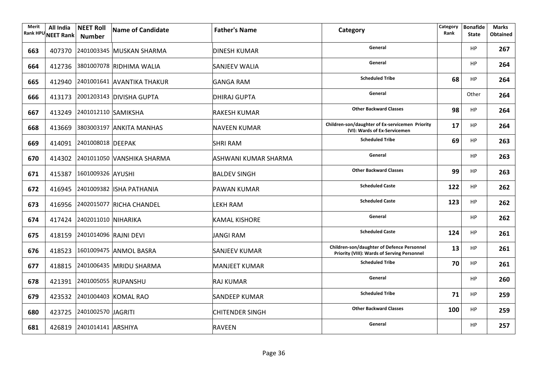| Merit<br><b>Rank HPU</b> | All India<br>NEET Rank | <b>NEET Roll</b><br><b>Number</b> | Name of Candidate                 | <b>Father's Name</b>   | Category                                                                                  | Category<br>Rank | <b>Bonafide</b><br><b>State</b> | <b>Marks</b><br><b>Obtained</b> |
|--------------------------|------------------------|-----------------------------------|-----------------------------------|------------------------|-------------------------------------------------------------------------------------------|------------------|---------------------------------|---------------------------------|
| 663                      |                        |                                   | 407370 2401003345 MUSKAN SHARMA   | <b>DINESH KUMAR</b>    | General                                                                                   |                  | HP                              | 267                             |
| 664                      |                        |                                   | 412736 3801007078 RIDHIMA WALIA   | <b>SANJEEV WALIA</b>   | General                                                                                   |                  | <b>HP</b>                       | 264                             |
| 665                      |                        |                                   | 412940 2401001641 AVANTIKA THAKUR | <b>GANGA RAM</b>       | <b>Scheduled Tribe</b>                                                                    | 68               | <b>HP</b>                       | 264                             |
| 666                      |                        |                                   | 413173 2001203143 DIVISHA GUPTA   | <b>DHIRAJ GUPTA</b>    | General                                                                                   |                  | Other                           | 264                             |
| 667                      |                        | 413249 2401012110 SAMIKSHA        |                                   | <b>RAKESH KUMAR</b>    | <b>Other Backward Classes</b>                                                             | 98               | HP                              | 264                             |
| 668                      |                        |                                   | 413669 3803003197 ANKITA MANHAS   | <b>NAVEEN KUMAR</b>    | Children-son/daughter of Ex-servicemen Priority<br>(VI): Wards of Ex-Servicemen           | 17               | HP                              | 264                             |
| 669                      |                        | 414091 2401008018 DEEPAK          |                                   | <b>SHRI RAM</b>        | <b>Scheduled Tribe</b>                                                                    | 69               | <b>HP</b>                       | 263                             |
| 670                      |                        |                                   | 414302 2401011050 VANSHIKA SHARMA | ASHWANI KUMAR SHARMA   | General                                                                                   |                  | HP                              | 263                             |
| 671                      |                        | 415387 1601009326 AYUSHI          |                                   | <b>BALDEV SINGH</b>    | <b>Other Backward Classes</b>                                                             | 99               | <b>HP</b>                       | 263                             |
| 672                      |                        |                                   | 416945 2401009382 ISHA PATHANIA   | <b>PAWAN KUMAR</b>     | <b>Scheduled Caste</b>                                                                    | 122              | <b>HP</b>                       | 262                             |
| 673                      |                        |                                   | 416956 2402015077 RICHA CHANDEL   | <b>LEKH RAM</b>        | <b>Scheduled Caste</b>                                                                    | 123              | <b>HP</b>                       | 262                             |
| 674                      |                        | 417424 2402011010 NIHARIKA        |                                   | <b>KAMAL KISHORE</b>   | General                                                                                   |                  | <b>HP</b>                       | 262                             |
| 675                      |                        | 418159 2401014096 RAJNI DEVI      |                                   | JANGI RAM              | <b>Scheduled Caste</b>                                                                    | 124              | <b>HP</b>                       | 261                             |
| 676                      |                        |                                   | 418523 1601009475 ANMOL BASRA     | <b>SANJEEV KUMAR</b>   | Children-son/daughter of Defence Personnel<br>Priority (VIII): Wards of Serving Personnel | 13               | <b>HP</b>                       | 261                             |
| 677                      |                        |                                   | 418815 2401006435 MRIDU SHARMA    | MANJEET KUMAR          | <b>Scheduled Tribe</b>                                                                    | 70               | <b>HP</b>                       | 261                             |
| 678                      |                        |                                   | 421391 2401005055 RUPANSHU        | <b>RAJ KUMAR</b>       | General                                                                                   |                  | <b>HP</b>                       | 260                             |
| 679                      |                        |                                   | 423532 2401004403 KOMAL RAO       | <b>SANDEEP KUMAR</b>   | <b>Scheduled Tribe</b>                                                                    | 71               | <b>HP</b>                       | 259                             |
| 680                      |                        | 423725 2401002570 JAGRITI         |                                   | <b>CHITENDER SINGH</b> | <b>Other Backward Classes</b>                                                             | 100              | <b>HP</b>                       | 259                             |
| 681                      |                        | 426819 2401014141 ARSHIYA         |                                   | <b>RAVEEN</b>          | General                                                                                   |                  | <b>HP</b>                       | 257                             |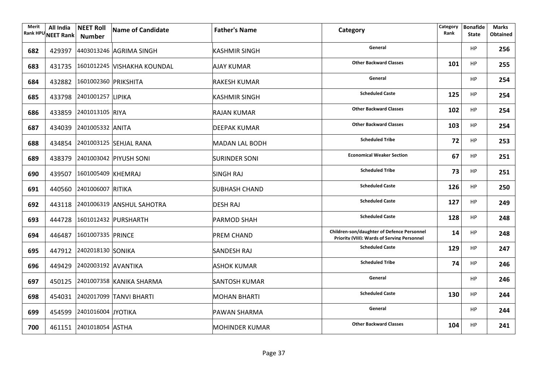| Merit<br><b>Rank HPU</b> | All India<br>NEET Rank | <b>NEET Roll</b><br>Number  | Name of Candidate                  | <b>Father's Name</b>  | Category                                                                                  | Category<br>Rank | <b>Bonafide</b><br><b>State</b> | <b>Marks</b><br><b>Obtained</b> |
|--------------------------|------------------------|-----------------------------|------------------------------------|-----------------------|-------------------------------------------------------------------------------------------|------------------|---------------------------------|---------------------------------|
| 682                      |                        |                             | 429397 4403013246 AGRIMA SINGH     | KASHMIR SINGH         | General                                                                                   |                  | HP                              | 256                             |
| 683                      |                        |                             | 431735 1601012245 VISHAKHA KOUNDAL | <b>AJAY KUMAR</b>     | <b>Other Backward Classes</b>                                                             | 101              | <b>HP</b>                       | 255                             |
| 684                      |                        | 432882 1601002360 PRIKSHITA |                                    | <b>RAKESH KUMAR</b>   | General                                                                                   |                  | <b>HP</b>                       | 254                             |
| 685                      |                        | 433798 2401001257 LIPIKA    |                                    | <b>KASHMIR SINGH</b>  | <b>Scheduled Caste</b>                                                                    | 125              | HP                              | 254                             |
| 686                      |                        | 433859 2401013105 RIYA      |                                    | <b>RAJAN KUMAR</b>    | <b>Other Backward Classes</b>                                                             | 102              | HP                              | 254                             |
| 687                      |                        | 434039 2401005332 ANITA     |                                    | <b>DEEPAK KUMAR</b>   | <b>Other Backward Classes</b>                                                             | 103              | HP                              | 254                             |
| 688                      |                        |                             | 434854 2401003125 SEHJAL RANA      | <b>MADAN LAL BODH</b> | <b>Scheduled Tribe</b>                                                                    | 72               | <b>HP</b>                       | 253                             |
| 689                      |                        |                             | 438379 2401003042 PIYUSH SONI      | <b>SURINDER SONI</b>  | <b>Economical Weaker Section</b>                                                          | 67               | HP                              | 251                             |
| 690                      |                        | 439507 1601005409 KHEMRAJ   |                                    | <b>SINGH RAJ</b>      | <b>Scheduled Tribe</b>                                                                    | 73               | <b>HP</b>                       | 251                             |
| 691                      |                        | 440560 2401006007 RITIKA    |                                    | <b>SUBHASH CHAND</b>  | <b>Scheduled Caste</b>                                                                    | 126              | <b>HP</b>                       | 250                             |
| 692                      |                        |                             | 443118 2401006319 ANSHUL SAHOTRA   | <b>DESH RAJ</b>       | <b>Scheduled Caste</b>                                                                    | 127              | <b>HP</b>                       | 249                             |
| 693                      |                        |                             | 444728 1601012432 PURSHARTH        | <b>PARMOD SHAH</b>    | <b>Scheduled Caste</b>                                                                    | 128              | <b>HP</b>                       | 248                             |
| 694                      |                        | 446487 1601007335 PRINCE    |                                    | <b>PREM CHAND</b>     | Children-son/daughter of Defence Personnel<br>Priority (VIII): Wards of Serving Personnel | 14               | <b>HP</b>                       | 248                             |
| 695                      |                        | 447912 2402018130 SONIKA    |                                    | <b>SANDESH RAJ</b>    | <b>Scheduled Caste</b>                                                                    | 129              | <b>HP</b>                       | 247                             |
| 696                      |                        | 449429 2402003192 AVANTIKA  |                                    | <b>ASHOK KUMAR</b>    | <b>Scheduled Tribe</b>                                                                    | 74               | <b>HP</b>                       | 246                             |
| 697                      |                        |                             | 450125 2401007358 KANIKA SHARMA    | <b>SANTOSH KUMAR</b>  | General                                                                                   |                  | <b>HP</b>                       | 246                             |
| 698                      |                        |                             | 454031 2402017099 TANVI BHARTI     | <b>MOHAN BHARTI</b>   | <b>Scheduled Caste</b>                                                                    | 130              | <b>HP</b>                       | 244                             |
| 699                      |                        | 454599 2401016004 JYOTIKA   |                                    | <b>PAWAN SHARMA</b>   | General                                                                                   |                  | <b>HP</b>                       | 244                             |
| 700                      |                        | 461151 2401018054 ASTHA     |                                    | <b>MOHINDER KUMAR</b> | <b>Other Backward Classes</b>                                                             | 104              | <b>HP</b>                       | 241                             |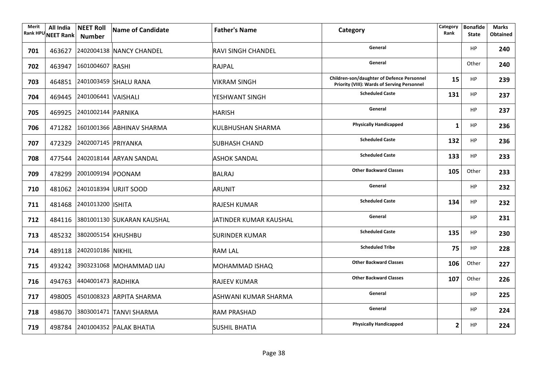| Merit<br><b>Rank HPU</b> | All India<br>NEET Rank | <b>NEET Roll</b><br><b>Number</b> | Name of Candidate                 | <b>Father's Name</b>   | Category                                                                                  | Category<br>Rank | <b>Bonafide</b><br><b>State</b> | <b>Marks</b><br><b>Obtained</b> |
|--------------------------|------------------------|-----------------------------------|-----------------------------------|------------------------|-------------------------------------------------------------------------------------------|------------------|---------------------------------|---------------------------------|
| 701                      |                        |                                   | 463627 2402004138 NANCY CHANDEL   | RAVI SINGH CHANDEL     | General                                                                                   |                  | HP                              | 240                             |
| 702                      |                        | 463947 1601004607 RASHI           |                                   | RAJPAL                 | General                                                                                   |                  | Other                           | 240                             |
| 703                      |                        |                                   | 464851 2401003459 SHALU RANA      | <b>VIKRAM SINGH</b>    | Children-son/daughter of Defence Personnel<br>Priority (VIII): Wards of Serving Personnel | 15               | HP.                             | 239                             |
| 704                      |                        | 469445 2401006441 VAISHALI        |                                   | YESHWANT SINGH         | <b>Scheduled Caste</b>                                                                    | 131              | HP                              | 237                             |
| 705                      |                        | 469925 2401002144 PARNIKA         |                                   | <b>HARISH</b>          | General                                                                                   |                  | HP                              | 237                             |
| 706                      |                        |                                   | 471282 1601001366 ABHINAV SHARMA  | KULBHUSHAN SHARMA      | <b>Physically Handicapped</b>                                                             | 1                | HP                              | 236                             |
| 707                      |                        | 472329 2402007145 PRIYANKA        |                                   | <b>SUBHASH CHAND</b>   | <b>Scheduled Caste</b>                                                                    | 132              | HP.                             | 236                             |
| 708                      |                        |                                   | 477544 2402018144 ARYAN SANDAL    | <b>ASHOK SANDAL</b>    | <b>Scheduled Caste</b>                                                                    | 133              | HP                              | 233                             |
| 709                      |                        | 478299 2001009194 POONAM          |                                   | BALRAJ                 | <b>Other Backward Classes</b>                                                             | 105              | Other                           | 233                             |
| 710                      |                        |                                   | 481062 2401018394 URJIT SOOD      | ARUNIT                 | General                                                                                   |                  | HP                              | 232                             |
| 711                      |                        | 481468 2401013200 SHITA           |                                   | <b>RAJESH KUMAR</b>    | <b>Scheduled Caste</b>                                                                    | 134              | HP                              | 232                             |
| 712                      |                        |                                   | 484116 3801001130 SUKARAN KAUSHAL | JATINDER KUMAR KAUSHAL | General                                                                                   |                  | HP                              | 231                             |
| 713                      |                        | 485232 3802005154 KHUSHBU         |                                   | <b>SURINDER KUMAR</b>  | <b>Scheduled Caste</b>                                                                    | 135              | HP                              | 230                             |
| 714                      |                        | 489118 2402010186 NIKHIL          |                                   | RAM LAL                | <b>Scheduled Tribe</b>                                                                    | 75               | HP.                             | 228                             |
| 715                      |                        |                                   | 493242 3903231068 MOHAMMAD IJAJ   | <b>MOHAMMAD ISHAQ</b>  | <b>Other Backward Classes</b>                                                             | 106              | Other                           | 227                             |
| 716                      |                        | 494763 4404001473 RADHIKA         |                                   | <b>RAJEEV KUMAR</b>    | <b>Other Backward Classes</b>                                                             | 107              | Other                           | 226                             |
| 717                      |                        |                                   | 498005 4501008323 ARPITA SHARMA   | ASHWANI KUMAR SHARMA   | General                                                                                   |                  | HP                              | 225                             |
| 718                      |                        |                                   | 498670 3803001471 TANVI SHARMA    | <b>RAM PRASHAD</b>     | General                                                                                   |                  | HP                              | 224                             |
| 719                      |                        |                                   | 498784 2401004352 PALAK BHATIA    | <b>SUSHIL BHATIA</b>   | <b>Physically Handicapped</b>                                                             | $\overline{2}$   | HP                              | 224                             |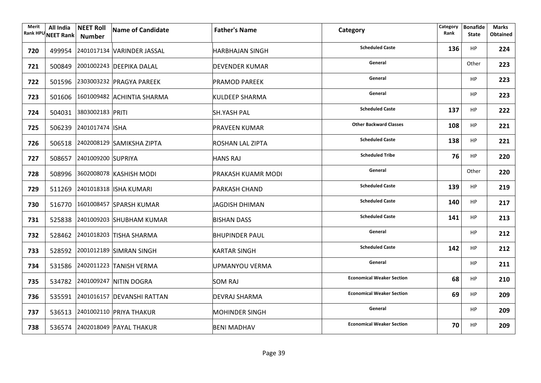| Merit | All India<br>Rank HPU NEET Rank | <b>NEET Roll</b><br>Number | Name of Candidate                 | <b>Father's Name</b>  | Category                         | Category<br>Rank | <b>Bonafide</b><br><b>State</b> | <b>Marks</b><br><b>Obtained</b> |
|-------|---------------------------------|----------------------------|-----------------------------------|-----------------------|----------------------------------|------------------|---------------------------------|---------------------------------|
| 720   |                                 |                            | 499954 2401017134 VARINDER JASSAL | HARBHAJAN SINGH       | <b>Scheduled Caste</b>           | 136              | HP                              | 224                             |
| 721   |                                 |                            | 500849 2001002243 DEEPIKA DALAL   | <b>DEVENDER KUMAR</b> | General                          |                  | Other                           | 223                             |
| 722   |                                 |                            | 501596 2303003232 PRAGYA PAREEK   | <b>PRAMOD PAREEK</b>  | General                          |                  | <b>HP</b>                       | 223                             |
| 723   |                                 |                            | 501606 1601009482 ACHINTIA SHARMA | <b>KULDEEP SHARMA</b> | General                          |                  | <b>HP</b>                       | 223                             |
| 724   |                                 | 504031 3803002183 PRITI    |                                   | <b>SH.YASH PAL</b>    | <b>Scheduled Caste</b>           | 137              | <b>HP</b>                       | 222                             |
| 725   |                                 | 506239 2401017474 ISHA     |                                   | PRAVEEN KUMAR         | <b>Other Backward Classes</b>    | 108              | <b>HP</b>                       | 221                             |
| 726   |                                 |                            | 506518 2402008129 SAMIKSHA ZIPTA  | ROSHAN LAL ZIPTA      | <b>Scheduled Caste</b>           | 138              | <b>HP</b>                       | 221                             |
| 727   |                                 | 508657 2401009200 SUPRIYA  |                                   | <b>HANS RAJ</b>       | <b>Scheduled Tribe</b>           | 76               | <b>HP</b>                       | 220                             |
| 728   |                                 |                            | 508996 3602008078 KASHISH MODI    | PRAKASH KUAMR MODI    | General                          |                  | Other                           | 220                             |
| 729   |                                 |                            | 511269 2401018318 ISHA KUMARI     | <b>PARKASH CHAND</b>  | <b>Scheduled Caste</b>           | 139              | HP                              | 219                             |
| 730   |                                 |                            | 516770 1601008457 SPARSH KUMAR    | JAGDISH DHIMAN        | <b>Scheduled Caste</b>           | 140              | HP                              | 217                             |
| 731   |                                 |                            | 525838 2401009203 SHUBHAM KUMAR   | <b>BISHAN DASS</b>    | <b>Scheduled Caste</b>           | 141              | HP                              | 213                             |
| 732   |                                 |                            | 528462 2401018203 TISHA SHARMA    | <b>BHUPINDER PAUL</b> | General                          |                  | <b>HP</b>                       | 212                             |
| 733   |                                 |                            | 528592 2001012189 SIMRAN SINGH    | <b>KARTAR SINGH</b>   | <b>Scheduled Caste</b>           | 142              | <b>HP</b>                       | 212                             |
| 734   |                                 |                            | 531586 2402011223 TANISH VERMA    | UPMANYOU VERMA        | General                          |                  | <b>HP</b>                       | 211                             |
| 735   |                                 |                            | 534782 2401009247 NITIN DOGRA     | <b>SOM RAJ</b>        | <b>Economical Weaker Section</b> | 68               | <b>HP</b>                       | 210                             |
| 736   |                                 |                            | 535591 2401016157 DEVANSHI RATTAN | DEVRAJ SHARMA         | <b>Economical Weaker Section</b> | 69               | HP                              | 209                             |
| 737   |                                 |                            | 536513 2401002110 PRIYA THAKUR    | <b>MOHINDER SINGH</b> | General                          |                  | <b>HP</b>                       | 209                             |
| 738   |                                 |                            | 536574 2402018049 PAYAL THAKUR    | BENI MADHAV           | <b>Economical Weaker Section</b> | 70               | <b>HP</b>                       | 209                             |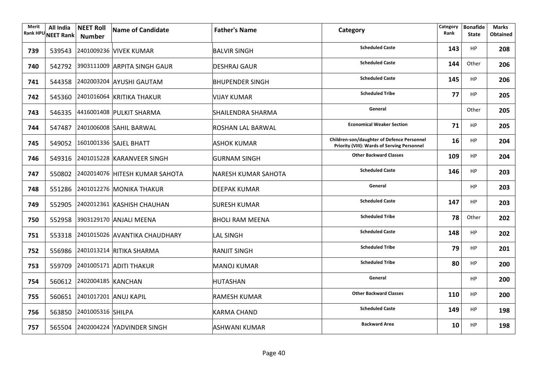| Merit<br><b>Rank HPU</b> | All India<br><b>NEET Rank</b> | <b>NEET Roll</b><br>Number | <b>Name of Candidate</b>              | <b>Father's Name</b>   | Category                                                                                         | Category<br>Rank | <b>Bonafide</b><br><b>State</b> | <b>Marks</b><br><b>Obtained</b> |
|--------------------------|-------------------------------|----------------------------|---------------------------------------|------------------------|--------------------------------------------------------------------------------------------------|------------------|---------------------------------|---------------------------------|
| 739                      |                               |                            | 539543 2401009236 VIVEK KUMAR         | <b>BALVIR SINGH</b>    | <b>Scheduled Caste</b>                                                                           | 143              | <b>HP</b>                       | 208                             |
| 740                      |                               |                            | 542792 3903111009 ARPITA SINGH GAUR   | <b>DESHRAJ GAUR</b>    | <b>Scheduled Caste</b>                                                                           | 144              | Other                           | 206                             |
| 741                      |                               |                            | 544358 2402003204 AYUSHI GAUTAM       | <b>BHUPENDER SINGH</b> | <b>Scheduled Caste</b>                                                                           | 145              | <b>HP</b>                       | 206                             |
| 742                      |                               |                            | 545360 2401016064 KRITIKA THAKUR      | VIJAY KUMAR            | <b>Scheduled Tribe</b>                                                                           | 77               | <b>HP</b>                       | 205                             |
| 743                      |                               |                            | 546335 4416001408 PULKIT SHARMA       | SHAILENDRA SHARMA      | General                                                                                          |                  | Other                           | 205                             |
| 744                      |                               |                            | 547487 2401006008 SAHIL BARWAL        | ROSHAN LAL BARWAL      | <b>Economical Weaker Section</b>                                                                 | 71               | <b>HP</b>                       | 205                             |
| 745                      |                               |                            | 549052 1601001336 SAJEL BHATT         | <b>ASHOK KUMAR</b>     | Children-son/daughter of Defence Personnel<br><b>Priority (VIII): Wards of Serving Personnel</b> | 16               | HP                              | 204                             |
| 746                      |                               |                            | 549316 2401015228 KARANVEER SINGH     | <b>GURNAM SINGH</b>    | <b>Other Backward Classes</b>                                                                    | 109              | HP                              | 204                             |
| 747                      |                               |                            | 550802 2402014076 HITESH KUMAR SAHOTA | NARESH KUMAR SAHOTA    | <b>Scheduled Caste</b>                                                                           | 146              | <b>HP</b>                       | 203                             |
| 748                      |                               |                            | 551286 2401012276 MONIKA THAKUR       | <b>DEEPAK KUMAR</b>    | General                                                                                          |                  | <b>HP</b>                       | 203                             |
| 749                      |                               |                            | 552905 2402012361 KASHISH CHAUHAN     | <b>SURESH KUMAR</b>    | <b>Scheduled Caste</b>                                                                           | 147              | <b>HP</b>                       | 203                             |
| 750                      |                               |                            | 552958 3903129170 ANJALI MEENA        | <b>BHOLI RAM MEENA</b> | <b>Scheduled Tribe</b>                                                                           | 78               | Other                           | 202                             |
| 751                      |                               |                            | 553318 2401015026 AVANTIKA CHAUDHARY  | LAL SINGH              | <b>Scheduled Caste</b>                                                                           | 148              | <b>HP</b>                       | 202                             |
| 752                      |                               |                            | 556986 2401013214 RITIKA SHARMA       | <b>RANJIT SINGH</b>    | <b>Scheduled Tribe</b>                                                                           | 79               | HP                              | 201                             |
| 753                      |                               |                            | 559709 2401005171 ADITI THAKUR        | <b>MANOJ KUMAR</b>     | <b>Scheduled Tribe</b>                                                                           | 80               | <b>HP</b>                       | 200                             |
| 754                      |                               | 560612 2402004185 KANCHAN  |                                       | HUTASHAN               | General                                                                                          |                  | <b>HP</b>                       | 200                             |
| 755                      |                               |                            | 560651 2401017201 ANUJ KAPIL          | <b>RAMESH KUMAR</b>    | <b>Other Backward Classes</b>                                                                    | 110              | <b>HP</b>                       | 200                             |
| 756                      |                               | 563850 2401005316 SHILPA   |                                       | <b>KARMA CHAND</b>     | <b>Scheduled Caste</b>                                                                           | 149              | <b>HP</b>                       | 198                             |
| 757                      |                               |                            | 565504 2402004224 YADVINDER SINGH     | ASHWANI KUMAR          | <b>Backward Area</b>                                                                             | 10               | <b>HP</b>                       | 198                             |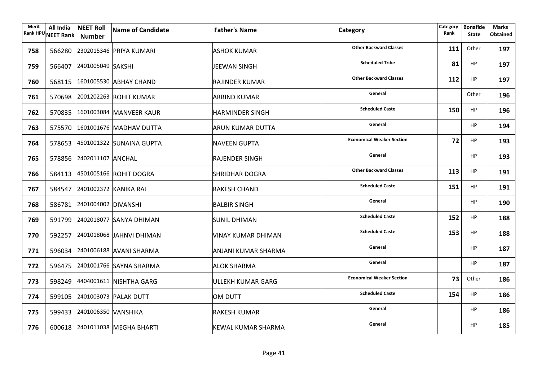| Merit | All India<br>Rank HPU NEET Rank | <b>NEET Roll</b><br><b>Number</b> | Name of Candidate               | <b>Father's Name</b>      | Category                         | Category<br>Rank | <b>Bonafide</b><br><b>State</b> | Marks<br><b>Obtained</b> |
|-------|---------------------------------|-----------------------------------|---------------------------------|---------------------------|----------------------------------|------------------|---------------------------------|--------------------------|
| 758   |                                 |                                   | 566280 2302015346 PRIYA KUMARI  | ASHOK KUMAR               | <b>Other Backward Classes</b>    | 111              | Other                           | 197                      |
| 759   |                                 | 566407 2401005049 SAKSHI          |                                 | JEEWAN SINGH              | <b>Scheduled Tribe</b>           | 81               | <b>HP</b>                       | 197                      |
| 760   |                                 |                                   | 568115 1601005530 ABHAY CHAND   | RAJINDER KUMAR            | <b>Other Backward Classes</b>    | 112              | <b>HP</b>                       | 197                      |
| 761   |                                 |                                   | 570698 2001202263 ROHIT KUMAR   | <b>ARBIND KUMAR</b>       | General                          |                  | Other                           | 196                      |
| 762   |                                 |                                   | 570835 1601003084 MANVEER KAUR  | <b>HARMINDER SINGH</b>    | <b>Scheduled Caste</b>           | 150              | HP                              | 196                      |
| 763   |                                 |                                   | 575570 1601001676 MADHAV DUTTA  | <b>ARUN KUMAR DUTTA</b>   | General                          |                  | HP                              | 194                      |
| 764   |                                 |                                   | 578653 4501001322 SUNAINA GUPTA | NAVEEN GUPTA              | <b>Economical Weaker Section</b> | 72               | <b>HP</b>                       | 193                      |
| 765   |                                 | 578856 2402011107 ANCHAL          |                                 | <b>RAJENDER SINGH</b>     | General                          |                  | <b>HP</b>                       | 193                      |
| 766   |                                 |                                   | 584113 4501005166 ROHIT DOGRA   | SHRIDHAR DOGRA            | <b>Other Backward Classes</b>    | 113              | <b>HP</b>                       | 191                      |
| 767   |                                 |                                   | 584547 2401002372 KANIKA RAJ    | <b>RAKESH CHAND</b>       | <b>Scheduled Caste</b>           | 151              | <b>HP</b>                       | 191                      |
| 768   |                                 | 586781 2401004002 DIVANSHI        |                                 | <b>BALBIR SINGH</b>       | General                          |                  | <b>HP</b>                       | 190                      |
| 769   |                                 |                                   | 591799 2402018077 SANYA DHIMAN  | <b>SUNIL DHIMAN</b>       | <b>Scheduled Caste</b>           | 152              | <b>HP</b>                       | 188                      |
| 770   |                                 |                                   | 592257 2401018068 JAHNVI DHIMAN | VINAY KUMAR DHIMAN        | <b>Scheduled Caste</b>           | 153              | <b>HP</b>                       | 188                      |
| 771   |                                 |                                   | 596034 2401006188 AVANI SHARMA  | ANJANI KUMAR SHARMA       | General                          |                  | <b>HP</b>                       | 187                      |
| 772   |                                 |                                   | 596475 2401001766 SAYNA SHARMA  | <b>ALOK SHARMA</b>        | General                          |                  | <b>HP</b>                       | 187                      |
| 773   |                                 |                                   | 598249 4404001611 NISHTHA GARG  | ULLEKH KUMAR GARG         | <b>Economical Weaker Section</b> | 73               | Other                           | 186                      |
| 774   |                                 |                                   | 599105 2401003073 PALAK DUTT    | <b>OM DUTT</b>            | <b>Scheduled Caste</b>           | 154              | HP                              | 186                      |
| 775   |                                 | 599433 2401006350 VANSHIKA        |                                 | <b>RAKESH KUMAR</b>       | General                          |                  | <b>HP</b>                       | 186                      |
| 776   |                                 |                                   | 600618 2401011038 MEGHA BHARTI  | <b>KEWAL KUMAR SHARMA</b> | General                          |                  | <b>HP</b>                       | 185                      |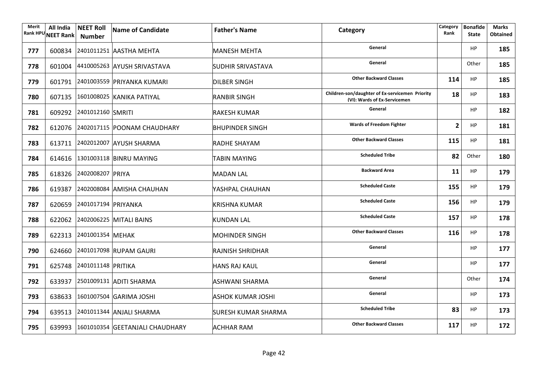| Merit | All India<br>Rank HPU NEET Rank | <b>NEET Roll</b><br><b>Number</b> | Name of Candidate                      | <b>Father's Name</b>       | Category                                                                        | Category<br>Rank | <b>Bonafide</b><br><b>State</b> | <b>Marks</b><br><b>Obtained</b> |
|-------|---------------------------------|-----------------------------------|----------------------------------------|----------------------------|---------------------------------------------------------------------------------|------------------|---------------------------------|---------------------------------|
| 777   |                                 |                                   | 600834 2401011251 AASTHA MEHTA         | <b>MANESH MEHTA</b>        | General                                                                         |                  | <b>HP</b>                       | 185                             |
| 778   |                                 |                                   | 601004 4410005263 AYUSH SRIVASTAVA     | <b>SUDHIR SRIVASTAVA</b>   | General                                                                         |                  | Other                           | 185                             |
| 779   |                                 |                                   | 601791 2401003559 PRIYANKA KUMARI      | <b>DILBER SINGH</b>        | <b>Other Backward Classes</b>                                                   | 114              | <b>HP</b>                       | 185                             |
| 780   |                                 |                                   | 607135 1601008025 KANIKA PATIYAL       | <b>RANBIR SINGH</b>        | Children-son/daughter of Ex-servicemen Priority<br>(VI): Wards of Ex-Servicemen | 18               | HP                              | 183                             |
| 781   |                                 | 609292 2401012160 SMRITI          |                                        | <b>RAKESH KUMAR</b>        | General                                                                         |                  | HP                              | 182                             |
| 782   |                                 |                                   | 612076 2402017115 POONAM CHAUDHARY     | <b>BHUPINDER SINGH</b>     | <b>Wards of Freedom Fighter</b>                                                 | 2                | <b>HP</b>                       | 181                             |
| 783   |                                 |                                   | 613711 2402012007 AYUSH SHARMA         | RADHE SHAYAM               | <b>Other Backward Classes</b>                                                   | 115              | <b>HP</b>                       | 181                             |
| 784   |                                 |                                   | 614616 1301003118 BINRU MAYING         | <b>TABIN MAYING</b>        | <b>Scheduled Tribe</b>                                                          | 82               | Other                           | 180                             |
| 785   |                                 | 618326 2402008207 PRIYA           |                                        | <b>MADAN LAL</b>           | <b>Backward Area</b>                                                            | 11               | <b>HP</b>                       | 179                             |
| 786   |                                 |                                   | 619387 2402008084 AMISHA CHAUHAN       | YASHPAL CHAUHAN            | <b>Scheduled Caste</b>                                                          | 155              | <b>HP</b>                       | 179                             |
| 787   |                                 | 620659 2401017194 PRIYANKA        |                                        | <b>KRISHNA KUMAR</b>       | <b>Scheduled Caste</b>                                                          | 156              | <b>HP</b>                       | 179                             |
| 788   |                                 |                                   | 622062 2402006225 MITALI BAINS         | <b>KUNDAN LAL</b>          | <b>Scheduled Caste</b>                                                          | 157              | <b>HP</b>                       | 178                             |
| 789   |                                 | 622313 2401001354 MEHAK           |                                        | <b>MOHINDER SINGH</b>      | <b>Other Backward Classes</b>                                                   | 116              | <b>HP</b>                       | 178                             |
| 790   |                                 |                                   | 624660 2401017098 RUPAM GAURI          | <b>RAJNISH SHRIDHAR</b>    | General                                                                         |                  | <b>HP</b>                       | 177                             |
| 791   |                                 | 625748 2401011148 PRITIKA         |                                        | <b>HANS RAJ KAUL</b>       | General                                                                         |                  | <b>HP</b>                       | 177                             |
| 792   |                                 |                                   | 633937 2501009131 ADITI SHARMA         | ASHWANI SHARMA             | General                                                                         |                  | Other                           | 174                             |
| 793   |                                 |                                   | 638633 1601007504 GARIMA JOSHI         | ASHOK KUMAR JOSHI          | General                                                                         |                  | HP                              | 173                             |
| 794   |                                 |                                   | 639513 2401011344 ANJALI SHARMA        | <b>SURESH KUMAR SHARMA</b> | <b>Scheduled Tribe</b>                                                          | 83               | HP                              | 173                             |
| 795   |                                 |                                   | 639993 1601010354 GEETANJALI CHAUDHARY | <b>ACHHAR RAM</b>          | <b>Other Backward Classes</b>                                                   | 117              | <b>HP</b>                       | 172                             |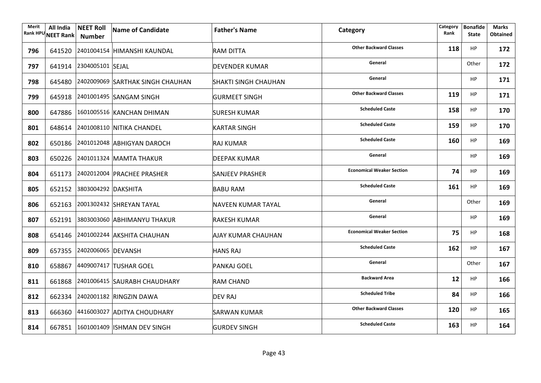| Merit | All India<br>Rank HPU NEET Rank | <b>NEET Roll</b><br><b>Number</b> | Name of Candidate                       | <b>Father's Name</b>        | Category                         | Category<br>Rank | <b>Bonafide</b><br><b>State</b> | <b>Marks</b><br><b>Obtained</b> |
|-------|---------------------------------|-----------------------------------|-----------------------------------------|-----------------------------|----------------------------------|------------------|---------------------------------|---------------------------------|
| 796   |                                 |                                   | 641520 2401004154 HIMANSHI KAUNDAL      | RAM DITTA                   | <b>Other Backward Classes</b>    | 118              | HP                              | 172                             |
| 797   |                                 | 641914 2304005101 SEJAL           |                                         | <b>DEVENDER KUMAR</b>       | General                          |                  | Other                           | 172                             |
| 798   |                                 |                                   | 645480 2402009069 SARTHAK SINGH CHAUHAN | <b>SHAKTI SINGH CHAUHAN</b> | General                          |                  | <b>HP</b>                       | 171                             |
| 799   |                                 |                                   | 645918 2401001495 SANGAM SINGH          | <b>GURMEET SINGH</b>        | <b>Other Backward Classes</b>    | 119              | <b>HP</b>                       | 171                             |
| 800   |                                 |                                   | 647886 1601005516 KANCHAN DHIMAN        | <b>SURESH KUMAR</b>         | <b>Scheduled Caste</b>           | 158              | <b>HP</b>                       | 170                             |
| 801   |                                 |                                   | 648614 2401008110 NITIKA CHANDEL        | KARTAR SINGH                | <b>Scheduled Caste</b>           | 159              | <b>HP</b>                       | 170                             |
| 802   |                                 |                                   | 650186 2401012048 ABHIGYAN DAROCH       | RAJ KUMAR                   | <b>Scheduled Caste</b>           | 160              | HP                              | 169                             |
| 803   |                                 |                                   | 650226 2401011324 MAMTA THAKUR          | DEEPAK KUMAR                | General                          |                  | <b>HP</b>                       | 169                             |
| 804   |                                 |                                   | 651173 2402012004 PRACHEE PRASHER       | <b>SANJEEV PRASHER</b>      | <b>Economical Weaker Section</b> | 74               | HP                              | 169                             |
| 805   |                                 | 652152 3803004292 DAKSHITA        |                                         | <b>BABU RAM</b>             | <b>Scheduled Caste</b>           | 161              | HP                              | 169                             |
| 806   |                                 |                                   | 652163 2001302432 SHREYAN TAYAL         | <b>NAVEEN KUMAR TAYAL</b>   | General                          |                  | Other                           | 169                             |
| 807   |                                 |                                   | 652191 3803003060 ABHIMANYU THAKUR      | <b>RAKESH KUMAR</b>         | General                          |                  | HP                              | 169                             |
| 808   |                                 |                                   | 654146 2401002244 AKSHITA CHAUHAN       | <b>AJAY KUMAR CHAUHAN</b>   | <b>Economical Weaker Section</b> | 75               | HP                              | 168                             |
| 809   |                                 | 657355 2402006065 DEVANSH         |                                         | <b>HANS RAJ</b>             | <b>Scheduled Caste</b>           | 162              | <b>HP</b>                       | 167                             |
| 810   |                                 |                                   | 658867 4409007417 TUSHAR GOEL           | <b>PANKAJ GOEL</b>          | General                          |                  | Other                           | 167                             |
| 811   |                                 |                                   | 661868 2401006415 SAURABH CHAUDHARY     | <b>RAM CHAND</b>            | <b>Backward Area</b>             | 12               | HP                              | 166                             |
| 812   |                                 |                                   | 662334 2402001182 RINGZIN DAWA          | <b>DEV RAJ</b>              | <b>Scheduled Tribe</b>           | 84               | <b>HP</b>                       | 166                             |
| 813   |                                 |                                   | 666360 4416003027 ADITYA CHOUDHARY      | SARWAN KUMAR                | <b>Other Backward Classes</b>    | 120              | HP                              | 165                             |
| 814   |                                 |                                   | 667851 1601001409 ISHMAN DEV SINGH      | <b>GURDEV SINGH</b>         | <b>Scheduled Caste</b>           | 163              | HP                              | 164                             |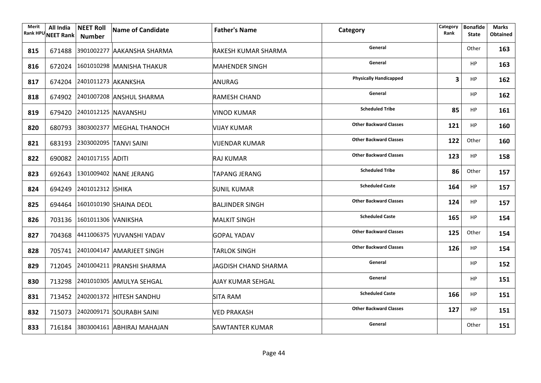| Merit | All India<br>Rank HPU NEET Rank | <b>NEET Roll</b><br><b>Number</b> | <b>Name of Candidate</b>          | <b>Father's Name</b>     | Category                      | Category<br>Rank | <b>Bonafide</b><br><b>State</b> | <b>Marks</b><br><b>Obtained</b> |
|-------|---------------------------------|-----------------------------------|-----------------------------------|--------------------------|-------------------------------|------------------|---------------------------------|---------------------------------|
| 815   |                                 |                                   | 671488 3901002277 AAKANSHA SHARMA | RAKESH KUMAR SHARMA      | General                       |                  | Other                           | 163                             |
| 816   |                                 |                                   | 672024 1601010298 MANISHA THAKUR  | <b>MAHENDER SINGH</b>    | General                       |                  | <b>HP</b>                       | 163                             |
| 817   |                                 | 674204 2401011273 AKANKSHA        |                                   | <b>ANURAG</b>            | <b>Physically Handicapped</b> | 3                | <b>HP</b>                       | 162                             |
| 818   |                                 |                                   | 674902 2401007208 ANSHUL SHARMA   | <b>RAMESH CHAND</b>      | General                       |                  | <b>HP</b>                       | 162                             |
| 819   |                                 |                                   | 679420 2401012125 NAVANSHU        | <b>VINOD KUMAR</b>       | <b>Scheduled Tribe</b>        | 85               | <b>HP</b>                       | 161                             |
| 820   |                                 |                                   | 680793 3803002377 MEGHAL THANOCH  | VIJAY KUMAR              | <b>Other Backward Classes</b> | 121              | <b>HP</b>                       | 160                             |
| 821   |                                 |                                   | 683193 2303002095 TANVI SAINI     | <b>VIJENDAR KUMAR</b>    | <b>Other Backward Classes</b> | 122              | Other                           | 160                             |
| 822   |                                 | 690082 2401017155 ADITI           |                                   | RAJ KUMAR                | <b>Other Backward Classes</b> | 123              | <b>HP</b>                       | 158                             |
| 823   |                                 |                                   | 692643 1301009402 NANE JERANG     | TAPANG JERANG            | <b>Scheduled Tribe</b>        | 86               | Other                           | 157                             |
| 824   |                                 | 694249 2401012312 ISHIKA          |                                   | <b>SUNIL KUMAR</b>       | <b>Scheduled Caste</b>        | 164              | HP                              | 157                             |
| 825   |                                 |                                   | 694464 1601010190 SHAINA DEOL     | <b>BALJINDER SINGH</b>   | <b>Other Backward Classes</b> | 124              | HP                              | 157                             |
| 826   |                                 | 703136 1601011306 VANIKSHA        |                                   | <b>MALKIT SINGH</b>      | <b>Scheduled Caste</b>        | 165              | HP                              | 154                             |
| 827   |                                 |                                   | 704368 4411006375 YUVANSHI YADAV  | GOPAL YADAV              | <b>Other Backward Classes</b> | 125              | Other                           | 154                             |
| 828   |                                 |                                   | 705741 2401004147 AMARJEET SINGH  | <b>TARLOK SINGH</b>      | <b>Other Backward Classes</b> | 126              | HP                              | 154                             |
| 829   |                                 |                                   | 712045 2401004211 PRANSHI SHARMA  | JAGDISH CHAND SHARMA     | General                       |                  | <b>HP</b>                       | 152                             |
| 830   |                                 |                                   | 713298 2401010305 AMULYA SEHGAL   | <b>AJAY KUMAR SEHGAL</b> | General                       |                  | <b>HP</b>                       | 151                             |
| 831   |                                 |                                   | 713452 2402001372 HITESH SANDHU   | <b>SITA RAM</b>          | <b>Scheduled Caste</b>        | 166              | HP                              | 151                             |
| 832   |                                 |                                   | 715073 2402009171 SOURABH SAINI   | <b>VED PRAKASH</b>       | <b>Other Backward Classes</b> | 127              | <b>HP</b>                       | 151                             |
| 833   |                                 |                                   | 716184 3803004161 ABHIRAJ MAHAJAN | <b>SAWTANTER KUMAR</b>   | General                       |                  | Other                           | 151                             |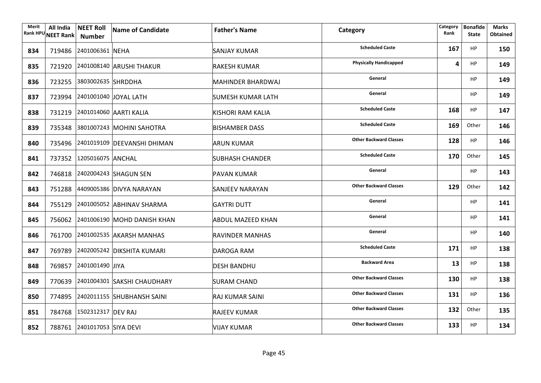| Merit | All India<br>Rank HPU NEET Rank | <b>NEET Roll</b><br><b>Number</b> | Name of Candidate                  | <b>Father's Name</b>     | Category                      | Category<br>Rank | <b>Bonafide</b><br><b>State</b> | <b>Marks</b><br><b>Obtained</b> |
|-------|---------------------------------|-----------------------------------|------------------------------------|--------------------------|-------------------------------|------------------|---------------------------------|---------------------------------|
| 834   |                                 | 719486 2401006361 NEHA            |                                    | SANJAY KUMAR             | <b>Scheduled Caste</b>        | 167              | <b>HP</b>                       | 150                             |
| 835   |                                 |                                   | 721920 2401008140 ARUSHI THAKUR    | <b>RAKESH KUMAR</b>      | <b>Physically Handicapped</b> | 4                | <b>HP</b>                       | 149                             |
| 836   |                                 | 723255 3803002635 SHRDDHA         |                                    | <b>MAHINDER BHARDWAJ</b> | General                       |                  | <b>HP</b>                       | 149                             |
| 837   |                                 |                                   | 723994 2401001040 JOYAL LATH       | SUMESH KUMAR LATH        | General                       |                  | <b>HP</b>                       | 149                             |
| 838   |                                 |                                   | 731219 2401014060 AARTI KALIA      | KISHORI RAM KALIA        | <b>Scheduled Caste</b>        | 168              | <b>HP</b>                       | 147                             |
| 839   |                                 |                                   | 735348 3801007243 MOHINI SAHOTRA   | <b>BISHAMBER DASS</b>    | <b>Scheduled Caste</b>        | 169              | Other                           | 146                             |
| 840   |                                 |                                   | 735496 2401019109 DEEVANSHI DHIMAN | <b>ARUN KUMAR</b>        | <b>Other Backward Classes</b> | 128              | HP                              | 146                             |
| 841   |                                 | 737352 1205016075 ANCHAL          |                                    | <b>SUBHASH CHANDER</b>   | <b>Scheduled Caste</b>        | 170              | Other                           | 145                             |
| 842   |                                 |                                   | 746818 2402004243 SHAGUN SEN       | <b>PAVAN KUMAR</b>       | General                       |                  | <b>HP</b>                       | 143                             |
| 843   |                                 |                                   | 751288 4409005386 DIVYA NARAYAN    | <b>SANJEEV NARAYAN</b>   | <b>Other Backward Classes</b> | 129              | Other                           | 142                             |
| 844   |                                 |                                   | 755129 2401005052 ABHINAV SHARMA   | <b>GAYTRI DUTT</b>       | General                       |                  | <b>HP</b>                       | 141                             |
| 845   |                                 |                                   | 756062 2401006190 MOHD DANISH KHAN | <b>ABDUL MAZEED KHAN</b> | General                       |                  | HP                              | 141                             |
| 846   |                                 |                                   | 761700 2401002535 AKARSH MANHAS    | <b>RAVINDER MANHAS</b>   | General                       |                  | HP                              | 140                             |
| 847   |                                 |                                   | 769789 2402005242 DIKSHITA KUMARI  | DAROGA RAM               | <b>Scheduled Caste</b>        | 171              | <b>HP</b>                       | 138                             |
| 848   |                                 | 769857 2401001490 JIYA            |                                    | <b>DESH BANDHU</b>       | <b>Backward Area</b>          | 13               | HP                              | 138                             |
| 849   |                                 |                                   | 770639 2401004301 SAKSHI CHAUDHARY | <b>SURAM CHAND</b>       | <b>Other Backward Classes</b> | 130              | HP                              | 138                             |
| 850   |                                 |                                   | 774895 2402011155 SHUBHANSH SAINI  | <b>RAJ KUMAR SAINI</b>   | <b>Other Backward Classes</b> | 131              | HP                              | 136                             |
| 851   |                                 | 784768 1502312317 DEV RAJ         |                                    | <b>RAJEEV KUMAR</b>      | <b>Other Backward Classes</b> | 132              | Other                           | 135                             |
| 852   |                                 | 788761 2401017053 SIYA DEVI       |                                    | <b>VIJAY KUMAR</b>       | <b>Other Backward Classes</b> | 133              | HP                              | 134                             |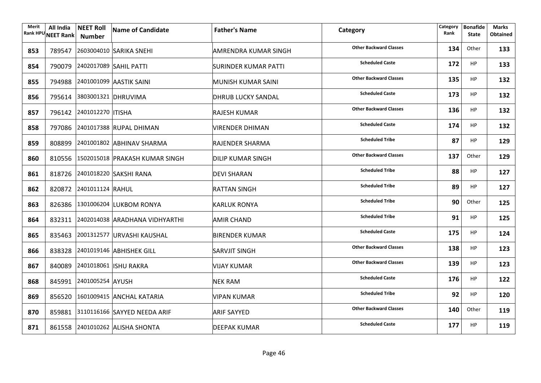| Merit | All India<br>Rank HPU NEET Rank | <b>NEET Roll</b><br>Number | Name of Candidate                     | <b>Father's Name</b>        | Category                      | Category<br>Rank | <b>Bonafide</b><br><b>State</b> | <b>Marks</b><br><b>Obtained</b> |
|-------|---------------------------------|----------------------------|---------------------------------------|-----------------------------|-------------------------------|------------------|---------------------------------|---------------------------------|
| 853   |                                 |                            | 789547 2603004010 SARIKA SNEHI        | <b>AMRENDRA KUMAR SINGH</b> | <b>Other Backward Classes</b> | 134              | Other                           | 133                             |
| 854   |                                 |                            | 790079 2402017089 SAHIL PATTI         | SURINDER KUMAR PATTI        | <b>Scheduled Caste</b>        | 172              | HP                              | 133                             |
| 855   |                                 |                            | 794988 2401001099 AASTIK SAINI        | MUNISH KUMAR SAINI          | <b>Other Backward Classes</b> | 135              | <b>HP</b>                       | 132                             |
| 856   |                                 | 795614 3803001321 DHRUVIMA |                                       | <b>DHRUB LUCKY SANDAL</b>   | <b>Scheduled Caste</b>        | 173              | <b>HP</b>                       | 132                             |
| 857   |                                 | 796142 2401012270 ITISHA   |                                       | <b>RAJESH KUMAR</b>         | <b>Other Backward Classes</b> | 136              | <b>HP</b>                       | 132                             |
| 858   |                                 |                            | 797086 2401017388 RUPAL DHIMAN        | VIRENDER DHIMAN             | <b>Scheduled Caste</b>        | 174              | <b>HP</b>                       | 132                             |
| 859   |                                 |                            | 808899 2401001802 ABHINAV SHARMA      | RAJENDER SHARMA             | <b>Scheduled Tribe</b>        | 87               | <b>HP</b>                       | 129                             |
| 860   |                                 |                            | 810556 1502015018 PRAKASH KUMAR SINGH | DILIP KUMAR SINGH           | <b>Other Backward Classes</b> | 137              | Other                           | 129                             |
| 861   |                                 |                            | 818726 2401018220 SAKSHI RANA         | DEVI SHARAN                 | <b>Scheduled Tribe</b>        | 88               | <b>HP</b>                       | 127                             |
| 862   |                                 | 820872 2401011124 RAHUL    |                                       | <b>RATTAN SINGH</b>         | <b>Scheduled Tribe</b>        | 89               | HP                              | 127                             |
| 863   |                                 |                            | 826386 1301006204 LUKBOM RONYA        | <b>KARLUK RONYA</b>         | <b>Scheduled Tribe</b>        | 90               | Other                           | 125                             |
| 864   |                                 |                            | 832311 2402014038 ARADHANA VIDHYARTHI | <b>AMIR CHAND</b>           | <b>Scheduled Tribe</b>        | 91               | <b>HP</b>                       | 125                             |
| 865   |                                 |                            | 835463 2001312577 URVASHI KAUSHAL     | <b>BIRENDER KUMAR</b>       | <b>Scheduled Caste</b>        | 175              | <b>HP</b>                       | 124                             |
| 866   |                                 |                            | 838328 2401019146 ABHISHEK GILL       | <b>SARVJIT SINGH</b>        | <b>Other Backward Classes</b> | 138              | <b>HP</b>                       | 123                             |
| 867   |                                 |                            | 840089 2401018061 ISHU RAKRA          | <b>VIJAY KUMAR</b>          | <b>Other Backward Classes</b> | 139              | HP                              | 123                             |
| 868   |                                 | 845991 2401005254 AYUSH    |                                       | <b>NEK RAM</b>              | <b>Scheduled Caste</b>        | 176              | <b>HP</b>                       | 122                             |
| 869   |                                 |                            | 856520 1601009415 ANCHAL KATARIA      | <b>VIPAN KUMAR</b>          | <b>Scheduled Tribe</b>        | 92               | HP                              | 120                             |
| 870   |                                 |                            | 859881 3110116166 SAYYED NEEDA ARIF   | <b>ARIF SAYYED</b>          | <b>Other Backward Classes</b> | 140              | Other                           | 119                             |
| 871   |                                 |                            | 861558 2401010262 ALISHA SHONTA       | <b>DEEPAK KUMAR</b>         | <b>Scheduled Caste</b>        | 177              | <b>HP</b>                       | 119                             |